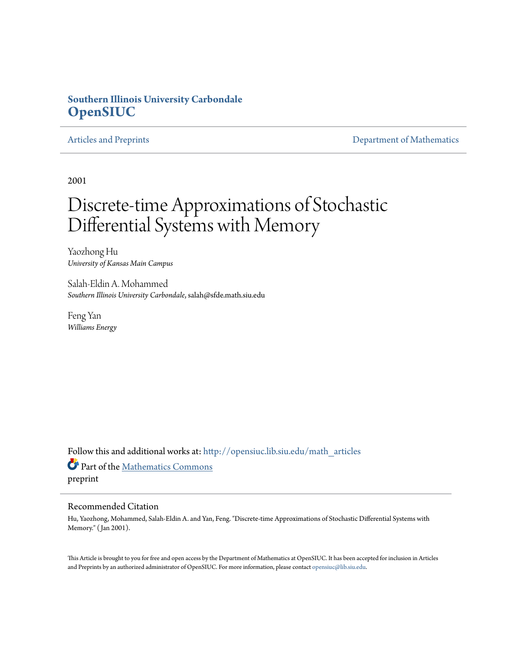### **Southern Illinois University Carbondale [OpenSIUC](http://opensiuc.lib.siu.edu?utm_source=opensiuc.lib.siu.edu%2Fmath_articles%2F54&utm_medium=PDF&utm_campaign=PDFCoverPages)**

[Articles and Preprints](http://opensiuc.lib.siu.edu/math_articles?utm_source=opensiuc.lib.siu.edu%2Fmath_articles%2F54&utm_medium=PDF&utm_campaign=PDFCoverPages) **[Department of Mathematics](http://opensiuc.lib.siu.edu/math?utm_source=opensiuc.lib.siu.edu%2Fmath_articles%2F54&utm_medium=PDF&utm_campaign=PDFCoverPages)** 

2001

# Discrete-time Approximations of Stochastic Differential Systems with Memory

Yaozhong Hu *University of Kansas Main Campus*

Salah-Eldin A. Mohammed *Southern Illinois University Carbondale*, salah@sfde.math.siu.edu

Feng Yan *Williams Energy*

Follow this and additional works at: [http://opensiuc.lib.siu.edu/math\\_articles](http://opensiuc.lib.siu.edu/math_articles?utm_source=opensiuc.lib.siu.edu%2Fmath_articles%2F54&utm_medium=PDF&utm_campaign=PDFCoverPages) Part of the [Mathematics Commons](http://network.bepress.com/hgg/discipline/174?utm_source=opensiuc.lib.siu.edu%2Fmath_articles%2F54&utm_medium=PDF&utm_campaign=PDFCoverPages) preprint

### Recommended Citation

Hu, Yaozhong, Mohammed, Salah-Eldin A. and Yan, Feng. "Discrete-time Approximations of Stochastic Differential Systems with Memory." ( Jan 2001).

This Article is brought to you for free and open access by the Department of Mathematics at OpenSIUC. It has been accepted for inclusion in Articles and Preprints by an authorized administrator of OpenSIUC. For more information, please contact [opensiuc@lib.siu.edu](mailto:opensiuc@lib.siu.edu).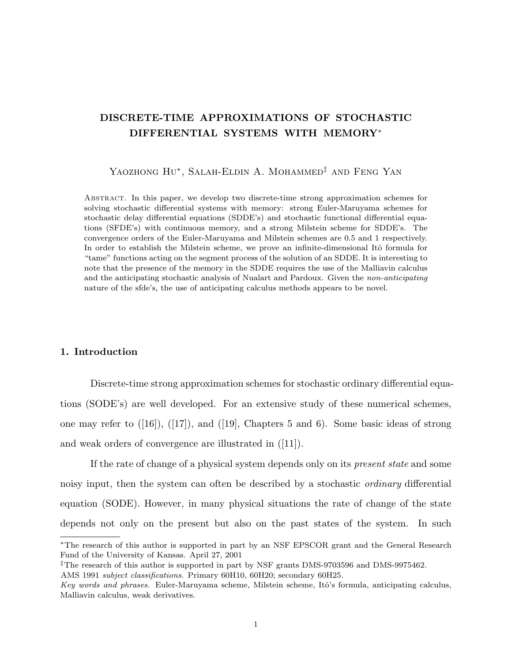### DISCRETE-TIME APPROXIMATIONS OF STOCHASTIC DIFFERENTIAL SYSTEMS WITH MEMORY<sup>∗</sup>

Yaozhong Hu<sup>∗</sup> , Salah-Eldin A. Mohammed‡ and Feng Yan

Abstract. In this paper, we develop two discrete-time strong approximation schemes for solving stochastic differential systems with memory: strong Euler-Maruyama schemes for stochastic delay differential equations (SDDE's) and stochastic functional differential equations (SFDE's) with continuous memory, and a strong Milstein scheme for SDDE's. The convergence orders of the Euler-Maruyama and Milstein schemes are 0.5 and 1 respectively. In order to establish the Milstein scheme, we prove an infinite-dimensional Itô formula for "tame" functions acting on the segment process of the solution of an SDDE. It is interesting to note that the presence of the memory in the SDDE requires the use of the Malliavin calculus and the anticipating stochastic analysis of Nualart and Pardoux. Given the non-anticipating nature of the sfde's, the use of anticipating calculus methods appears to be novel.

### 1. Introduction

Discrete-time strong approximation schemes for stochastic ordinary differential equations (SODE's) are well developed. For an extensive study of these numerical schemes, one may refer to ([16]), ([17]), and ([19], Chapters 5 and 6). Some basic ideas of strong and weak orders of convergence are illustrated in ([11]).

If the rate of change of a physical system depends only on its present state and some noisy input, then the system can often be described by a stochastic ordinary differential equation (SODE). However, in many physical situations the rate of change of the state depends not only on the present but also on the past states of the system. In such

<sup>∗</sup>The research of this author is supported in part by an NSF EPSCOR grant and the General Research Fund of the University of Kansas. April 27, 2001

<sup>‡</sup>The research of this author is supported in part by NSF grants DMS-9703596 and DMS-9975462.

AMS 1991 subject classifications. Primary 60H10, 60H20; secondary 60H25.

Key words and phrases. Euler-Maruyama scheme, Milstein scheme, Itô's formula, anticipating calculus, Malliavin calculus, weak derivatives.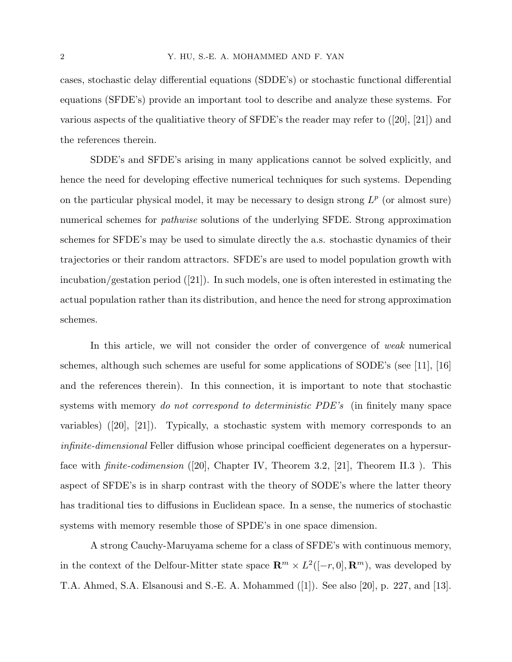cases, stochastic delay differential equations (SDDE's) or stochastic functional differential equations (SFDE's) provide an important tool to describe and analyze these systems. For various aspects of the qualitiative theory of SFDE's the reader may refer to ([20], [21]) and the references therein.

SDDE's and SFDE's arising in many applications cannot be solved explicitly, and hence the need for developing effective numerical techniques for such systems. Depending on the particular physical model, it may be necessary to design strong  $L^p$  (or almost sure) numerical schemes for pathwise solutions of the underlying SFDE. Strong approximation schemes for SFDE's may be used to simulate directly the a.s. stochastic dynamics of their trajectories or their random attractors. SFDE's are used to model population growth with incubation/gestation period ([21]). In such models, one is often interested in estimating the actual population rather than its distribution, and hence the need for strong approximation schemes.

In this article, we will not consider the order of convergence of weak numerical schemes, although such schemes are useful for some applications of SODE's (see [11], [16] and the references therein). In this connection, it is important to note that stochastic systems with memory do not correspond to deterministic PDE's (in finitely many space variables)  $(|20|, |21|)$ . Typically, a stochastic system with memory corresponds to an infinite-dimensional Feller diffusion whose principal coefficient degenerates on a hypersurface with *finite-codimension* ([20], Chapter IV, Theorem 3.2, [21], Theorem II.3 ). This aspect of SFDE's is in sharp contrast with the theory of SODE's where the latter theory has traditional ties to diffusions in Euclidean space. In a sense, the numerics of stochastic systems with memory resemble those of SPDE's in one space dimension.

A strong Cauchy-Maruyama scheme for a class of SFDE's with continuous memory, in the context of the Delfour-Mitter state space  $\mathbb{R}^m \times L^2([-r, 0], \mathbb{R}^m)$ , was developed by T.A. Ahmed, S.A. Elsanousi and S.-E. A. Mohammed ([1]). See also [20], p. 227, and [13].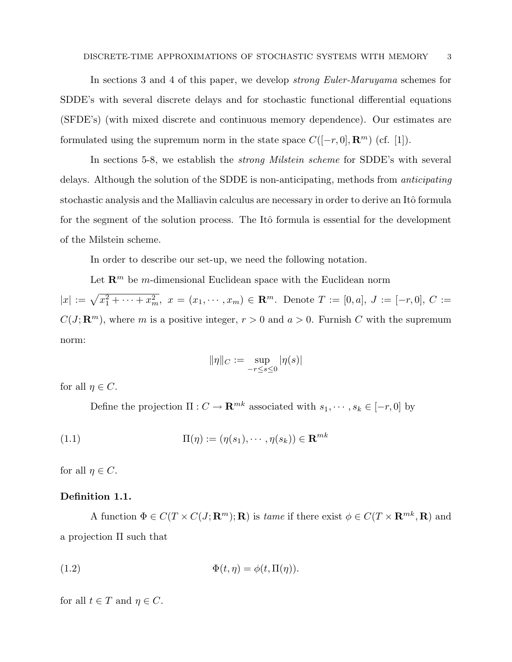In sections 3 and 4 of this paper, we develop strong Euler-Maruyama schemes for SDDE's with several discrete delays and for stochastic functional differential equations (SFDE's) (with mixed discrete and continuous memory dependence). Our estimates are formulated using the supremum norm in the state space  $C([-r, 0], \mathbf{R}^m)$  (cf. [1]).

In sections 5-8, we establish the strong Milstein scheme for SDDE's with several delays. Although the solution of the SDDE is non-anticipating, methods from anticipating stochastic analysis and the Malliavin calculus are necessary in order to derive an Itô formula for the segment of the solution process. The Itô formula is essential for the development of the Milstein scheme.

In order to describe our set-up, we need the following notation.

Let  $\mathbb{R}^m$  be m-dimensional Euclidean space with the Euclidean norm  $|x| := \sqrt{x_1^2 + \cdots + x_m^2}$ ,  $x = (x_1, \dots, x_m) \in \mathbb{R}^m$ . Denote  $T := [0, a], J := [-r, 0], C :=$  $C(J; \mathbf{R}^m)$ , where m is a positive integer,  $r > 0$  and  $a > 0$ . Furnish C with the supremum norm:

$$
\|\eta\|_C:=\sup_{-r\leq s\leq 0}|\eta(s)|
$$

for all  $\eta \in C$ .

Define the projection  $\Pi: C \to \mathbf{R}^{mk}$  associated with  $s_1, \dots, s_k \in [-r, 0]$  by

(1.1) 
$$
\Pi(\eta) := (\eta(s_1), \cdots, \eta(s_k)) \in \mathbf{R}^{mk}
$$

for all  $\eta \in C$ .

### Definition 1.1.

A function  $\Phi \in C(T \times C(J; \mathbf{R}^m); \mathbf{R})$  is tame if there exist  $\phi \in C(T \times \mathbf{R}^{mk}, \mathbf{R})$  and a projection Π such that

(1.2) 
$$
\Phi(t,\eta) = \phi(t,\Pi(\eta)).
$$

for all  $t \in T$  and  $\eta \in C$ .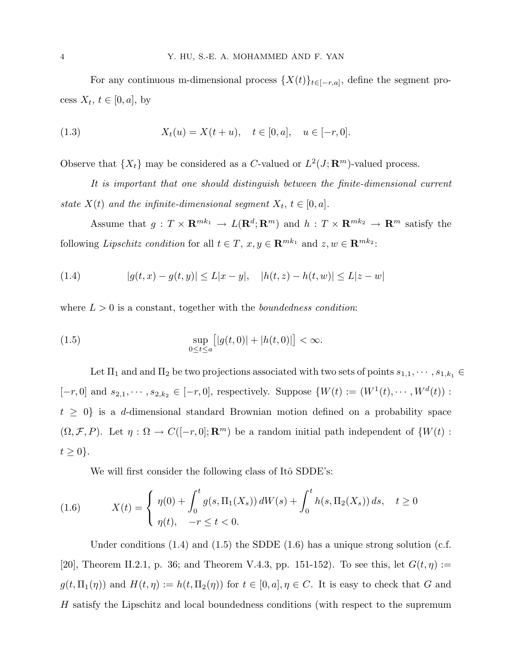For any continuous m-dimensional process  $\{X(t)\}_{t\in[-r,a]},$  define the segment process  $X_t$ ,  $t \in [0, a]$ , by

(1.3) 
$$
X_t(u) = X(t+u), \quad t \in [0, a], \quad u \in [-r, 0].
$$

Observe that  $\{X_t\}$  may be considered as a C-valued or  $L^2(J; \mathbf{R}^m)$ -valued process.

It is important that one should distinguish between the finite-dimensional current state  $X(t)$  and the infinite-dimensional segment  $X_t, t \in [0, a]$ .

Assume that  $g: T \times \mathbf{R}^{mk_1} \to L(\mathbf{R}^d; \mathbf{R}^m)$  and  $h: T \times \mathbf{R}^{mk_2} \to \mathbf{R}^m$  satisfy the following Lipschitz condition for all  $t \in T$ ,  $x, y \in \mathbb{R}^{mk_1}$  and  $z, w \in \mathbb{R}^{mk_2}$ :

(1.4) 
$$
|g(t,x) - g(t,y)| \le L|x - y|, \quad |h(t,z) - h(t,w)| \le L|z - w|
$$

where  $L > 0$  is a constant, together with the *boundedness condition*:

(1.5) 
$$
\sup_{0 \le t \le a} [|g(t, 0)| + |h(t, 0)|] < \infty.
$$

Let  $\Pi_1$  and and  $\Pi_2$  be two projections associated with two sets of points  $s_{1,1},\cdots,s_{1,k_1}\in$  $[-r, 0]$  and  $s_{2,1}, \dots, s_{2,k_2} \in [-r, 0]$ , respectively. Suppose  $\{W(t) := (W^1(t), \dots, W^d(t))\}$ :  $t \geq 0$  is a d-dimensional standard Brownian motion defined on a probability space  $(\Omega, \mathcal{F}, P)$ . Let  $\eta : \Omega \to C([-r, 0]; \mathbf{R}^m)$  be a random initial path independent of  $\{W(t) :$  $t \geq 0$ .

We will first consider the following class of Itô SDDE's:

(1.6) 
$$
X(t) = \begin{cases} \eta(0) + \int_0^t g(s, \Pi_1(X_s)) dW(s) + \int_0^t h(s, \Pi_2(X_s)) ds, & t \ge 0 \\ \eta(t), & -r \le t < 0. \end{cases}
$$

Under conditions  $(1.4)$  and  $(1.5)$  the SDDE  $(1.6)$  has a unique strong solution (c.f. [20], Theorem II.2.1, p. 36; and Theorem V.4.3, pp. 151-152). To see this, let  $G(t, \eta) :=$  $g(t, \Pi_1(\eta))$  and  $H(t, \eta) := h(t, \Pi_2(\eta))$  for  $t \in [0, a], \eta \in C$ . It is easy to check that G and H satisfy the Lipschitz and local boundedness conditions (with respect to the supremum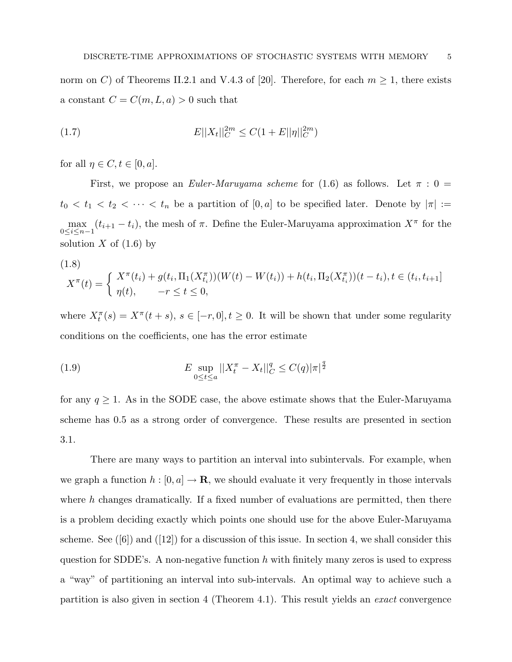norm on C) of Theorems II.2.1 and V.4.3 of [20]. Therefore, for each  $m \geq 1$ , there exists a constant  $C=C(m,{\cal L},a)>0$  such that

(1.7) 
$$
E||X_t||_C^{2m} \le C(1+E||\eta||_C^{2m})
$$

for all  $\eta \in C, t \in [0, a]$ .

First, we propose an *Euler-Maruyama scheme* for (1.6) as follows. Let  $\pi : 0 =$  $t_0 < t_1 < t_2 < \cdots < t_n$  be a partition of  $[0, a]$  to be specified later. Denote by  $|\pi| :=$  $\max_{0 \leq i \leq n-1} (t_{i+1} - t_i)$ , the mesh of  $\pi$ . Define the Euler-Maruyama approximation  $X^{\pi}$  for the solution  $X$  of  $(1.6)$  by

(1.8)  
\n
$$
X^{\pi}(t) = \begin{cases} X^{\pi}(t_i) + g(t_i, \Pi_1(X_{t_i}^{\pi})) (W(t) - W(t_i)) + h(t_i, \Pi_2(X_{t_i}^{\pi})) (t - t_i), t \in (t_i, t_{i+1}] \\ \eta(t), & -r \le t \le 0, \end{cases}
$$

where  $X_t^{\pi}(s) = X^{\pi}(t+s), s \in [-r, 0], t \ge 0$ . It will be shown that under some regularity conditions on the coefficients, one has the error estimate

(1.9) 
$$
E \sup_{0 \le t \le a} ||X_t^{\pi} - X_t||_C^q \le C(q) |\pi|^{\frac{q}{2}}
$$

for any  $q \geq 1$ . As in the SODE case, the above estimate shows that the Euler-Maruyama scheme has 0.5 as a strong order of convergence. These results are presented in section 3.1.

There are many ways to partition an interval into subintervals. For example, when we graph a function  $h : [0, a] \to \mathbf{R}$ , we should evaluate it very frequently in those intervals where h changes dramatically. If a fixed number of evaluations are permitted, then there is a problem deciding exactly which points one should use for the above Euler-Maruyama scheme. See  $([6])$  and  $([12])$  for a discussion of this issue. In section 4, we shall consider this question for SDDE's. A non-negative function  $h$  with finitely many zeros is used to express a "way" of partitioning an interval into sub-intervals. An optimal way to achieve such a partition is also given in section 4 (Theorem 4.1). This result yields an exact convergence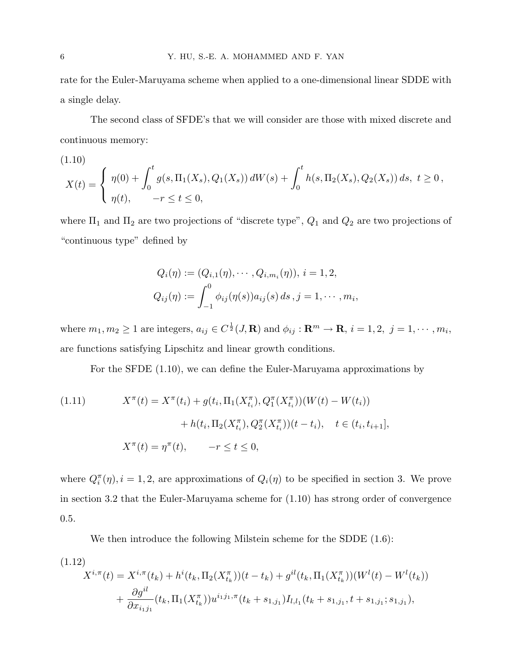rate for the Euler-Maruyama scheme when applied to a one-dimensional linear SDDE with a single delay.

The second class of SFDE's that we will consider are those with mixed discrete and continuous memory:

(1.10)  
\n
$$
X(t) = \begin{cases} \eta(0) + \int_0^t g(s, \Pi_1(X_s), Q_1(X_s)) dW(s) + \int_0^t h(s, \Pi_2(X_s), Q_2(X_s)) ds, \ t \ge 0, \\ \eta(t), \quad -r \le t \le 0, \end{cases}
$$

where  $\Pi_1$  and  $\Pi_2$  are two projections of "discrete type",  $Q_1$  and  $Q_2$  are two projections of "continuous type" defined by

$$
Q_i(\eta) := (Q_{i,1}(\eta), \cdots, Q_{i,m_i}(\eta)), i = 1, 2,
$$
  

$$
Q_{ij}(\eta) := \int_{-1}^0 \phi_{ij}(\eta(s)) a_{ij}(s) ds, j = 1, \cdots, m_i,
$$

where  $m_1, m_2 \ge 1$  are integers,  $a_{ij} \in C^{\frac{1}{2}}(J, \mathbf{R})$  and  $\phi_{ij} : \mathbf{R}^m \to \mathbf{R}, i = 1, 2, j = 1, \cdots, m_i$ , are functions satisfying Lipschitz and linear growth conditions.

For the SFDE (1.10), we can define the Euler-Maruyama approximations by

(1.11) 
$$
X^{\pi}(t) = X^{\pi}(t_i) + g(t_i, \Pi_1(X_{t_i}^{\pi}), Q_1^{\pi}(X_{t_i}^{\pi})) (W(t) - W(t_i))
$$

$$
+ h(t_i, \Pi_2(X_{t_i}^{\pi}), Q_2^{\pi}(X_{t_i}^{\pi})) (t - t_i), \quad t \in (t_i, t_{i+1}],
$$

$$
X^{\pi}(t) = \eta^{\pi}(t), \qquad -r \le t \le 0,
$$

where  $Q_i^{\pi}(\eta), i = 1, 2$ , are approximations of  $Q_i(\eta)$  to be specified in section 3. We prove in section 3.2 that the Euler-Maruyama scheme for (1.10) has strong order of convergence 0.5.

We then introduce the following Milstein scheme for the SDDE  $(1.6)$ :

$$
(1.12)
$$
  

$$
X^{i,\pi}(t) = X^{i,\pi}(t_k) + h^i(t_k, \Pi_2(X_{t_k}^{\pi})) (t - t_k) + g^{il}(t_k, \Pi_1(X_{t_k}^{\pi})) (W^l(t) - W^l(t_k))
$$
  

$$
+ \frac{\partial g^{il}}{\partial x_{i_1 j_1}} (t_k, \Pi_1(X_{t_k}^{\pi})) u^{i_1 j_1, \pi}(t_k + s_{1,j_1}) I_{l,l_1}(t_k + s_{1,j_1}, t + s_{1,j_1}; s_{1,j_1}),
$$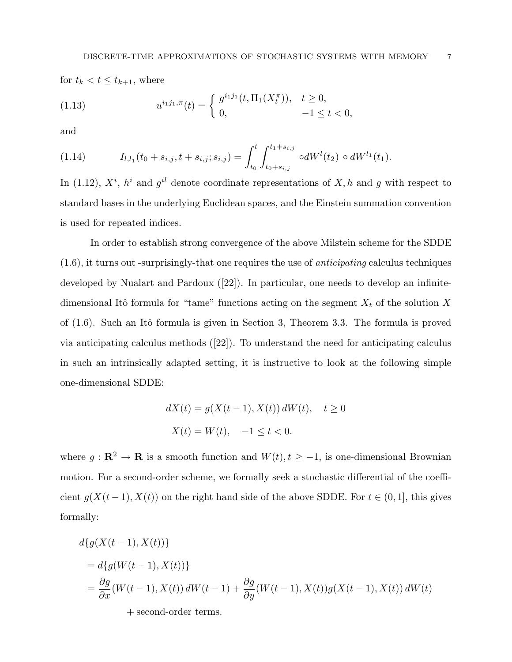for  $t_k < t \leq t_{k+1}$ , where

(1.13) 
$$
u^{i_1j_1,\pi}(t) = \begin{cases} g^{i_1j_1}(t, \Pi_1(X_t^{\pi})), & t \ge 0, \\ 0, & -1 \le t < 0, \end{cases}
$$

and

(1.14) 
$$
I_{l,l_1}(t_0+s_{i,j},t+s_{i,j};s_{i,j})=\int_{t_0}^t \int_{t_0+s_{i,j}}^{t_1+s_{i,j}} \circ dW^l(t_2) \circ dW^{l_1}(t_1).
$$

In (1.12),  $X^i$ ,  $h^i$  and  $g^{il}$  denote coordinate representations of  $X$ , h and g with respect to standard bases in the underlying Euclidean spaces, and the Einstein summation convention is used for repeated indices.

In order to establish strong convergence of the above Milstein scheme for the SDDE (1.6), it turns out -surprisingly-that one requires the use of anticipating calculus techniques developed by Nualart and Pardoux ([22]). In particular, one needs to develop an infinitedimensional Itô formula for "tame" functions acting on the segment  $X_t$  of the solution X of  $(1.6)$ . Such an Itô formula is given in Section 3, Theorem 3.3. The formula is proved via anticipating calculus methods ([22]). To understand the need for anticipating calculus in such an intrinsically adapted setting, it is instructive to look at the following simple one-dimensional SDDE:

$$
dX(t) = g(X(t-1), X(t)) dW(t), \quad t \ge 0
$$
  

$$
X(t) = W(t), \quad -1 \le t < 0.
$$

where  $g: \mathbb{R}^2 \to \mathbb{R}$  is a smooth function and  $W(t), t \ge -1$ , is one-dimensional Brownian motion. For a second-order scheme, we formally seek a stochastic differential of the coefficient  $g(X(t-1), X(t))$  on the right hand side of the above SDDE. For  $t \in (0, 1]$ , this gives formally:

$$
d\{g(X(t-1), X(t))\}
$$
  
=  $d\{g(W(t-1), X(t))\}$   
=  $\frac{\partial g}{\partial x}(W(t-1), X(t)) dW(t-1) + \frac{\partial g}{\partial y}(W(t-1), X(t)) g(X(t-1), X(t)) dW(t)$ 

+ second-order terms.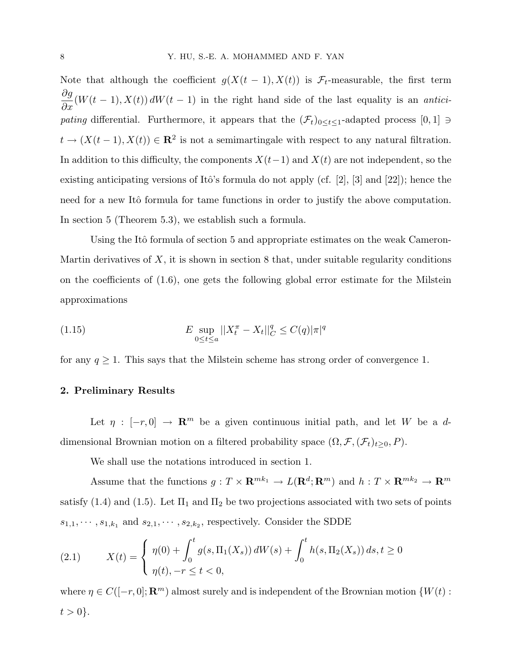Note that although the coefficient  $g(X(t-1), X(t))$  is  $\mathcal{F}_t$ -measurable, the first term  $\partial g$  $\frac{\partial g}{\partial x}(W(t-1), X(t)) dW(t-1)$  in the right hand side of the last equality is an antici*pating* differential. Furthermore, it appears that the  $(\mathcal{F}_t)_{0 \leq t \leq 1}$ -adapted process  $[0,1] \ni$  $t \to (X(t-1), X(t)) \in \mathbb{R}^2$  is not a semimartingale with respect to any natural filtration. In addition to this difficulty, the components  $X(t-1)$  and  $X(t)$  are not independent, so the existing anticipating versions of Itô's formula do not apply (cf. [2], [3] and [22]); hence the need for a new Itô formula for tame functions in order to justify the above computation. In section 5 (Theorem 5.3), we establish such a formula.

Using the Itô formula of section 5 and appropriate estimates on the weak Cameron-Martin derivatives of  $X$ , it is shown in section 8 that, under suitable regularity conditions on the coefficients of (1.6), one gets the following global error estimate for the Milstein approximations

(1.15) 
$$
E \sup_{0 \le t \le a} ||X_t^{\pi} - X_t||_C^q \le C(q) |\pi|^q
$$

for any  $q \geq 1$ . This says that the Milstein scheme has strong order of convergence 1.

### 2. Preliminary Results

Let  $\eta : [-r, 0] \rightarrow \mathbb{R}^m$  be a given continuous initial path, and let W be a ddimensional Brownian motion on a filtered probability space  $(\Omega, \mathcal{F}, (\mathcal{F}_t)_{t\geq 0}, P)$ .

We shall use the notations introduced in section 1.

Assume that the functions  $g: T \times \mathbf{R}^{mk_1} \to L(\mathbf{R}^d; \mathbf{R}^m)$  and  $h: T \times \mathbf{R}^{mk_2} \to \mathbf{R}^m$ satisfy (1.4) and (1.5). Let  $\Pi_1$  and  $\Pi_2$  be two projections associated with two sets of points  $s_{1,1}, \dots, s_{1,k_1}$  and  $s_{2,1}, \dots, s_{2,k_2}$ , respectively. Consider the SDDE

(2.1) 
$$
X(t) = \begin{cases} \eta(0) + \int_0^t g(s, \Pi_1(X_s)) dW(s) + \int_0^t h(s, \Pi_2(X_s)) ds, t \ge 0 \\ \eta(t), -r \le t < 0, \end{cases}
$$

where  $\eta \in C([-r, 0]; \mathbf{R}^m)$  almost surely and is independent of the Brownian motion  $\{W(t) :$  $t > 0$ .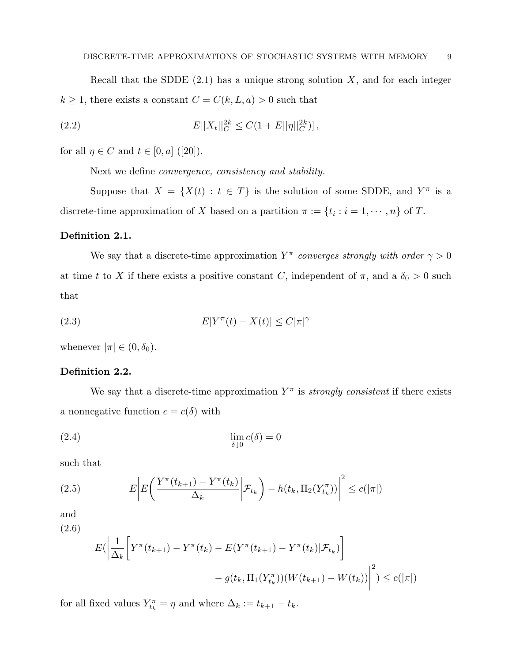Recall that the SDDE  $(2.1)$  has a unique strong solution X, and for each integer  $k \geq 1$ , there exists a constant  $C = C(k, L, a) > 0$  such that

(2.2) 
$$
E||X_t||_C^{2k} \leq C(1+E||\eta||_C^{2k})\, ,
$$

for all  $\eta \in C$  and  $t \in [0, a]$  ([20]).

Next we define convergence, consistency and stability.

Suppose that  $X = \{X(t) : t \in T\}$  is the solution of some SDDE, and  $Y^{\pi}$  is a discrete-time approximation of X based on a partition  $\pi := \{t_i : i = 1, \dots, n\}$  of T.

### Definition 2.1.

We say that a discrete-time approximation  $Y^{\pi}$  converges strongly with order  $\gamma > 0$ at time t to X if there exists a positive constant C, independent of  $\pi$ , and a  $\delta_0 > 0$  such that

$$
(2.3) \t\t\t E|Y^{\pi}(t) - X(t)| \le C|\pi|^{\gamma}
$$

whenever  $|\pi| \in (0, \delta_0)$ .

### Definition 2.2.

We say that a discrete-time approximation  $Y^{\pi}$  is *strongly consistent* if there exists a nonnegative function  $c = c(\delta)$  with

(2.4) 
$$
\lim_{\delta \downarrow 0} c(\delta) = 0
$$

such that

(2.5) 
$$
E\left|E\left(\frac{Y^{\pi}(t_{k+1}) - Y^{\pi}(t_k)}{\Delta_k}\bigg|\mathcal{F}_{t_k}\right) - h(t_k, \Pi_2(Y_{t_k}^{\pi}))\right|^2 \leq c(|\pi|)
$$

and

(2.6)

$$
E\left(\frac{1}{\Delta_{k}}\left[Y^{\pi}(t_{k+1}) - Y^{\pi}(t_{k}) - E(Y^{\pi}(t_{k+1}) - Y^{\pi}(t_{k}) | \mathcal{F}_{t_{k}})\right)\right] - g(t_{k}, \Pi_{1}(Y_{t_{k}}^{\pi}))\left(W(t_{k+1}) - W(t_{k})\right)\right)^{2} \leq c(|\pi|)
$$

for all fixed values  $Y_{t_k}^{\pi} = \eta$  and where  $\Delta_k := t_{k+1} - t_k$ .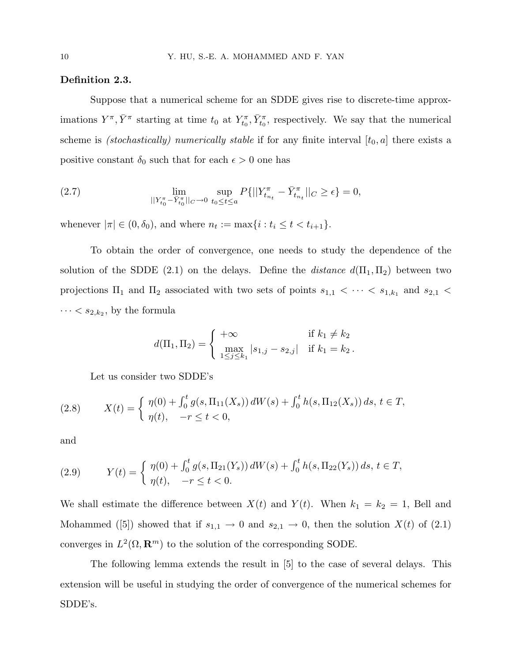### Definition 2.3.

Suppose that a numerical scheme for an SDDE gives rise to discrete-time approximations  $Y^{\pi}, \bar{Y}^{\pi}$  starting at time  $t_0$  at  $Y_{t_0}^{\pi}, \bar{Y}_{t_0}^{\pi}$ , respectively. We say that the numerical scheme is *(stochastically)* numerically stable if for any finite interval  $[t_0, a]$  there exists a positive constant  $\delta_0$  such that for each  $\epsilon > 0$  one has

(2.7) 
$$
\lim_{||Y_{t_0}^{\pi} - \bar{Y}_{t_0}^{\pi}||_{C} \to 0} \sup_{t_0 \le t \le a} P\{||Y_{t_{n_t}}^{\pi} - \bar{Y}_{t_{n_t}}^{\pi}||_{C} \ge \epsilon\} = 0,
$$

whenever  $|\pi| \in (0, \delta_0)$ , and where  $n_t := \max\{i : t_i \le t < t_{i+1}\}.$ 

To obtain the order of convergence, one needs to study the dependence of the solution of the SDDE (2.1) on the delays. Define the *distance*  $d(\Pi_1, \Pi_2)$  between two projections  $\Pi_1$  and  $\Pi_2$  associated with two sets of points  $s_{1,1} < \cdots < s_{1,k_1}$  and  $s_{2,1} <$  $\cdots < s_{2,k_2}$ , by the formula

$$
d(\Pi_1, \Pi_2) = \begin{cases} +\infty & \text{if } k_1 \neq k_2 \\ \max_{1 \leq j \leq k_1} |s_{1,j} - s_{2,j}| & \text{if } k_1 = k_2. \end{cases}
$$

Let us consider two SDDE's

(2.8) 
$$
X(t) = \begin{cases} \eta(0) + \int_0^t g(s, \Pi_{11}(X_s)) dW(s) + \int_0^t h(s, \Pi_{12}(X_s)) ds, t \in T, \\ \eta(t), -r \le t < 0, \end{cases}
$$

and

(2.9) 
$$
Y(t) = \begin{cases} \eta(0) + \int_0^t g(s, \Pi_{21}(Y_s)) dW(s) + \int_0^t h(s, \Pi_{22}(Y_s)) ds, t \in T, \\ \eta(t), -r \le t < 0. \end{cases}
$$

We shall estimate the difference between  $X(t)$  and  $Y(t)$ . When  $k_1 = k_2 = 1$ , Bell and Mohammed ([5]) showed that if  $s_{1,1} \to 0$  and  $s_{2,1} \to 0$ , then the solution  $X(t)$  of (2.1) converges in  $L^2(\Omega, \mathbf{R}^m)$  to the solution of the corresponding SODE.

The following lemma extends the result in [5] to the case of several delays. This extension will be useful in studying the order of convergence of the numerical schemes for SDDE's.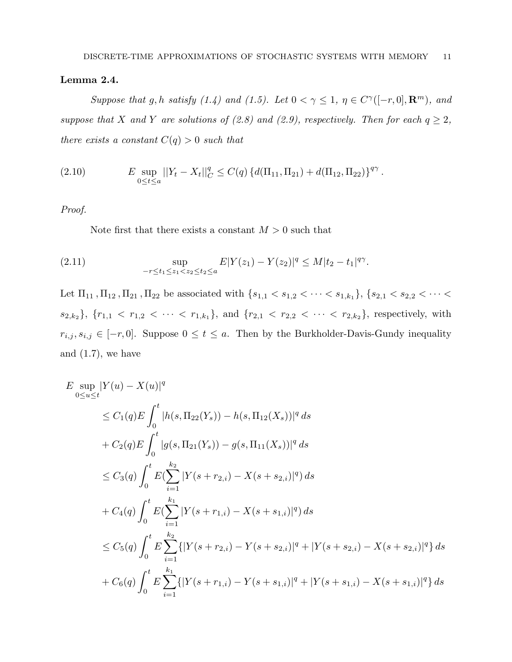### Lemma 2.4.

Suppose that g, h satisfy (1.4) and (1.5). Let  $0 < \gamma \leq 1$ ,  $\eta \in C^{\gamma}([-r,0], \mathbf{R}^m)$ , and suppose that X and Y are solutions of (2.8) and (2.9), respectively. Then for each  $q \geq 2$ , there exists a constant  $C(q) > 0$  such that

(2.10) 
$$
E \sup_{0 \le t \le a} ||Y_t - X_t||_C^q \le C(q) \left\{ d(\Pi_{11}, \Pi_{21}) + d(\Pi_{12}, \Pi_{22}) \right\}^{q\gamma}.
$$

### Proof.

Note first that there exists a constant  $M > 0$  such that

(2.11) 
$$
\sup_{-r\leq t_1\leq z_1\leq z_2\leq t_2\leq a} E|Y(z_1)-Y(z_2)|^q \leq M|t_2-t_1|^{q\gamma}.
$$

Let  $\Pi_{11}, \Pi_{12}, \Pi_{21}, \Pi_{22}$  be associated with  $\{s_{1,1} < s_{1,2} < \cdots < s_{1,k_1}\}, \{s_{2,1} < s_{2,2} < \cdots < s_{1,k_2}\}$  $s_{2,k_2}$ ,  $\{r_{1,1} < r_{1,2} < \cdots < r_{1,k_1}\}$ , and  $\{r_{2,1} < r_{2,2} < \cdots < r_{2,k_2}\}$ , respectively, with  $r_{i,j}, s_{i,j} \in [-r, 0]$ . Suppose  $0 \le t \le a$ . Then by the Burkholder-Davis-Gundy inequality and  $(1.7)$ , we have

$$
E \sup_{0 \le u \le t} |Y(u) - X(u)|^q
$$
  
\n
$$
\le C_1(q)E \int_0^t |h(s, \Pi_{22}(Y_s)) - h(s, \Pi_{12}(X_s))|^q ds
$$
  
\n
$$
+ C_2(q)E \int_0^t |g(s, \Pi_{21}(Y_s)) - g(s, \Pi_{11}(X_s))|^q ds
$$
  
\n
$$
\le C_3(q) \int_0^t E(\sum_{i=1}^{k_2} |Y(s + r_{2,i}) - X(s + s_{2,i})|^q) ds
$$
  
\n
$$
+ C_4(q) \int_0^t E(\sum_{i=1}^{k_1} |Y(s + r_{1,i}) - X(s + s_{1,i})|^q) ds
$$
  
\n
$$
\le C_5(q) \int_0^t E \sum_{i=1}^{k_2} \{ |Y(s + r_{2,i}) - Y(s + s_{2,i})|^q + |Y(s + s_{2,i}) - X(s + s_{2,i})|^q \} ds
$$
  
\n
$$
+ C_6(q) \int_0^t E \sum_{i=1}^{k_1} \{ |Y(s + r_{1,i}) - Y(s + s_{1,i})|^q + |Y(s + s_{1,i}) - X(s + s_{1,i})|^q \} ds
$$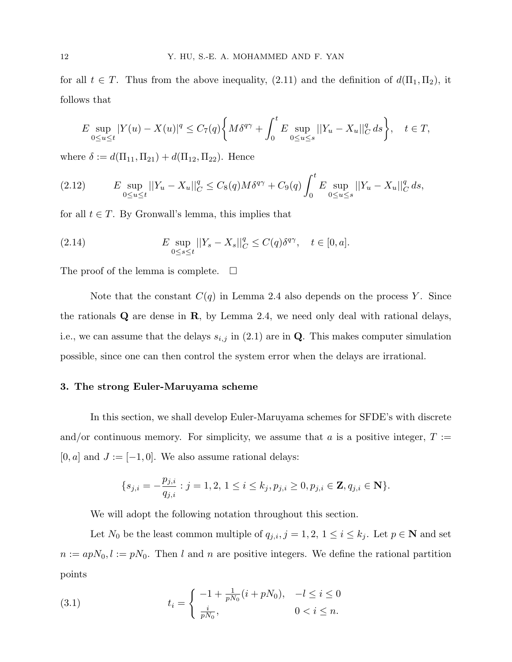for all  $t \in T$ . Thus from the above inequality, (2.11) and the definition of  $d(\Pi_1, \Pi_2)$ , it follows that

$$
E \sup_{0 \le u \le t} |Y(u) - X(u)|^q \le C_7(q) \bigg\{ M \delta^{q\gamma} + \int_0^t E \sup_{0 \le u \le s} ||Y_u - X_u||_C^q ds \bigg\}, \quad t \in T,
$$

where  $\delta := d(\Pi_{11}, \Pi_{21}) + d(\Pi_{12}, \Pi_{22})$ . Hence

(2.12) 
$$
E \sup_{0 \le u \le t} ||Y_u - X_u||_C^q \le C_8(q) M \delta^{q\gamma} + C_9(q) \int_0^t E \sup_{0 \le u \le s} ||Y_u - X_u||_C^q ds,
$$

for all  $t \in T$ . By Gronwall's lemma, this implies that

(2.14) 
$$
E \sup_{0 \le s \le t} ||Y_s - X_s||_C^q \le C(q) \delta^{q\gamma}, \quad t \in [0, a].
$$

The proof of the lemma is complete.  $\Box$ 

Note that the constant  $C(q)$  in Lemma 2.4 also depends on the process Y. Since the rationals  $Q$  are dense in  $R$ , by Lemma 2.4, we need only deal with rational delays, i.e., we can assume that the delays  $s_{i,j}$  in (2.1) are in **Q**. This makes computer simulation possible, since one can then control the system error when the delays are irrational.

### 3. The strong Euler-Maruyama scheme

In this section, we shall develop Euler-Maruyama schemes for SFDE's with discrete and/or continuous memory. For simplicity, we assume that a is a positive integer,  $T :=$  $[0, a]$  and  $J := [-1, 0]$ . We also assume rational delays:

$$
\{s_{j,i}=-\frac{p_{j,i}}{q_{j,i}}: j=1,2,\, 1\leq i\leq k_j, p_{j,i}\geq 0, p_{j,i}\in \mathbf{Z}, q_{j,i}\in \mathbf{N}\}.
$$

We will adopt the following notation throughout this section.

Let  $N_0$  be the least common multiple of  $q_{j,i}$ ,  $j = 1, 2, 1 \le i \le k_j$ . Let  $p \in \mathbb{N}$  and set  $n := apN_0, l := pN_0$ . Then l and n are positive integers. We define the rational partition points

(3.1) 
$$
t_i = \begin{cases} -1 + \frac{1}{pN_0}(i + pN_0), & -l \le i \le 0\\ \frac{i}{pN_0}, & 0 < i \le n. \end{cases}
$$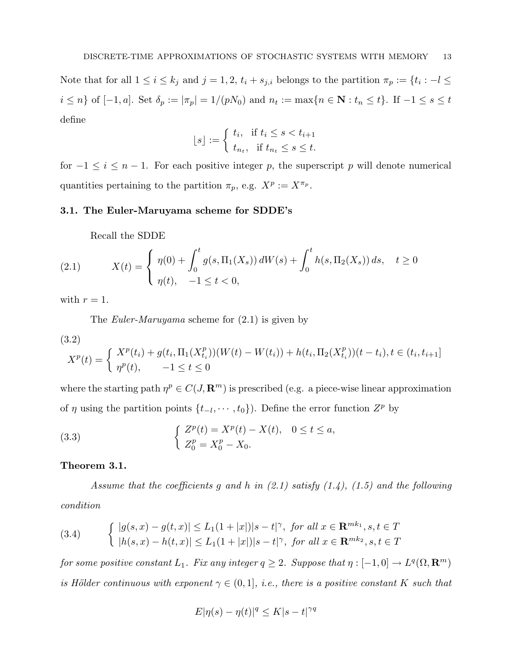Note that for all  $1 \leq i \leq k_j$  and  $j = 1, 2, t_i + s_{j,i}$  belongs to the partition  $\pi_p := \{t_i : -l \leq j \leq k_j\}$  $i \le n$ } of [−1, a]. Set  $\delta_p := |\pi_p| = 1/(pN_0)$  and  $n_t := \max\{n \in \mathbb{N} : t_n \le t\}$ . If  $-1 \le s \le t$ define

$$
\lfloor s \rfloor := \begin{cases} t_i, & \text{if } t_i \le s < t_{i+1} \\ t_{n_t}, & \text{if } t_{n_t} \le s \le t. \end{cases}
$$

for  $-1 \leq i \leq n-1$ . For each positive integer p, the superscript p will denote numerical quantities pertaining to the partition  $\pi_p$ , e.g.  $X^p := X^{\pi_p}$ .

### 3.1. The Euler-Maruyama scheme for SDDE's

Recall the SDDE

(2.1) 
$$
X(t) = \begin{cases} \eta(0) + \int_0^t g(s, \Pi_1(X_s)) dW(s) + \int_0^t h(s, \Pi_2(X_s)) ds, & t \ge 0 \\ \eta(t), & -1 \le t < 0, \end{cases}
$$

with  $r = 1$ .

The *Euler-Maruyama* scheme for  $(2.1)$  is given by

(3.2)

$$
X^{p}(t) = \begin{cases} X^{p}(t_{i}) + g(t_{i}, \Pi_{1}(X_{t_{i}}^{p})) (W(t) - W(t_{i})) + h(t_{i}, \Pi_{2}(X_{t_{i}}^{p})) (t - t_{i}), t \in (t_{i}, t_{i+1}] \\ \eta^{p}(t), \qquad -1 \leq t \leq 0 \end{cases}
$$

where the starting path  $\eta^p \in C(J, \mathbf{R}^m)$  is prescribed (e.g. a piece-wise linear approximation of  $\eta$  using the partition points  $\{t_{-l}, \dots, t_0\}$ . Define the error function  $Z^p$  by

(3.3) 
$$
\begin{cases} Z^p(t) = X^p(t) - X(t), & 0 \le t \le a, \\ Z_0^p = X_0^p - X_0. \end{cases}
$$

### Theorem 3.1.

Assume that the coefficients g and h in  $(2.1)$  satisfy  $(1.4)$ ,  $(1.5)$  and the following condition

(3.4) 
$$
\begin{cases} |g(s,x) - g(t,x)| \le L_1(1+|x|)|s-t|^{\gamma}, \text{ for all } x \in \mathbf{R}^{mk_1}, s, t \in T \\ |h(s,x) - h(t,x)| \le L_1(1+|x|)|s-t|^{\gamma}, \text{ for all } x \in \mathbf{R}^{mk_2}, s, t \in T \end{cases}
$$

for some positive constant  $L_1$ . Fix any integer  $q \geq 2$ . Suppose that  $\eta: [-1,0] \to L^q(\Omega, {\bf R}^m)$ is Hölder continuous with exponent  $\gamma \in (0,1]$ , i.e., there is a positive constant K such that

$$
E|\eta(s) - \eta(t)|^q \le K|s - t|^{\gamma q}
$$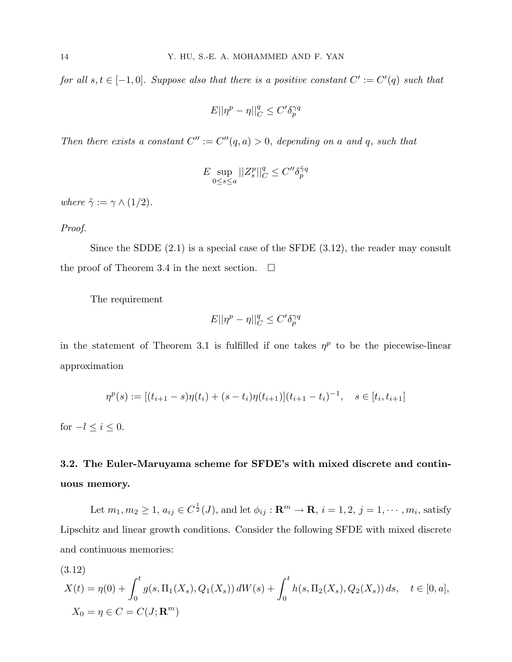for all  $s, t \in [-1, 0]$ . Suppose also that there is a positive constant  $C' := C'(q)$  such that

$$
E||\eta^p - \eta||_C^q \le C' \delta_p^{\gamma q}
$$

Then there exists a constant  $C'' := C''(q, a) > 0$ , depending on a and q, such that

$$
E\sup_{0\leq s\leq a}||Z_s^p||_C^q\leq C''\delta_p^{\tilde{\gamma}q}
$$

where  $\tilde{\gamma} := \gamma \wedge (1/2)$ .

### Proof.

Since the SDDE (2.1) is a special case of the SFDE (3.12), the reader may consult the proof of Theorem 3.4 in the next section.  $\Box$ 

The requirement

$$
E||\eta^p - \eta||_C^q \le C'\delta_p^{\gamma q}
$$

in the statement of Theorem 3.1 is fulfilled if one takes  $\eta^p$  to be the piecewise-linear approximation

$$
\eta^{p}(s) := [(t_{i+1} - s)\eta(t_i) + (s - t_i)\eta(t_{i+1})](t_{i+1} - t_i)^{-1}, \quad s \in [t_i, t_{i+1}]
$$

for  $-l \leq i \leq 0$ .

## 3.2. The Euler-Maruyama scheme for SFDE's with mixed discrete and continuous memory.

Let  $m_1, m_2 \geq 1, a_{ij} \in C^{\frac{1}{2}}(J)$ , and let  $\phi_{ij}: \mathbf{R}^m \to \mathbf{R}, i = 1, 2, j = 1, \cdots, m_i$ , satisfy Lipschitz and linear growth conditions. Consider the following SFDE with mixed discrete and continuous memories:

(3.12)  
\n
$$
X(t) = \eta(0) + \int_0^t g(s, \Pi_1(X_s), Q_1(X_s)) dW(s) + \int_0^t h(s, \Pi_2(X_s), Q_2(X_s)) ds, \quad t \in [0, a],
$$
\n
$$
X_0 = \eta \in C = C(J; \mathbf{R}^m)
$$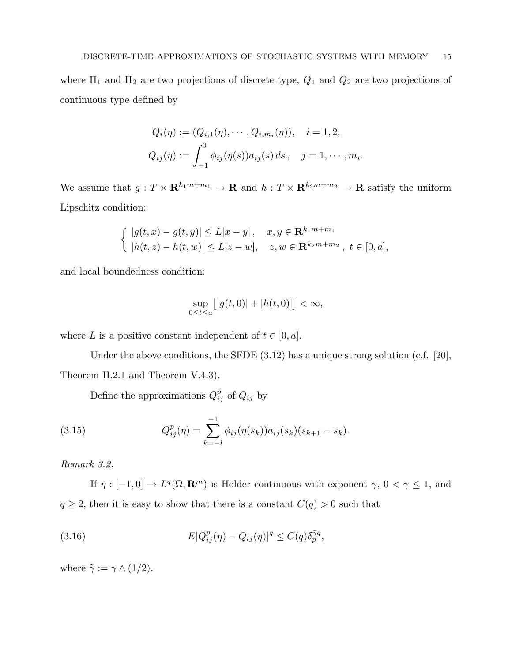where  $\Pi_1$  and  $\Pi_2$  are two projections of discrete type,  $Q_1$  and  $Q_2$  are two projections of continuous type defined by

$$
Q_i(\eta) := (Q_{i,1}(\eta), \cdots, Q_{i,m_i}(\eta)), \quad i = 1, 2,
$$
  

$$
Q_{ij}(\eta) := \int_{-1}^0 \phi_{ij}(\eta(s)) a_{ij}(s) ds, \quad j = 1, \cdots, m_i.
$$

We assume that  $g: T \times \mathbf{R}^{k_1m+m_1} \to \mathbf{R}$  and  $h: T \times \mathbf{R}^{k_2m+m_2} \to \mathbf{R}$  satisfy the uniform Lipschitz condition:

$$
\begin{cases} |g(t,x) - g(t,y)| \le L|x - y|, & x, y \in \mathbf{R}^{k_1 m + m_1} \\ |h(t,z) - h(t,w)| \le L|z - w|, & z, w \in \mathbf{R}^{k_2 m + m_2}, \ t \in [0, a], \end{cases}
$$

and local boundedness condition:

$$
\sup_{0\leq t\leq a}\bigl[|g(t,0)|+|h(t,0)|\bigr]<\infty,
$$

where L is a positive constant independent of  $t \in [0, a]$ .

Under the above conditions, the SFDE (3.12) has a unique strong solution (c.f. [20], Theorem II.2.1 and Theorem V.4.3).

Define the approximations  $Q_{ij}^p$  of  $Q_{ij}$  by

(3.15) 
$$
Q_{ij}^{p}(\eta) = \sum_{k=-l}^{-1} \phi_{ij}(\eta(s_k)) a_{ij}(s_k)(s_{k+1} - s_k).
$$

Remark 3.2.

If  $\eta: [-1,0] \to L^q(\Omega,\mathbf{R}^m)$  is Hölder continuous with exponent  $\gamma, 0 < \gamma \leq 1$ , and  $q \geq 2$ , then it is easy to show that there is a constant  $C(q) > 0$  such that

(3.16) 
$$
E|Q_{ij}^p(\eta) - Q_{ij}(\eta)|^q \leq C(q)\delta_p^{\tilde{\gamma}q},
$$

where  $\tilde{\gamma} := \gamma \wedge (1/2)$ .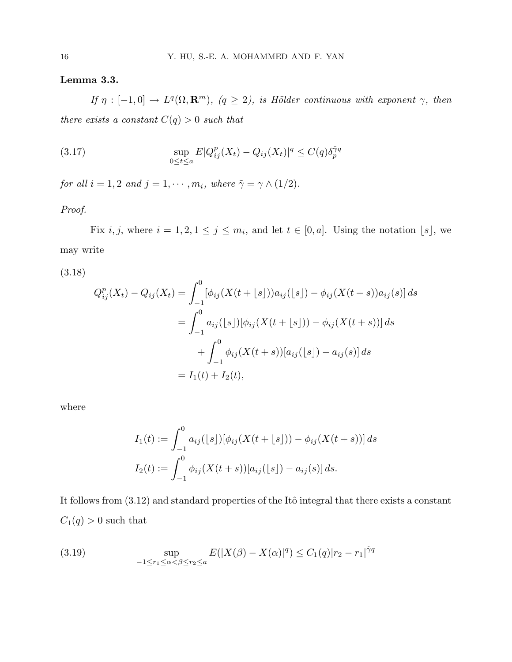### Lemma 3.3.

If  $\eta : [-1,0] \to L^q(\Omega, \mathbf{R}^m)$ ,  $(q \geq 2)$ , is Hölder continuous with exponent  $\gamma$ , then there exists a constant  $C(q) > 0$  such that

(3.17) 
$$
\sup_{0 \le t \le a} E|Q_{ij}^p(X_t) - Q_{ij}(X_t)|^q \le C(q)\delta_p^{\tilde{\gamma}q}
$$

for all  $i = 1, 2$  and  $j = 1, \dots, m_i$ , where  $\tilde{\gamma} = \gamma \wedge (1/2)$ .

### Proof.

Fix *i*, *j*, where  $i = 1, 2, 1 \le j \le m_i$ , and let  $t \in [0, a]$ . Using the notation [s], we may write

(3.18)

$$
Q_{ij}^{p}(X_{t}) - Q_{ij}(X_{t}) = \int_{-1}^{0} [\phi_{ij}(X(t + \lfloor s \rfloor))a_{ij}(\lfloor s \rfloor) - \phi_{ij}(X(t + s))a_{ij}(s)] ds
$$
  

$$
= \int_{-1}^{0} a_{ij}(\lfloor s \rfloor)[\phi_{ij}(X(t + \lfloor s \rfloor)) - \phi_{ij}(X(t + s))] ds
$$
  

$$
+ \int_{-1}^{0} \phi_{ij}(X(t + s))[a_{ij}(\lfloor s \rfloor) - a_{ij}(s)] ds
$$
  

$$
= I_{1}(t) + I_{2}(t),
$$

where

$$
I_1(t) := \int_{-1}^0 a_{ij}(\lfloor s \rfloor) [\phi_{ij}(X(t + \lfloor s \rfloor)) - \phi_{ij}(X(t + s))] ds
$$
  

$$
I_2(t) := \int_{-1}^0 \phi_{ij}(X(t + s)) [a_{ij}(\lfloor s \rfloor) - a_{ij}(s)] ds.
$$

It follows from  $(3.12)$  and standard properties of the Itô integral that there exists a constant  $C_1(q) > 0$  such that

(3.19) 
$$
\sup_{-1 \le r_1 \le \alpha < \beta \le r_2 \le a} E(|X(\beta) - X(\alpha)|^q) \le C_1(q) |r_2 - r_1|^{7q}
$$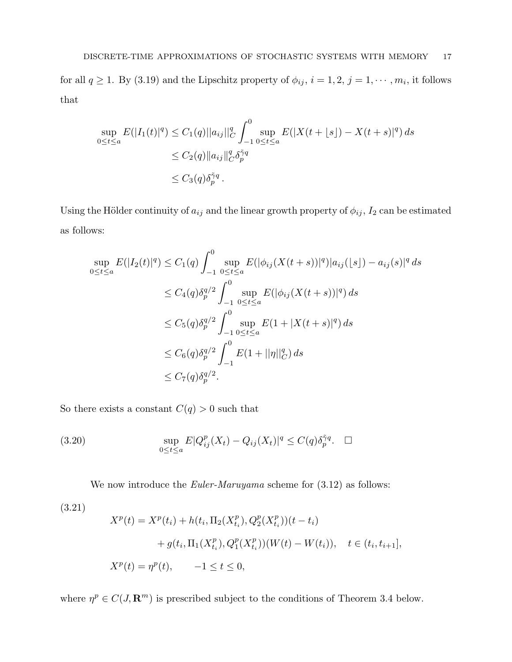for all  $q \ge 1$ . By (3.19) and the Lipschitz property of  $\phi_{ij}$ ,  $i = 1, 2, j = 1, \cdots, m_i$ , it follows that

$$
\sup_{0 \le t \le a} E(|I_1(t)|^q) \le C_1(q) ||a_{ij}||_C^q \int_{-1}^0 \sup_{0 \le t \le a} E(|X(t + \lfloor s \rfloor) - X(t + s)|^q) ds
$$
  

$$
\le C_2(q) ||a_{ij}||_C^q \delta_p^{\tilde{\gamma}q}
$$
  

$$
\le C_3(q) \delta_p^{\tilde{\gamma}q}.
$$

Using the Hölder continuity of  $a_{ij}$  and the linear growth property of  $\phi_{ij}$ ,  $I_2$  can be estimated as follows:

$$
\sup_{0 \le t \le a} E(|I_2(t)|^q) \le C_1(q) \int_{-1}^0 \sup_{0 \le t \le a} E(|\phi_{ij}(X(t+s))|^q) |a_{ij}(|s|) - a_{ij}(s)|^q ds
$$
  
\n
$$
\le C_4(q) \delta_p^{q/2} \int_{-1}^0 \sup_{0 \le t \le a} E(|\phi_{ij}(X(t+s))|^q) ds
$$
  
\n
$$
\le C_5(q) \delta_p^{q/2} \int_{-1}^0 \sup_{0 \le t \le a} E(1+|X(t+s)|^q) ds
$$
  
\n
$$
\le C_6(q) \delta_p^{q/2} \int_{-1}^0 E(1+||\eta||_C^q) ds
$$
  
\n
$$
\le C_7(q) \delta_p^{q/2}.
$$

So there exists a constant  $C(q) > 0$  such that

(3.20) 
$$
\sup_{0 \le t \le a} E|Q_{ij}^p(X_t) - Q_{ij}(X_t)|^q \le C(q)\delta_p^{\tilde{\gamma}q}.\quad \Box
$$

We now introduce the *Euler-Maruyama* scheme for  $(3.12)$  as follows:

(3.21)  
\n
$$
X^{p}(t) = X^{p}(t_{i}) + h(t_{i}, \Pi_{2}(X_{t_{i}}^{p}), Q_{2}^{p}(X_{t_{i}}^{p}))(t - t_{i})
$$
\n
$$
+ g(t_{i}, \Pi_{1}(X_{t_{i}}^{p}), Q_{1}^{p}(X_{t_{i}}^{p}))(W(t) - W(t_{i})), \quad t \in (t_{i}, t_{i+1}],
$$
\n
$$
X^{p}(t) = \eta^{p}(t), \qquad -1 \le t \le 0,
$$

where  $\eta^p \in C(J, \mathbf{R}^m)$  is prescribed subject to the conditions of Theorem 3.4 below.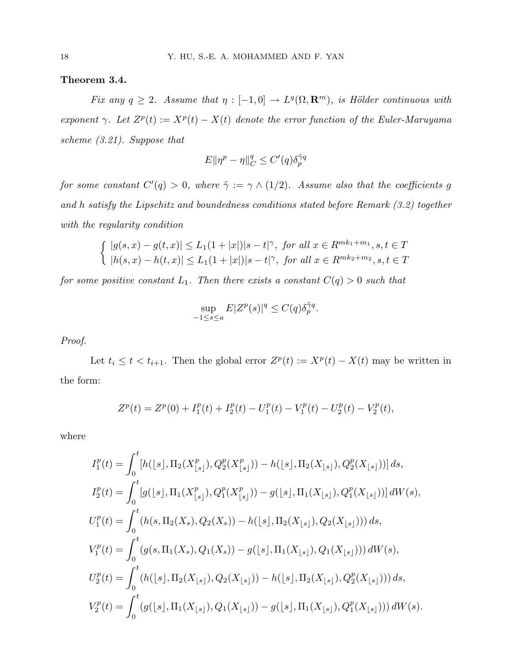### Theorem 3.4.

Fix any  $q \geq 2$ . Assume that  $\eta : [-1,0] \to L^q(\Omega, \mathbb{R}^m)$ , is Hölder continuous with exponent  $\gamma$ . Let  $Z^p(t) := X^p(t) - X(t)$  denote the error function of the Euler-Maruyama scheme (3.21). Suppose that

$$
E\|\eta^p - \eta\|_C^q \le C'(q)\delta_p^{\tilde{\gamma}q}
$$

for some constant  $C'(q) > 0$ , where  $\tilde{\gamma} := \gamma \wedge (1/2)$ . Assume also that the coefficients g and h satisfy the Lipschitz and boundedness conditions stated before Remark (3.2) together with the regularity condition

$$
\begin{cases} |g(s,x) - g(t,x)| \le L_1(1+|x|)|s-t|^{\gamma}, \text{ for all } x \in R^{mk_1+m_1}, s, t \in T \\ |h(s,x) - h(t,x)| \le L_1(1+|x|)|s-t|^{\gamma}, \text{ for all } x \in R^{mk_2+m_2}, s, t \in T \end{cases}
$$

for some positive constant  $L_1$ . Then there exists a constant  $C(q) > 0$  such that

$$
\sup_{-1 \le s \le a} E|Z^p(s)|^q \le C(q)\delta_p^{\tilde{\gamma}q}.
$$

Proof.

Let  $t_i \leq t < t_{i+1}$ . Then the global error  $Z^p(t) := X^p(t) - X(t)$  may be written in the form:

$$
Z^{p}(t) = Z^{p}(0) + I_{1}^{p}(t) + I_{2}^{p}(t) - U_{1}^{p}(t) - V_{1}^{p}(t) - U_{2}^{p}(t) - V_{2}^{p}(t),
$$

where

$$
I_1^p(t) = \int_0^t [h([s], \Pi_2(X_{\lfloor s\rfloor}^p), Q_2^p(X_{\lfloor s\rfloor}^p)) - h([s], \Pi_2(X_{\lfloor s\rfloor}), Q_2^p(X_{\lfloor s\rfloor}))] ds,
$$
  
\n
$$
I_2^p(t) = \int_0^t [g([s], \Pi_1(X_{\lfloor s\rfloor}^p), Q_1^p(X_{\lfloor s\rfloor}^p)) - g([s], \Pi_1(X_{\lfloor s\rfloor}), Q_1^p(X_{\lfloor s\rfloor}))] dW(s),
$$
  
\n
$$
U_1^p(t) = \int_0^t (h(s, \Pi_2(X_s), Q_2(X_s)) - h([s], \Pi_2(X_{\lfloor s\rfloor}), Q_2(X_{\lfloor s\rfloor}))) ds,
$$
  
\n
$$
V_1^p(t) = \int_0^t (g(s, \Pi_1(X_s), Q_1(X_s)) - g([s], \Pi_1(X_{\lfloor s\rfloor}), Q_1(X_{\lfloor s\rfloor}))) dW(s),
$$
  
\n
$$
U_2^p(t) = \int_0^t (h([s], \Pi_2(X_{\lfloor s\rfloor}), Q_2(X_{\lfloor s\rfloor})) - h([s], \Pi_2(X_{\lfloor s\rfloor}), Q_2^p(X_{\lfloor s\rfloor}))) ds,
$$
  
\n
$$
V_2^p(t) = \int_0^t (g([s], \Pi_1(X_{\lfloor s\rfloor}), Q_1(X_{\lfloor s\rfloor})) - g([s], \Pi_1(X_{\lfloor s\rfloor}), Q_1^p(X_{\lfloor s\rfloor}))) dW(s).
$$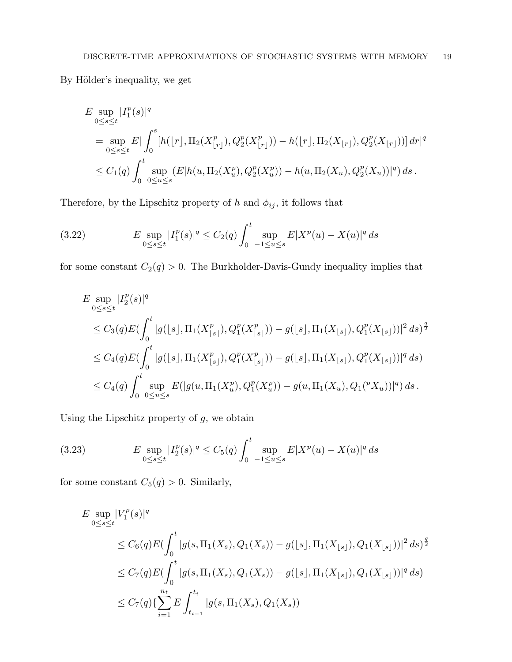By Hölder's inequality, we get

$$
E \sup_{0 \le s \le t} |I_1^p(s)|^q
$$
  
= 
$$
\sup_{0 \le s \le t} E \left| \int_0^s [h([r], \Pi_2(X_{\lfloor r \rfloor}^p), Q_2^p(X_{\lfloor r \rfloor}^p)) - h([r], \Pi_2(X_{\lfloor r \rfloor}), Q_2^p(X_{\lfloor r \rfloor}))] dr \right|^q
$$
  

$$
\le C_1(q) \int_0^t \sup_{0 \le u \le s} (E | h(u, \Pi_2(X_u^p), Q_2^p(X_u^p)) - h(u, \Pi_2(X_u), Q_2^p(X_u)) |^q) ds.
$$

Therefore, by the Lipschitz property of  $h$  and  $\phi_{ij},$  it follows that

(3.22) 
$$
E \sup_{0 \le s \le t} |I_1^p(s)|^q \le C_2(q) \int_0^t \sup_{-1 \le u \le s} E|X^p(u) - X(u)|^q ds
$$

for some constant  $C_2(q) > 0$ . The Burkholder-Davis-Gundy inequality implies that

$$
E \sup_{0 \le s \le t} |I_2^p(s)|^q
$$
  
\n
$$
\le C_3(q) E(\int_0^t |g([s], \Pi_1(X_{\lfloor s \rfloor}^p), Q_1^p(X_{\lfloor s \rfloor}^p)) - g([s], \Pi_1(X_{\lfloor s \rfloor}), Q_1^p(X_{\lfloor s \rfloor}))|^2 ds)^{\frac{q}{2}}
$$
  
\n
$$
\le C_4(q) E(\int_0^t |g([s], \Pi_1(X_{\lfloor s \rfloor}^p), Q_1^p(X_{\lfloor s \rfloor}^p)) - g([s], \Pi_1(X_{\lfloor s \rfloor}), Q_1^p(X_{\lfloor s \rfloor}))|^q ds)
$$
  
\n
$$
\le C_4(q) \int_0^t \sup_{0 \le u \le s} E(|g(u, \Pi_1(X_u^p), Q_1^p(X_u^p)) - g(u, \Pi_1(X_u), Q_1(PX_u))|^q) ds.
$$

Using the Lipschitz property of  $g$ , we obtain

(3.23) 
$$
E \sup_{0 \le s \le t} |I_2^p(s)|^q \le C_5(q) \int_0^t \sup_{-1 \le u \le s} E|X^p(u) - X(u)|^q ds
$$

for some constant  $C_5(q) > 0$ . Similarly,

$$
E \sup_{0 \le s \le t} |V_1^p(s)|^q
$$
  
\n
$$
\le C_6(q) E(\int_0^t |g(s, \Pi_1(X_s), Q_1(X_s)) - g(|s|, \Pi_1(X_{\lfloor s \rfloor}), Q_1(X_{\lfloor s \rfloor}))|^2 ds)^{\frac{q}{2}}
$$
  
\n
$$
\le C_7(q) E(\int_0^t |g(s, \Pi_1(X_s), Q_1(X_s)) - g(|s|, \Pi_1(X_{\lfloor s \rfloor}), Q_1(X_{\lfloor s \rfloor}))|^q ds)
$$
  
\n
$$
\le C_7(q) \{ \sum_{i=1}^{n_t} E \int_{t_{i-1}}^{t_i} |g(s, \Pi_1(X_s), Q_1(X_s)) - g(|s|, \Pi_1(X_{\lfloor s \rfloor}), Q_1(X_{\lfloor s \rfloor}))|^q ds \}
$$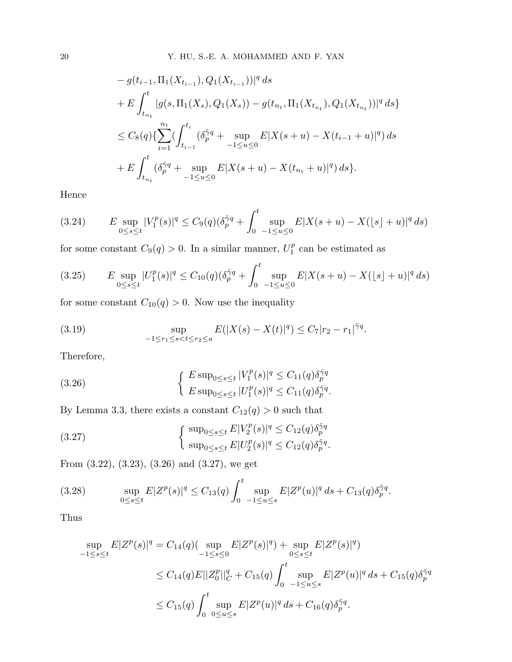$$
- g(t_{i-1}, \Pi_1(X_{t_{i-1}}), Q_1(X_{t_{i-1}}))|^q ds
$$
  
+ 
$$
E \int_{t_{n_t}}^t |g(s, \Pi_1(X_s), Q_1(X_s)) - g(t_{n_t}, \Pi_1(X_{t_{n_t}}), Q_1(X_{t_{n_t}}))|^q ds
$$
  

$$
\leq C_8(q) \{ \sum_{i=1}^{n_t} (\int_{t_{i-1}}^{t_i} (\delta_p^{\tilde{\gamma}q} + \sup_{-1 \leq u \leq 0} E|X(s+u) - X(t_{i-1}+u)|^q) ds
$$
  
+ 
$$
E \int_{t_{n_t}}^t (\delta_p^{\tilde{\gamma}q} + \sup_{-1 \leq u \leq 0} E|X(s+u) - X(t_{n_t}+u)|^q) ds \}.
$$

Hence

$$
(3.24) \qquad E \sup_{0 \le s \le t} |V_1^p(s)|^q \le C_9(q) (\delta_p^{\tilde{\gamma}q} + \int_0^t \sup_{-1 \le u \le 0} E|X(s+u) - X(|s|+u)|^q ds)
$$

for some constant  $C_9(q) > 0$ . In a similar manner,  $U_1^p$  $n<sub>1</sub><sup>p</sup>$  can be estimated as

$$
(3.25) \qquad E \sup_{0 \le s \le t} |U_1^p(s)|^q \le C_{10}(q) \left(\delta_p^{\tilde{\gamma}q} + \int_0^t \sup_{-1 \le u \le 0} E|X(s+u) - X(|s|+u)|^q \, ds\right)
$$

for some constant  $C_{10}(q) > 0$ . Now use the inequality

(3.19) 
$$
\sup_{-1 \le r_1 \le s < t \le r_2 \le a} E(|X(s) - X(t)|^q) \le C_7 |r_2 - r_1|^{\tilde{\gamma}q}.
$$

Therefore,

(3.26) 
$$
\begin{cases} E \sup_{0 \le s \le t} |V_1^p(s)|^q \le C_{11}(q) \delta_p^{\tilde{\gamma}q} \\ E \sup_{0 \le s \le t} |U_1^p(s)|^q \le C_{11}(q) \delta_p^{\tilde{\gamma}q} .\end{cases}
$$

By Lemma 3.3, there exists a constant  $C_{12}(q) > 0$  such that

(3.27) 
$$
\begin{cases} \sup_{0 \le s \le t} E|V_2^p(s)|^q \le C_{12}(q)\delta_p^{\tilde{\gamma}q} \\ \sup_{0 \le s \le t} E|U_2^p(s)|^q \le C_{12}(q)\delta_p^{\tilde{\gamma}q} .\end{cases}
$$

From (3.22), (3.23), (3.26) and (3.27), we get

(3.28) 
$$
\sup_{0\le s\le t} E|Z^p(s)|^q \le C_{13}(q) \int_0^t \sup_{-1\le u\le s} E|Z^p(u)|^q ds + C_{13}(q)\delta_p^{\tilde{\gamma}q}.
$$

Thus

$$
\sup_{-1 \le s \le t} E|Z^p(s)|^q = C_{14}(q)(\sup_{-1 \le s \le 0} E|Z^p(s)|^q) + \sup_{0 \le s \le t} E|Z^p(s)|^q)
$$
  

$$
\le C_{14}(q)E||Z_0^p||_C^q + C_{15}(q)\int_0^t \sup_{-1 \le u \le s} E|Z^p(u)|^q ds + C_{15}(q)\delta_p^{\tilde{\gamma}q}
$$
  

$$
\le C_{15}(q)\int_0^t \sup_{0 \le u \le s} E|Z^p(u)|^q ds + C_{16}(q)\delta_p^{\tilde{\gamma}q}.
$$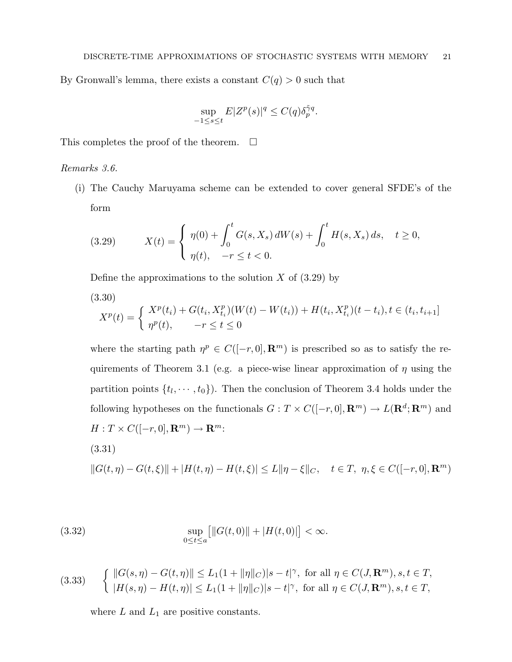By Gronwall's lemma, there exists a constant  $C(q) > 0$  such that

$$
\sup_{-1 \le s \le t} E|Z^p(s)|^q \le C(q)\delta_p^{\tilde{\gamma}q}.
$$

This completes the proof of the theorem.  $\Box$ 

### Remarks 3.6.

(i) The Cauchy Maruyama scheme can be extended to cover general SFDE's of the form

(3.29) 
$$
X(t) = \begin{cases} \eta(0) + \int_0^t G(s, X_s) dW(s) + \int_0^t H(s, X_s) ds, & t \ge 0, \\ \eta(t), & -r \le t < 0. \end{cases}
$$

Define the approximations to the solution  $X$  of  $(3.29)$  by

$$
(3.30)
$$
  

$$
X^{p}(t) = \begin{cases} X^{p}(t_{i}) + G(t_{i}, X^{p}_{t_{i}})(W(t) - W(t_{i})) + H(t_{i}, X^{p}_{t_{i}})(t - t_{i}), t \in (t_{i}, t_{i+1}] \\ \eta^{p}(t), \quad -r \le t \le 0 \end{cases}
$$

where the starting path  $\eta^p \in C([-r, 0], \mathbf{R}^m)$  is prescribed so as to satisfy the requirements of Theorem 3.1 (e.g. a piece-wise linear approximation of  $\eta$  using the partition points  $\{t_1, \dots, t_0\}$ . Then the conclusion of Theorem 3.4 holds under the following hypotheses on the functionals  $G: T \times C([-r, 0], \mathbf{R}^m) \to L(\mathbf{R}^d; \mathbf{R}^m)$  and  $H:T\times C([-r,0], {\bf R}^m)\rightarrow {\bf R}^m\text{:}$ 

$$
(3.31)
$$

$$
||G(t,\eta) - G(t,\xi)|| + |H(t,\eta) - H(t,\xi)| \le L||\eta - \xi||_C, \quad t \in T, \ \eta, \xi \in C([-r,0], \mathbf{R}^m)
$$

(3.32) 
$$
\sup_{0 \le t \le a} [||G(t,0)|| + |H(t,0)|] < \infty.
$$

(3.33) 
$$
\begin{cases} ||G(s,\eta) - G(t,\eta)|| \le L_1(1+||\eta||_C)|s - t|^{\gamma}, \text{ for all } \eta \in C(J, \mathbf{R}^m), s, t \in T, \\ |H(s,\eta) - H(t,\eta)| \le L_1(1+||\eta||_C)|s - t|^{\gamma}, \text{ for all } \eta \in C(J, \mathbf{R}^m), s, t \in T, \end{cases}
$$

where  $L$  and  $L_1$  are positive constants.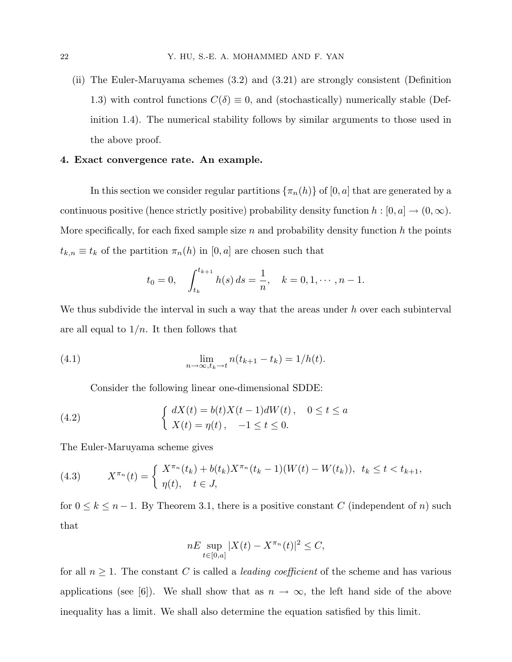(ii) The Euler-Maruyama schemes (3.2) and (3.21) are strongly consistent (Definition 1.3) with control functions  $C(\delta) \equiv 0$ , and (stochastically) numerically stable (Definition 1.4). The numerical stability follows by similar arguments to those used in the above proof.

### 4. Exact convergence rate. An example.

In this section we consider regular partitions  $\{\pi_n(h)\}\$  of  $[0, a]$  that are generated by a continuous positive (hence strictly positive) probability density function  $h : [0, a] \to (0, \infty)$ . More specifically, for each fixed sample size n and probability density function h the points  $t_{k,n} \equiv t_k$  of the partition  $\pi_n(h)$  in [0, a] are chosen such that

$$
t_0 = 0
$$
,  $\int_{t_k}^{t_{k+1}} h(s) ds = \frac{1}{n}$ ,  $k = 0, 1, \dots, n-1$ .

We thus subdivide the interval in such a way that the areas under  $h$  over each subinterval are all equal to  $1/n$ . It then follows that

(4.1) 
$$
\lim_{n \to \infty, t_k \to t} n(t_{k+1} - t_k) = 1/h(t).
$$

Consider the following linear one-dimensional SDDE:

(4.2) 
$$
\begin{cases} dX(t) = b(t)X(t-1)dW(t), & 0 \le t \le a \\ X(t) = \eta(t), & -1 \le t \le 0. \end{cases}
$$

The Euler-Maruyama scheme gives

(4.3) 
$$
X^{\pi_n}(t) = \begin{cases} X^{\pi_n}(t_k) + b(t_k)X^{\pi_n}(t_k - 1)(W(t) - W(t_k)), & t_k \le t < t_{k+1}, \\ \eta(t), & t \in J, \end{cases}
$$

for  $0 \le k \le n-1$ . By Theorem 3.1, there is a positive constant C (independent of n) such that

$$
nE \sup_{t \in [0,a]} |X(t) - X^{\pi_n}(t)|^2 \le C,
$$

for all  $n \geq 1$ . The constant C is called a *leading coefficient* of the scheme and has various applications (see [6]). We shall show that as  $n \to \infty$ , the left hand side of the above inequality has a limit. We shall also determine the equation satisfied by this limit.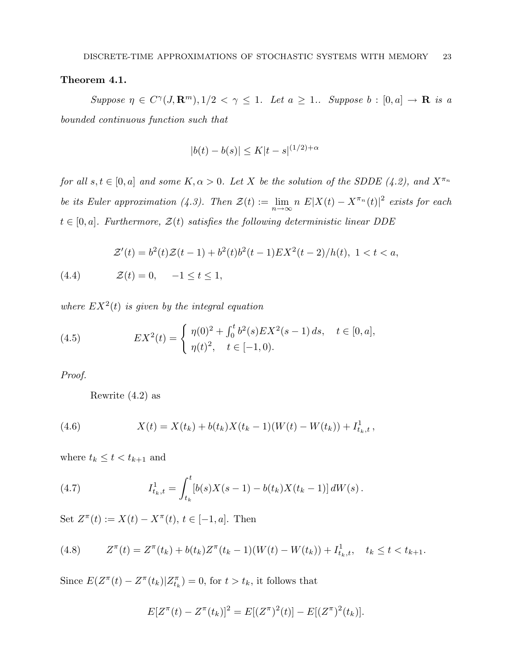### Theorem 4.1.

Suppose  $\eta \in C^{\gamma}(J, \mathbf{R}^m), 1/2 < \gamma \leq 1$ . Let  $a \geq 1$ . Suppose  $b : [0, a] \to \mathbf{R}$  is a bounded continuous function such that

$$
|b(t) - b(s)| \le K|t - s|^{(1/2) + \alpha}
$$

for all  $s, t \in [0, a]$  and some  $K, \alpha > 0$ . Let X be the solution of the SDDE (4.2), and  $X^{\pi_n}$ be its Euler approximation (4.3). Then  $\mathcal{Z}(t) := \lim_{n \to \infty} n E|X(t) - X^{\pi_n}(t)|^2$  exists for each  $t \in [0, a]$ . Furthermore,  $\mathcal{Z}(t)$  satisfies the following deterministic linear DDE

(4.4) 
$$
\mathcal{Z}'(t) = b^2(t)\mathcal{Z}(t-1) + b^2(t)b^2(t-1)EX^2(t-2)/h(t), \ 1 < t < a,
$$

$$
\mathcal{Z}(t) = 0, \quad -1 \le t \le 1,
$$

where  $EX^2(t)$  is given by the integral equation

(4.5) 
$$
EX^{2}(t) = \begin{cases} \eta(0)^{2} + \int_{0}^{t} b^{2}(s) EX^{2}(s-1) ds, & t \in [0, a], \\ \eta(t)^{2}, & t \in [-1, 0). \end{cases}
$$

Proof.

Rewrite (4.2) as

(4.6) 
$$
X(t) = X(t_k) + b(t_k)X(t_k - 1)(W(t) - W(t_k)) + I_{t_k, t}^1,
$$

where  $t_k \leq t < t_{k+1}$  and

(4.7) 
$$
I_{t_k,t}^1 = \int_{t_k}^t [b(s)X(s-1) - b(t_k)X(t_k-1)] dW(s).
$$

Set  $Z^{\pi}(t) := X(t) - X^{\pi}(t), t \in [-1, a]$ . Then

$$
(4.8) \t Z^{\pi}(t) = Z^{\pi}(t_k) + b(t_k)Z^{\pi}(t_k - 1)(W(t) - W(t_k)) + I_{t_k, t}^1, \quad t_k \le t < t_{k+1}.
$$

Since  $E(Z^{\pi}(t) - Z^{\pi}(t_k)|Z_{t_k}^{\pi}) = 0$ , for  $t > t_k$ , it follows that

$$
E[Z^{\pi}(t) - Z^{\pi}(t_k)]^2 = E[(Z^{\pi})^2(t)] - E[(Z^{\pi})^2(t_k)].
$$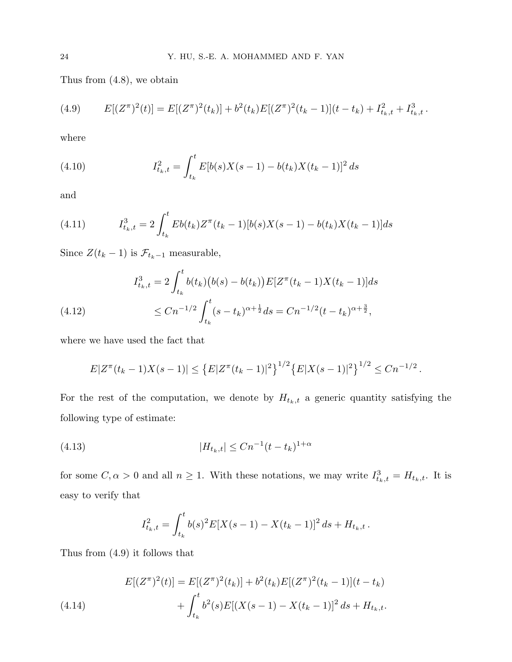Thus from (4.8), we obtain

(4.9) 
$$
E[(Z^{\pi})^{2}(t)] = E[(Z^{\pi})^{2}(t_{k})] + b^{2}(t_{k})E[(Z^{\pi})^{2}(t_{k}-1)](t-t_{k}) + I_{t_{k},t}^{2} + I_{t_{k},t}^{3}.
$$

where

(4.10) 
$$
I_{t_k,t}^2 = \int_{t_k}^t E[b(s)X(s-1) - b(t_k)X(t_k-1)]^2 ds
$$

and

(4.11) 
$$
I_{t_k,t}^3 = 2 \int_{t_k}^t Eb(t_k)Z^{\pi}(t_k-1)[b(s)X(s-1)-b(t_k)X(t_k-1)]ds
$$

Since  $Z(t_k - 1)$  is  $\mathcal{F}_{t_k-1}$  measurable,

(4.12) 
$$
I_{t_k,t}^3 = 2 \int_{t_k}^t b(t_k) (b(s) - b(t_k)) E[Z^\pi(t_k - 1)X(t_k - 1)] ds
$$

$$
\leq C n^{-1/2} \int_{t_k}^t (s - t_k)^{\alpha + \frac{1}{2}} ds = C n^{-1/2} (t - t_k)^{\alpha + \frac{3}{2}},
$$

where we have used the fact that

$$
E|Z^{\pi}(t_k-1)X(s-1)| \leq {\left\{E|Z^{\pi}(t_k-1)|^2\right\}}^{1/2}{\left\{E|X(s-1)|^2\right\}}^{1/2} \leq Cn^{-1/2}.
$$

For the rest of the computation, we denote by  $H_{t_k,t}$  a generic quantity satisfying the following type of estimate:

(4.13) 
$$
|H_{t_k,t}| \leq Cn^{-1}(t-t_k)^{1+\alpha}
$$

for some  $C, \alpha > 0$  and all  $n \geq 1$ . With these notations, we may write  $I_{t_k,t}^3 = H_{t_k,t}$ . It is easy to verify that

$$
I_{t_k,t}^2 = \int_{t_k}^t b(s)^2 E[X(s-1) - X(t_k-1)]^2 ds + H_{t_k,t}.
$$

Thus from (4.9) it follows that

(4.14) 
$$
E[(Z^{\pi})^{2}(t)] = E[(Z^{\pi})^{2}(t_{k})] + b^{2}(t_{k})E[(Z^{\pi})^{2}(t_{k} - 1)](t - t_{k}) + \int_{t_{k}}^{t} b^{2}(s)E[(X(s - 1) - X(t_{k} - 1)]^{2} ds + H_{t_{k},t}.
$$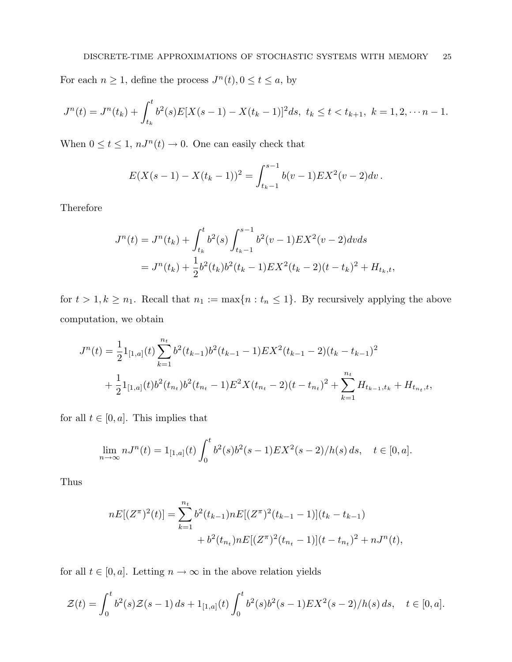For each  $n \geq 1$ , define the process  $J^n(t)$ ,  $0 \leq t \leq a$ , by

$$
J^{n}(t) = J^{n}(t_{k}) + \int_{t_{k}}^{t} b^{2}(s)E[X(s-1) - X(t_{k}-1)]^{2}ds, \ t_{k} \leq t < t_{k+1}, \ k = 1, 2, \cdots n-1.
$$

When  $0 \le t \le 1$ ,  $nJ^n(t) \to 0$ . One can easily check that

$$
E(X(s-1) - X(t_{k} - 1))^{2} = \int_{t_{k}-1}^{s-1} b(v - 1) EX^{2}(v - 2) dv.
$$

Therefore

$$
J^{n}(t) = J^{n}(t_{k}) + \int_{t_{k}}^{t} b^{2}(s) \int_{t_{k}-1}^{s-1} b^{2}(v-1) EX^{2}(v-2) dv ds
$$
  
=  $J^{n}(t_{k}) + \frac{1}{2} b^{2}(t_{k}) b^{2}(t_{k}-1) EX^{2}(t_{k}-2) (t-t_{k})^{2} + H_{t_{k},t},$ 

for  $t > 1, k \ge n_1$ . Recall that  $n_1 := \max\{n : t_n \le 1\}$ . By recursively applying the above computation, we obtain

$$
J^{n}(t) = \frac{1}{2} 1_{[1,a]}(t) \sum_{k=1}^{n_{t}} b^{2}(t_{k-1}) b^{2}(t_{k-1} - 1) EX^{2}(t_{k-1} - 2)(t_{k} - t_{k-1})^{2}
$$
  
+ 
$$
\frac{1}{2} 1_{[1,a]}(t) b^{2}(t_{n_{t}}) b^{2}(t_{n_{t}} - 1) E^{2} X(t_{n_{t}} - 2)(t - t_{n_{t}})^{2} + \sum_{k=1}^{n_{t}} H_{t_{k-1},t_{k}} + H_{t_{n_{t}},t},
$$

for all  $t \in [0, a]$ . This implies that

$$
\lim_{n \to \infty} nJ^n(t) = 1_{[1,a]}(t) \int_0^t b^2(s)b^2(s-1)EX^2(s-2)/h(s) ds, \quad t \in [0,a].
$$

Thus

$$
nE[(Z^{\pi})^{2}(t)] = \sum_{k=1}^{n_{t}} b^{2}(t_{k-1}) nE[(Z^{\pi})^{2}(t_{k-1} - 1)](t_{k} - t_{k-1}) + b^{2}(t_{n_{t}}) nE[(Z^{\pi})^{2}(t_{n_{t}} - 1)](t - t_{n_{t}})^{2} + nJ^{n}(t),
$$

for all  $t \in [0, a]$ . Letting  $n \to \infty$  in the above relation yields

$$
\mathcal{Z}(t) = \int_0^t b^2(s)\mathcal{Z}(s-1)\,ds + 1_{[1,a]}(t)\int_0^t b^2(s)b^2(s-1)EX^2(s-2)/h(s)\,ds, \quad t \in [0,a].
$$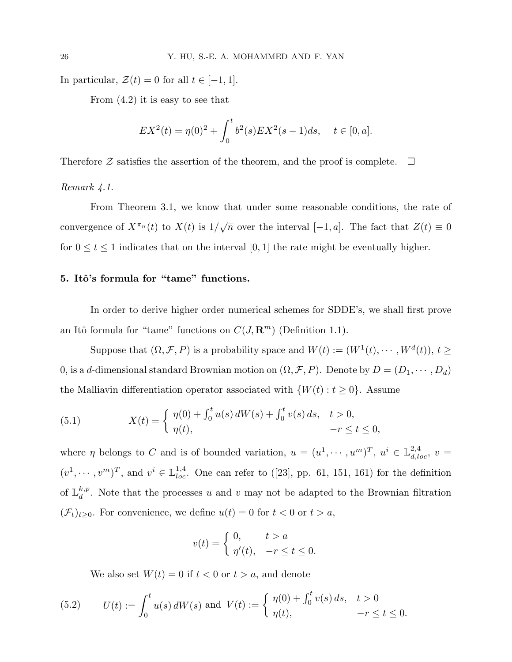In particular,  $\mathcal{Z}(t) = 0$  for all  $t \in [-1, 1]$ .

From (4.2) it is easy to see that

$$
EX^{2}(t) = \eta(0)^{2} + \int_{0}^{t} b^{2}(s) EX^{2}(s-1) ds, \quad t \in [0, a].
$$

Therefore  $\mathcal Z$  satisfies the assertion of the theorem, and the proof is complete.  $\Box$ 

Remark 4.1.

From Theorem 3.1, we know that under some reasonable conditions, the rate of convergence of  $X^{\pi_n}(t)$  to  $X(t)$  is  $1/\sqrt{2}$  $\overline{n}$  over the interval  $[-1, a]$ . The fact that  $Z(t) \equiv 0$ for  $0 \le t \le 1$  indicates that on the interval [0, 1] the rate might be eventually higher.

### 5. Itô's formula for "tame" functions.

In order to derive higher order numerical schemes for SDDE's, we shall first prove an Itô formula for "tame" functions on  $C(J, \mathbf{R}^m)$  (Definition 1.1).

Suppose that  $(0, \mathcal{F}, P)$  is a probability space and  $W(t) := (W^1(t), \cdots, W^d(t)), t \geq 0$ 0, is a d-dimensional standard Brownian motion on  $(\Omega, \mathcal{F}, P)$ . Denote by  $D = (D_1, \cdots, D_d)$ the Malliavin differentiation operator associated with  $\{W(t): t \geq 0\}$ . Assume

(5.1) 
$$
X(t) = \begin{cases} \eta(0) + \int_0^t u(s) dW(s) + \int_0^t v(s) ds, & t > 0, \\ \eta(t), & -r \le t \le 0, \end{cases}
$$

where  $\eta$  belongs to C and is of bounded variation,  $u = (u^1, \dots, u^m)^T$ ,  $u^i \in \mathbb{L}^{2,4}_{d,loc}$ ,  $v =$  $(v^1, \dots, v^m)^T$ , and  $v^i \in \mathbb{L}_{loc}^{1,4}$ . One can refer to ([23], pp. 61, 151, 161) for the definition of  $\mathbb{L}_{d}^{k,p}$  $\frac{k,p}{d}$ . Note that the processes u and v may not be adapted to the Brownian filtration  $(\mathcal{F}_t)_{t\geq0}$ . For convenience, we define  $u(t) = 0$  for  $t < 0$  or  $t > a$ ,

$$
v(t) = \begin{cases} 0, & t > a \\ \eta'(t), & -r \le t \le 0. \end{cases}
$$

We also set  $W(t) = 0$  if  $t < 0$  or  $t > a$ , and denote

(5.2) 
$$
U(t) := \int_0^t u(s) dW(s) \text{ and } V(t) := \begin{cases} \eta(0) + \int_0^t v(s) ds, & t > 0 \\ \eta(t), & -r \le t \le 0. \end{cases}
$$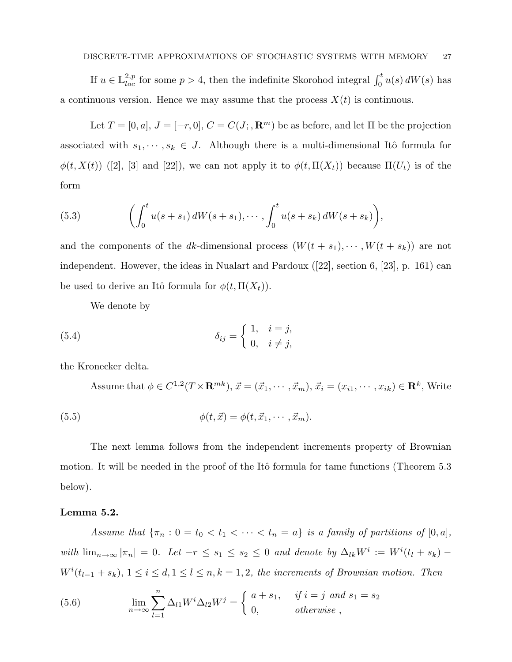If  $u \in \mathbb{L}^{2,p}_{loc}$  for some  $p > 4$ , then the indefinite Skorohod integral  $\int_0^t u(s) dW(s)$  has a continuous version. Hence we may assume that the process  $X(t)$  is continuous.

Let  $T = [0, a], J = [-r, 0], C = C(J; \mathbb{R}^m)$  be as before, and let  $\Pi$  be the projection associated with  $s_1, \dots, s_k \in J$ . Although there is a multi-dimensional Itô formula for  $\phi(t, X(t))$  ([2], [3] and [22]), we can not apply it to  $\phi(t, \Pi(X_t))$  because  $\Pi(U_t)$  is of the form

(5.3) 
$$
\left(\int_0^t u(s+s_1) dW(s+s_1), \cdots, \int_0^t u(s+s_k) dW(s+s_k)\right),
$$

and the components of the dk-dimensional process  $(W(t + s_1), \dots, W(t + s_k))$  are not independent. However, the ideas in Nualart and Pardoux ([22], section 6, [23], p. 161) can be used to derive an Itô formula for  $\phi(t, \Pi(X_t)).$ 

We denote by

(5.4) 
$$
\delta_{ij} = \begin{cases} 1, & i = j, \\ 0, & i \neq j, \end{cases}
$$

the Kronecker delta.

Assume that  $\phi \in C^{1,2}(T \times \mathbf{R}^{mk}), \vec{x} = (\vec{x}_1, \dots, \vec{x}_m), \vec{x}_i = (x_{i1}, \dots, x_{ik}) \in \mathbf{R}^k$ , Write

(5.5) 
$$
\phi(t, \vec{x}) = \phi(t, \vec{x}_1, \cdots, \vec{x}_m).
$$

The next lemma follows from the independent increments property of Brownian motion. It will be needed in the proof of the Itô formula for tame functions (Theorem 5.3 below).

### Lemma 5.2.

Assume that  $\{\pi_n: 0 = t_0 < t_1 < \cdots < t_n = a\}$  is a family of partitions of  $[0, a],$ with  $\lim_{n\to\infty} |\pi_n| = 0$ . Let  $-r \leq s_1 \leq s_2 \leq 0$  and denote by  $\Delta_{lk}W^i := W^i(t_l + s_k) W^{i}(t_{l-1}+s_{k}), 1 \leq i \leq d, 1 \leq l \leq n, k = 1, 2$ , the increments of Brownian motion. Then

(5.6) 
$$
\lim_{n \to \infty} \sum_{l=1}^{n} \Delta_{l1} W^{i} \Delta_{l2} W^{j} = \begin{cases} a + s_1, & \text{if } i = j \text{ and } s_1 = s_2 \\ 0, & \text{otherwise} \end{cases}
$$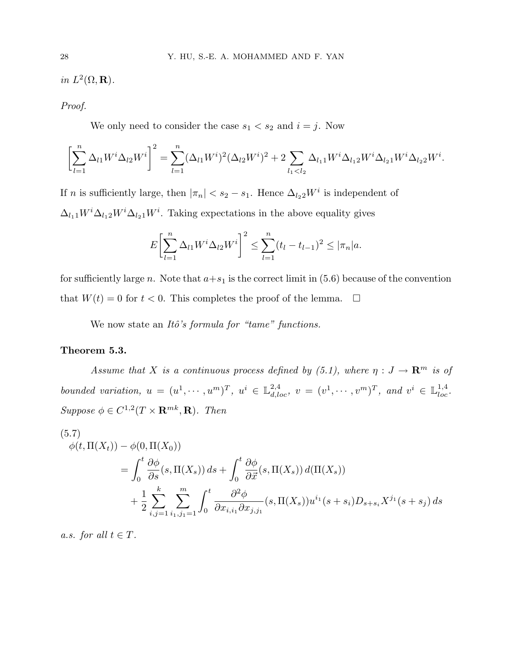in  $L^2(\Omega, \mathbf{R})$ .

### Proof.

We only need to consider the case  $s_1 < s_2$  and  $i = j$ . Now

$$
\left[\sum_{l=1}^n \Delta_{l1} W^i \Delta_{l2} W^i\right]^2 = \sum_{l=1}^n (\Delta_{l1} W^i)^2 (\Delta_{l2} W^i)^2 + 2 \sum_{l_1 < l_2} \Delta_{l_11} W^i \Delta_{l_12} W^i \Delta_{l_21} W^i \Delta_{l_22} W^i.
$$

If n is sufficiently large, then  $|\pi_n| < s_2 - s_1$ . Hence  $\Delta_{l_2} 2W^i$  is independent of  $\Delta_{l_1} W^i \Delta_{l_1} W^i \Delta_{l_2} W^i$ . Taking expectations in the above equality gives

$$
E\left[\sum_{l=1}^n \Delta_{l1} W^i \Delta_{l2} W^i\right]^2 \le \sum_{l=1}^n (t_l - t_{l-1})^2 \le |\pi_n| a.
$$

for sufficiently large n. Note that  $a+s_1$  is the correct limit in (5.6) because of the convention that  $W(t) = 0$  for  $t < 0$ . This completes the proof of the lemma.  $\Box$ 

We now state an Itô's formula for "tame" functions.

### Theorem 5.3.

Assume that X is a continuous process defined by (5.1), where  $\eta: J \to \mathbb{R}^m$  is of bounded variation,  $u = (u^1, \dots, u^m)^T$ ,  $u^i \in \mathbb{L}^{2,4}_{d,loc}$ ,  $v = (v^1, \dots, v^m)^T$ , and  $v^i \in \mathbb{L}^{1,4}_{loc}$ . Suppose  $\phi \in C^{1,2}(T \times \mathbf{R}^{mk}, \mathbf{R})$ . Then

(5.7)  
\n
$$
\phi(t, \Pi(X_t)) - \phi(0, \Pi(X_0))
$$
\n
$$
= \int_0^t \frac{\partial \phi}{\partial s}(s, \Pi(X_s)) ds + \int_0^t \frac{\partial \phi}{\partial \vec{x}}(s, \Pi(X_s)) d(\Pi(X_s))
$$
\n
$$
+ \frac{1}{2} \sum_{i,j=1}^k \sum_{i_1, j_1=1}^m \int_0^t \frac{\partial^2 \phi}{\partial x_{i,i_1} \partial x_{j,j_1}}(s, \Pi(X_s)) u^{i_1}(s+s_i) D_{s+s_i} X^{j_1}(s+s_j) ds
$$

a.s. for all  $t \in T$ .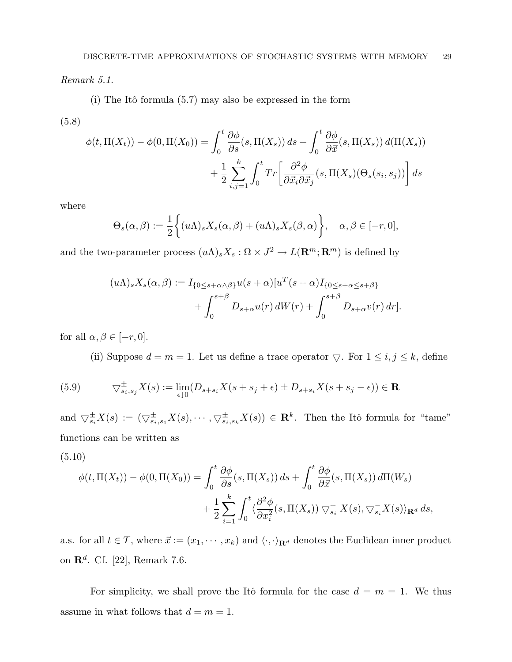Remark 5.1.

 $(i)$  The Itô formula  $(5.7)$  may also be expressed in the form

$$
(5.8)
$$

$$
\phi(t, \Pi(X_t)) - \phi(0, \Pi(X_0)) = \int_0^t \frac{\partial \phi}{\partial s}(s, \Pi(X_s)) ds + \int_0^t \frac{\partial \phi}{\partial \vec{x}}(s, \Pi(X_s)) d(\Pi(X_s))
$$

$$
+ \frac{1}{2} \sum_{i,j=1}^k \int_0^t Tr \left[ \frac{\partial^2 \phi}{\partial \vec{x}_i \partial \vec{x}_j}(s, \Pi(X_s)(\Theta_s(s_i, s_j)) \right] ds
$$

where

$$
\Theta_s(\alpha,\beta) := \frac{1}{2} \bigg\{ (u\Lambda)_s X_s(\alpha,\beta) + (u\Lambda)_s X_s(\beta,\alpha) \bigg\}, \quad \alpha,\beta \in [-r,0],
$$

and the two-parameter process  $(u\Lambda)_s X_s : \Omega \times J^2 \to L(\mathbf{R}^m; \mathbf{R}^m)$  is defined by

$$
(u\Lambda)_s X_s(\alpha,\beta) := I_{\{0 \le s+\alpha\wedge\beta\}} u(s+\alpha) [u^T(s+\alpha) I_{\{0 \le s+\alpha\le s+\beta\}} + \int_0^{s+\beta} D_{s+\alpha} u(r) dW(r) + \int_0^{s+\beta} D_{s+\alpha} v(r) dr].
$$

for all  $\alpha, \beta \in [-r, 0].$ 

(ii) Suppose  $d = m = 1$ . Let us define a trace operator  $\bigtriangledown$ . For  $1 \le i, j \le k$ , define

(5.9) 
$$
\nabla_{s_i,s_j}^{\pm} X(s) := \lim_{\epsilon \downarrow 0} (D_{s+s_i} X(s+s_j+\epsilon) \pm D_{s+s_i} X(s+s_j-\epsilon)) \in \mathbf{R}
$$

and  $\bigtriangledown^{\pm}_{s_i}X(s) := (\bigtriangledown^{\pm}_{s_i,s_1}X(s),\cdots,\bigtriangledown^{\pm}_{s_i,s_k}X(s)) \in \mathbf{R}^k$ . Then the Itô formula for "tame" functions can be written as

$$
(5.10)
$$

$$
\phi(t, \Pi(X_t)) - \phi(0, \Pi(X_0)) = \int_0^t \frac{\partial \phi}{\partial s}(s, \Pi(X_s)) ds + \int_0^t \frac{\partial \phi}{\partial \vec{x}}(s, \Pi(X_s)) d\Pi(W_s)
$$

$$
+ \frac{1}{2} \sum_{i=1}^k \int_0^t \langle \frac{\partial^2 \phi}{\partial x_i^2}(s, \Pi(X_s)) \nabla_{s_i}^+ X(s), \nabla_{s_i}^- X(s) \rangle_{\mathbf{R}^d} ds,
$$

a.s. for all  $t \in T$ , where  $\vec{x} := (x_1, \dots, x_k)$  and  $\langle \cdot, \cdot \rangle_{\mathbf{R}^d}$  denotes the Euclidean inner product on  $\mathbf{R}^d$ . Cf. [22], Remark 7.6.

For simplicity, we shall prove the Itô formula for the case  $d = m = 1$ . We thus assume in what follows that  $d = m = 1$ .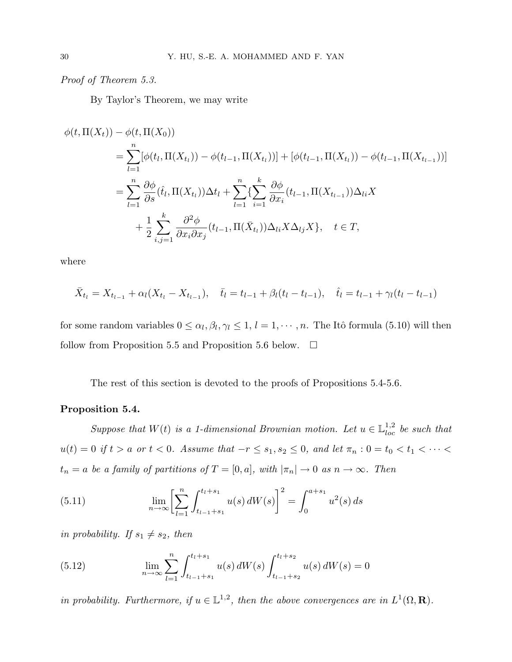### Proof of Theorem 5.3.

By Taylor's Theorem, we may write

$$
\phi(t, \Pi(X_t)) - \phi(t, \Pi(X_0))
$$
\n
$$
= \sum_{l=1}^n [\phi(t_l, \Pi(X_{t_l})) - \phi(t_{l-1}, \Pi(X_{t_l}))] + [\phi(t_{l-1}, \Pi(X_{t_l})) - \phi(t_{l-1}, \Pi(X_{t_{l-1}}))]
$$
\n
$$
= \sum_{l=1}^n \frac{\partial \phi}{\partial s}(\hat{t}_l, \Pi(X_{t_l})) \Delta t_l + \sum_{l=1}^n \left\{ \sum_{i=1}^k \frac{\partial \phi}{\partial x_i}(t_{l-1}, \Pi(X_{t_{l-1}})) \Delta_{li} X + \frac{1}{2} \sum_{i,j=1}^k \frac{\partial^2 \phi}{\partial x_i \partial x_j}(t_{l-1}, \Pi(\bar{X}_{t_l})) \Delta_{li} X \Delta_{lj} X \right\}, \quad t \in T,
$$

where

$$
\bar{X}_{t_l} = X_{t_{l-1}} + \alpha_l (X_{t_l} - X_{t_{l-1}}), \quad \bar{t_l} = t_{l-1} + \beta_l (t_l - t_{l-1}), \quad \hat{t_l} = t_{l-1} + \gamma_l (t_l - t_{l-1})
$$

for some random variables  $0 \leq \alpha_l, \beta_l, \gamma_l \leq 1, l = 1, \cdots, n$ . The Itô formula (5.10) will then follow from Proposition 5.5 and Proposition 5.6 below.  $\Box$ 

The rest of this section is devoted to the proofs of Propositions 5.4-5.6.

### Proposition 5.4.

Suppose that  $W(t)$  is a 1-dimensional Brownian motion. Let  $u \in \mathbb{L}^{1,2}_{loc}$  be such that  $u(t) = 0$  if  $t > a$  or  $t < 0$ . Assume that  $-r \leq s_1, s_2 \leq 0$ , and let  $\pi_n : 0 = t_0 < t_1 < \cdots <$  $t_n = a$  be a family of partitions of  $T = [0, a]$ , with  $|\pi_n| \to 0$  as  $n \to \infty$ . Then

(5.11) 
$$
\lim_{n \to \infty} \left[ \sum_{l=1}^{n} \int_{t_{l-1}+s_1}^{t_l+s_1} u(s) dW(s) \right]^2 = \int_0^{a+s_1} u^2(s) ds
$$

in probability. If  $s_1 \neq s_2$ , then

(5.12) 
$$
\lim_{n \to \infty} \sum_{l=1}^{n} \int_{t_{l-1}+s_1}^{t_l+s_1} u(s) dW(s) \int_{t_{l-1}+s_2}^{t_l+s_2} u(s) dW(s) = 0
$$

in probability. Furthermore, if  $u \in \mathbb{L}^{1,2}$ , then the above convergences are in  $L^1(\Omega,\mathbf{R})$ .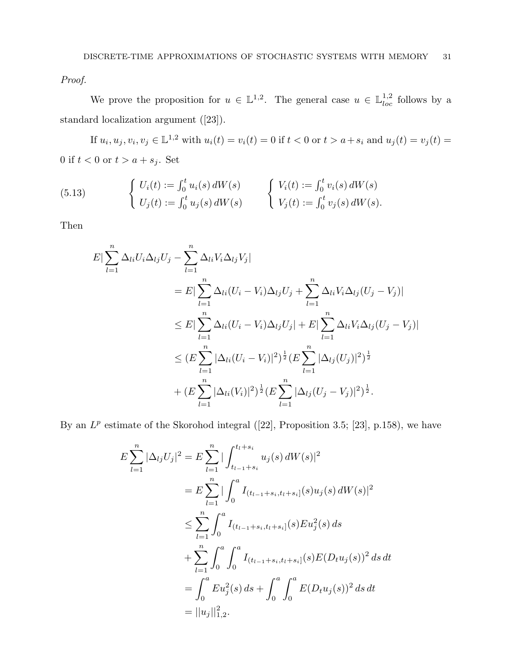Proof.

We prove the proposition for  $u \in \mathbb{L}^{1,2}$ . The general case  $u \in \mathbb{L}^{1,2}_{loc}$  follows by a standard localization argument ([23]).

If  $u_i, u_j, v_i, v_j \in \mathbb{L}^{1,2}$  with  $u_i(t) = v_i(t) = 0$  if  $t < 0$  or  $t > a + s_i$  and  $u_j(t) = v_j(t) = 0$ 0 if  $t < 0$  or  $t > a + s_j$ . Set

(5.13) 
$$
\begin{cases} U_i(t) := \int_0^t u_i(s) dW(s) \\ U_j(t) := \int_0^t u_j(s) dW(s) \end{cases} \qquad \begin{cases} V_i(t) := \int_0^t v_i(s) dW(s) \\ V_j(t) := \int_0^t v_j(s) dW(s). \end{cases}
$$

Then

$$
E|\sum_{l=1}^{n} \Delta_{li} U_i \Delta_{lj} U_j - \sum_{l=1}^{n} \Delta_{li} V_i \Delta_{lj} V_j|
$$
  
\n
$$
= E|\sum_{l=1}^{n} \Delta_{li} (U_i - V_i) \Delta_{lj} U_j + \sum_{l=1}^{n} \Delta_{li} V_i \Delta_{lj} (U_j - V_j)|
$$
  
\n
$$
\leq E|\sum_{l=1}^{n} \Delta_{li} (U_i - V_i) \Delta_{lj} U_j| + E|\sum_{l=1}^{n} \Delta_{li} V_i \Delta_{lj} (U_j - V_j)|
$$
  
\n
$$
\leq (E \sum_{l=1}^{n} |\Delta_{li} (U_i - V_i)|^2)^{\frac{1}{2}} (E \sum_{l=1}^{n} |\Delta_{lj} (U_j)|^2)^{\frac{1}{2}}
$$
  
\n
$$
+ (E \sum_{l=1}^{n} |\Delta_{li} (V_i)|^2)^{\frac{1}{2}} (E \sum_{l=1}^{n} |\Delta_{lj} (U_j - V_j)|^2)^{\frac{1}{2}}.
$$

By an  $L^p$  estimate of the Skorohod integral ([22], Proposition 3.5; [23], p.158), we have

$$
E\sum_{l=1}^{n} |\Delta_{lj}U_j|^2 = E\sum_{l=1}^{n} |\int_{t_{l-1}+s_i}^{t_l+s_i} u_j(s) dW(s)|^2
$$
  
\n
$$
= E\sum_{l=1}^{n} |\int_0^a I_{(t_{l-1}+s_i,t_l+s_i]}(s)u_j(s) dW(s)|^2
$$
  
\n
$$
\leq \sum_{l=1}^{n} \int_0^a I_{(t_{l-1}+s_i,t_l+s_i]}(s) Eu_j^2(s) ds
$$
  
\n
$$
+ \sum_{l=1}^{n} \int_0^a \int_0^a I_{(t_{l-1}+s_i,t_l+s_i]}(s) E(D_t u_j(s))^2 ds dt
$$
  
\n
$$
= \int_0^a Eu_j^2(s) ds + \int_0^a \int_0^a E(D_t u_j(s))^2 ds dt
$$
  
\n
$$
= ||u_j||_{1,2}^2.
$$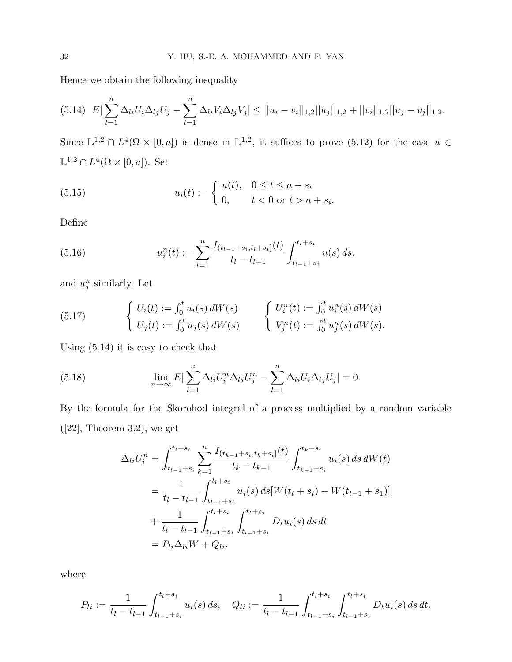Hence we obtain the following inequality

$$
(5.14) \ E|\sum_{l=1}^{n} \Delta_{li} U_i \Delta_{lj} U_j - \sum_{l=1}^{n} \Delta_{li} V_i \Delta_{lj} V_j| \le ||u_i - v_i||_{1,2} ||u_j||_{1,2} + ||v_i||_{1,2} ||u_j - v_j||_{1,2}.
$$

Since  $\mathbb{L}^{1,2} \cap L^4(\Omega \times [0,a])$  is dense in  $\mathbb{L}^{1,2}$ , it suffices to prove (5.12) for the case  $u \in$  $\mathbb{L}^{1,2} \cap L^4(\Omega \times [0,a])$ . Set

(5.15) 
$$
u_i(t) := \begin{cases} u(t), & 0 \le t \le a + s_i \\ 0, & t < 0 \text{ or } t > a + s_i. \end{cases}
$$

Define

(5.16) 
$$
u_i^n(t) := \sum_{l=1}^n \frac{I_{(t_{l-1}+s_i,t_l+s_i]}(t)}{t_l-t_{l-1}} \int_{t_{l-1}+s_i}^{t_l+s_i} u(s) ds.
$$

and  $u_j^n$  similarly. Let

(5.17) 
$$
\begin{cases} U_i(t) := \int_0^t u_i(s) dW(s) \\ U_j(t) := \int_0^t u_j(s) dW(s) \end{cases} \qquad \begin{cases} U_i^n(t) := \int_0^t u_i^n(s) dW(s) \\ V_j^n(t) := \int_0^t u_j^n(s) dW(s). \end{cases}
$$

Using (5.14) it is easy to check that

(5.18) 
$$
\lim_{n \to \infty} E\left|\sum_{l=1}^n \Delta_{li} U_i^n \Delta_{lj} U_j^n - \sum_{l=1}^n \Delta_{li} U_i \Delta_{lj} U_j\right| = 0.
$$

By the formula for the Skorohod integral of a process multiplied by a random variable  $([22],$  Theorem 3.2), we get

$$
\Delta_{li}U_i^n = \int_{t_{l-1}+s_i}^{t_l+s_i} \sum_{k=1}^n \frac{I_{(t_{k-1}+s_i,t_k+s_i]}(t)}{t_k-t_{k-1}} \int_{t_{k-1}+s_i}^{t_k+s_i} u_i(s) \, ds \, dW(t)
$$
  
= 
$$
\frac{1}{t_l-t_{l-1}} \int_{t_{l-1}+s_i}^{t_l+s_i} u_i(s) \, ds[W(t_l+s_i) - W(t_{l-1}+s_1)]
$$
  
+ 
$$
\frac{1}{t_l-t_{l-1}} \int_{t_{l-1}+s_i}^{t_l+s_i} \int_{t_{l-1}+s_i}^{t_l+s_i} D_t u_i(s) \, ds \, dt
$$
  
= 
$$
P_{li} \Delta_{li} W + Q_{li}.
$$

where

$$
P_{li} := \frac{1}{t_l - t_{l-1}} \int_{t_{l-1} + s_i}^{t_l + s_i} u_i(s) \, ds, \quad Q_{li} := \frac{1}{t_l - t_{l-1}} \int_{t_{l-1} + s_i}^{t_l + s_i} \int_{t_{l-1} + s_i}^{t_l + s_i} D_t u_i(s) \, ds \, dt.
$$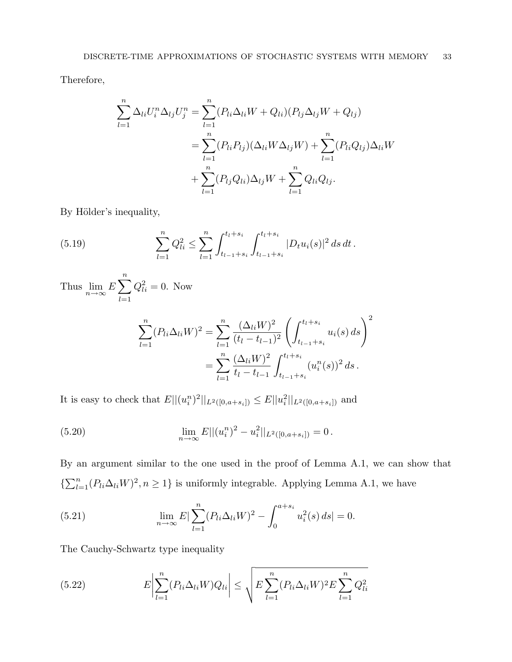Therefore,

$$
\sum_{l=1}^{n} \Delta_{li} U_i^n \Delta_{lj} U_j^n = \sum_{l=1}^{n} (P_{li} \Delta_{li} W + Q_{li}) (P_{lj} \Delta_{lj} W + Q_{lj})
$$
  
= 
$$
\sum_{l=1}^{n} (P_{li} P_{lj}) (\Delta_{li} W \Delta_{lj} W) + \sum_{l=1}^{n} (P_{li} Q_{lj}) \Delta_{li} W
$$
  
+ 
$$
\sum_{l=1}^{n} (P_{lj} Q_{li}) \Delta_{lj} W + \sum_{l=1}^{n} Q_{li} Q_{lj}.
$$

By Hölder's inequality,

(5.19) 
$$
\sum_{l=1}^{n} Q_{li}^{2} \leq \sum_{l=1}^{n} \int_{t_{l-1}+s_{i}}^{t_{l}+s_{i}} \int_{t_{l-1}+s_{i}}^{t_{l}+s_{i}} |D_{t}u_{i}(s)|^{2} ds dt.
$$

Thus  $\lim_{n\to\infty} E$  $\frac{n}{\sqrt{2}}$  $_{l=1}$  $Q_{li}^2 = 0$ . Now

$$
\sum_{l=1}^{n} (P_{li} \Delta_{li} W)^2 = \sum_{l=1}^{n} \frac{(\Delta_{li} W)^2}{(t_l - t_{l-1})^2} \left( \int_{t_{l-1} + s_i}^{t_l + s_i} u_i(s) ds \right)^2
$$

$$
= \sum_{l=1}^{n} \frac{(\Delta_{li} W)^2}{t_l - t_{l-1}} \int_{t_{l-1} + s_i}^{t_l + s_i} (u_i^n(s))^2 ds.
$$

It is easy to check that  $E||(u_i^n)^2||_{L^2([0,a+s_i])} \leq E||u_i^2||_{L^2([0,a+s_i])}$  and

(5.20) 
$$
\lim_{n \to \infty} E||(u_i^n)^2 - u_i^2||_{L^2([0, a+s_i])} = 0.
$$

By an argument similar to the one used in the proof of Lemma A.1, we can show that  $\{\sum_{l=1}^n$  $\prod_{l=1}^{n} (P_{li} \Delta_{li} W)^2, n \geq 1$  is uniformly integrable. Applying Lemma A.1, we have

(5.21) 
$$
\lim_{n \to \infty} E \left| \sum_{l=1}^{n} (P_{li} \Delta_{li} W)^2 - \int_0^{a+s_i} u_i^2(s) \, ds \right| = 0.
$$

The Cauchy-Schwartz type inequality

(5.22) 
$$
E\left|\sum_{l=1}^{n} (P_{li}\Delta_{li}W)Q_{li}\right| \leq \sqrt{E\sum_{l=1}^{n} (P_{li}\Delta_{li}W)^{2}E\sum_{l=1}^{n} Q_{li}^{2}}
$$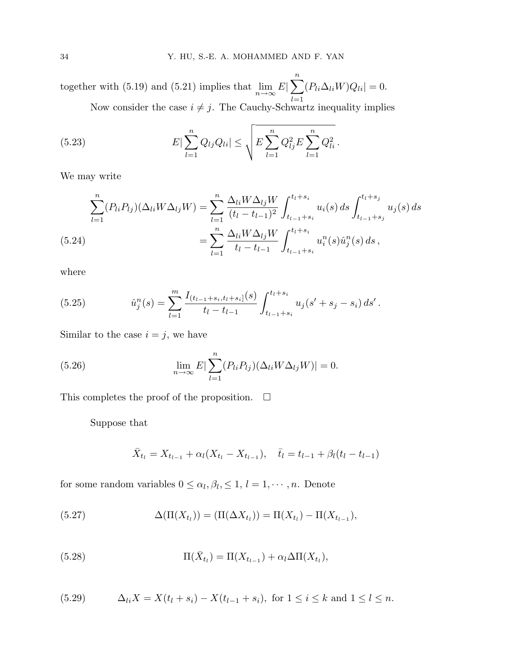together with (5.19) and (5.21) implies that  $\lim_{n\to\infty} E$  $\frac{n}{\sqrt{2}}$  $_{l=1}$  $(P_{li}\Delta_{li}W)Q_{li}|=0.$ 

Now consider the case  $i \neq j$ . The Cauchy-Schwartz inequality implies

(5.23) 
$$
E|\sum_{l=1}^{n}Q_{lj}Q_{li}|\leq \sqrt{E\sum_{l=1}^{n}Q_{lj}^{2}E\sum_{l=1}^{n}Q_{li}^{2}}.
$$

We may write

$$
\sum_{l=1}^{n} (P_{li}P_{lj})(\Delta_{li}W\Delta_{lj}W) = \sum_{l=1}^{n} \frac{\Delta_{li}W\Delta_{lj}W}{(t_l - t_{l-1})^2} \int_{t_{l-1} + s_i}^{t_l + s_i} u_i(s) \, ds \int_{t_{l-1} + s_j}^{t_l + s_j} u_j(s) \, ds
$$
\n
$$
= \sum_{l=1}^{n} \frac{\Delta_{li}W\Delta_{lj}W}{t_l - t_{l-1}} \int_{t_{l-1} + s_i}^{t_l + s_i} u_i^n(s) \hat{u}_j^n(s) \, ds,
$$

where

(5.25) 
$$
\hat{u}_j^n(s) = \sum_{l=1}^m \frac{I_{(t_{l-1}+s_i,t_l+s_i]}(s)}{t_l-t_{l-1}} \int_{t_{l-1}+s_i}^{t_l+s_i} u_j(s'+s_j-s_i) ds'.
$$

Similar to the case  $i = j$ , we have

(5.26) 
$$
\lim_{n \to \infty} E\left|\sum_{l=1}^{n} (P_{li}P_{lj})(\Delta_{li}W\Delta_{lj}W)\right| = 0.
$$

This completes the proof of the proposition.  $\Box$ 

Suppose that

$$
\bar{X}_{t_l} = X_{t_{l-1}} + \alpha_l (X_{t_l} - X_{t_{l-1}}), \quad \bar{t}_l = t_{l-1} + \beta_l (t_l - t_{l-1})
$$

for some random variables  $0 \leq \alpha_l, \beta_l, \leq 1, l = 1, \cdots, n$ . Denote

(5.27) 
$$
\Delta(\Pi(X_{t_l})) = (\Pi(\Delta X_{t_l})) = \Pi(X_{t_l}) - \Pi(X_{t_{l-1}}),
$$

(5.28) 
$$
\Pi(\bar{X}_{t_l}) = \Pi(X_{t_{l-1}}) + \alpha_l \Delta \Pi(X_{t_l}),
$$

(5.29) 
$$
\Delta_{li} X = X(t_l + s_i) - X(t_{l-1} + s_i), \text{ for } 1 \le i \le k \text{ and } 1 \le l \le n.
$$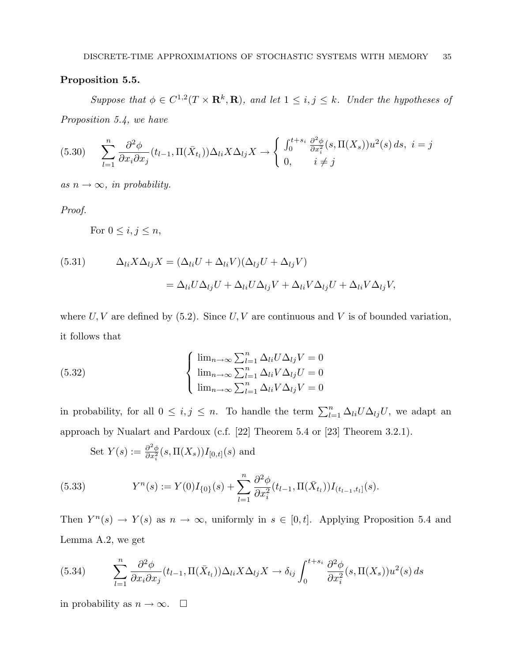### Proposition 5.5.

Suppose that  $\phi \in C^{1,2}(T \times \mathbf{R}^k, \mathbf{R})$ , and let  $1 \leq i, j \leq k$ . Under the hypotheses of Proposition 5.4, we have

$$
(5.30) \qquad \sum_{l=1}^{n} \frac{\partial^2 \phi}{\partial x_i \partial x_j}(t_{l-1}, \Pi(\bar{X}_{t_l})) \Delta_{li} X \Delta_{lj} X \rightarrow \begin{cases} \int_0^{t+s_i} \frac{\partial^2 \phi}{\partial x_i^2}(s, \Pi(X_s)) u^2(s) \, ds, \ i = j\\ 0, \qquad i \neq j \end{cases}
$$

as  $n \to \infty$ , in probability.

Proof.

For  $0 \leq i, j \leq n$ ,

(5.31) 
$$
\Delta_{li} X \Delta_{lj} X = (\Delta_{li} U + \Delta_{li} V)(\Delta_{lj} U + \Delta_{lj} V)
$$

$$
= \Delta_{li} U \Delta_{lj} U + \Delta_{li} U \Delta_{lj} V + \Delta_{li} V \Delta_{lj} U + \Delta_{li} V \Delta_{lj} V,
$$

where  $U, V$  are defined by (5.2). Since  $U, V$  are continuous and V is of bounded variation, it follows that

(5.32) 
$$
\begin{cases} \lim_{n \to \infty} \sum_{l=1}^{n} \Delta_{li} U \Delta_{lj} V = 0 \\ \lim_{n \to \infty} \sum_{l=1}^{n} \Delta_{li} V \Delta_{lj} U = 0 \\ \lim_{n \to \infty} \sum_{l=1}^{n} \Delta_{li} V \Delta_{lj} V = 0 \end{cases}
$$

in probability, for all  $0 \le i, j \le n$ . To handle the term  $\sum_{l=1}^{n} \Delta_{li} U \Delta_{lj} U$ , we adapt an approach by Nualart and Pardoux (c.f. [22] Theorem 5.4 or [23] Theorem 3.2.1).

Set 
$$
Y(s) := \frac{\partial^2 \phi}{\partial x_i^2} (s, \Pi(X_s)) I_{[0,t]}(s)
$$
 and

(5.33) 
$$
Y^{n}(s) := Y(0)I_{\{0\}}(s) + \sum_{l=1}^{n} \frac{\partial^{2} \phi}{\partial x_{i}^{2}}(t_{l-1}, \Pi(\bar{X}_{t_{l}}))I_{(t_{l-1}, t_{l}]}(s).
$$

Then  $Y^n(s) \to Y(s)$  as  $n \to \infty$ , uniformly in  $s \in [0, t]$ . Applying Proposition 5.4 and Lemma A.2, we get

(5.34) 
$$
\sum_{l=1}^{n} \frac{\partial^2 \phi}{\partial x_i \partial x_j} (t_{l-1}, \Pi(\bar{X}_{t_l})) \Delta_{li} X \Delta_{lj} X \rightarrow \delta_{ij} \int_0^{t+s_i} \frac{\partial^2 \phi}{\partial x_i^2} (s, \Pi(X_s)) u^2(s) ds
$$

in probability as  $n \to \infty$ .  $\Box$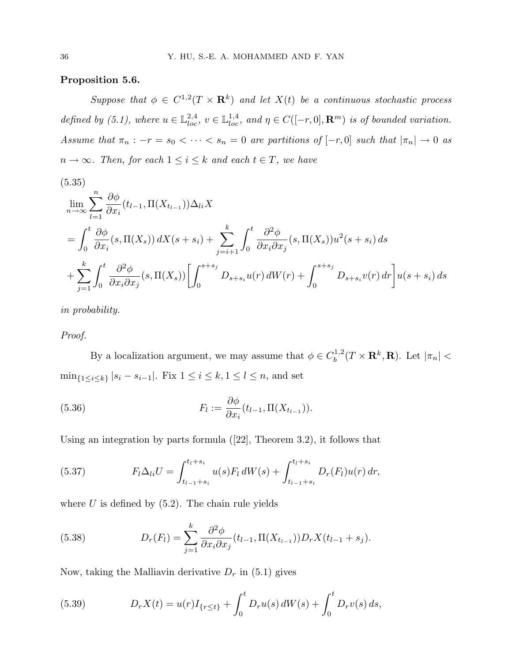# Proposition 5.6.

Suppose that  $\phi \in C^{1,2}(T \times \mathbf{R}^k)$  and let  $X(t)$  be a continuous stochastic process defined by (5.1), where  $u \in \mathbb{L}^{2,4}_{loc}$ ,  $v \in \mathbb{L}^{1,4}_{loc}$ , and  $\eta \in C([-r,0], \mathbf{R}^m)$  is of bounded variation. Assume that  $\pi_n : -r = s_0 < \cdots < s_n = 0$  are partitions of  $[-r, 0]$  such that  $|\pi_n| \to 0$  as  $n \to \infty$ . Then, for each  $1 \leq i \leq k$  and each  $t \in T$ , we have

(5.35)  
\n
$$
\lim_{n \to \infty} \sum_{l=1}^{n} \frac{\partial \phi}{\partial x_i} (t_{l-1}, \Pi(X_{t_{l-1}})) \Delta_{li} X
$$
\n
$$
= \int_0^t \frac{\partial \phi}{\partial x_i} (s, \Pi(X_s)) dX(s+s_i) + \sum_{j=i+1}^k \int_0^t \frac{\partial^2 \phi}{\partial x_i \partial x_j} (s, \Pi(X_s)) u^2(s+s_i) ds
$$
\n
$$
+ \sum_{j=1}^k \int_0^t \frac{\partial^2 \phi}{\partial x_i \partial x_j} (s, \Pi(X_s)) \left[ \int_0^{s+s_j} D_{s+s_i} u(r) dW(r) + \int_0^{s+s_j} D_{s+s_i} v(r) dr \right] u(s+s_i) ds
$$

in probability.

## Proof.

By a localization argument, we may assume that  $\phi \in C_h^{1,2}$  $b^{1,2}(T\times\mathbf{R}^k,\mathbf{R})$ . Let  $|\pi_n|$  <  $\min_{\{1 \le i \le k\}} |s_i - s_{i-1}|$ . Fix  $1 \le i \le k, 1 \le l \le n$ , and set

(5.36) 
$$
F_l := \frac{\partial \phi}{\partial x_i}(t_{l-1}, \Pi(X_{t_{l-1}})).
$$

Using an integration by parts formula  $(22)$ , Theorem 3.2), it follows that

(5.37) 
$$
F_l \Delta_{li} U = \int_{t_{l-1}+s_i}^{t_l+s_i} u(s) F_l dW(s) + \int_{t_{l-1}+s_i}^{t_l+s_i} D_r(F_l) u(r) dr,
$$

where  $U$  is defined by  $(5.2)$ . The chain rule yields

(5.38) 
$$
D_r(F_l) = \sum_{j=1}^k \frac{\partial^2 \phi}{\partial x_i \partial x_j}(t_{l-1}, \Pi(X_{t_{l-1}})) D_r X(t_{l-1} + s_j).
$$

Now, taking the Malliavin derivative  $D_r$  in (5.1) gives

(5.39) 
$$
D_r X(t) = u(r) I_{\{r \le t\}} + \int_0^t D_r u(s) dW(s) + \int_0^t D_r v(s) ds,
$$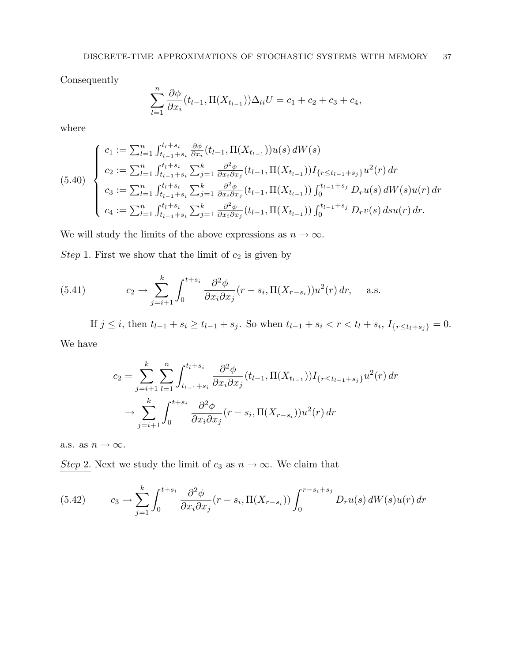Consequently

$$
\sum_{l=1}^{n} \frac{\partial \phi}{\partial x_i} (t_{l-1}, \Pi(X_{t_{l-1}})) \Delta_{li} U = c_1 + c_2 + c_3 + c_4,
$$

where

$$
(5.40) \begin{cases} c_1 := \sum_{l=1}^n \int_{t_{l-1}+s_i}^{t_l+s_i} \frac{\partial \phi}{\partial x_i} (t_{l-1}, \Pi(X_{t_{l-1}})) u(s) dW(s) \\ c_2 := \sum_{l=1}^n \int_{t_{l-1}+s_i}^{t_l+s_i} \sum_{j=1}^k \frac{\partial^2 \phi}{\partial x_i \partial x_j} (t_{l-1}, \Pi(X_{t_{l-1}})) I_{\{r \le t_{l-1}+s_j\}} u^2(r) dr \\ c_3 := \sum_{l=1}^n \int_{t_{l-1}+s_i}^{t_l+s_i} \sum_{j=1}^k \frac{\partial^2 \phi}{\partial x_i \partial x_j} (t_{l-1}, \Pi(X_{t_{l-1}})) \int_0^{t_{l-1}+s_j} D_r u(s) dW(s) u(r) dr \\ c_4 := \sum_{l=1}^n \int_{t_{l-1}+s_i}^{t_l+s_i} \sum_{j=1}^k \frac{\partial^2 \phi}{\partial x_i \partial x_j} (t_{l-1}, \Pi(X_{t_{l-1}})) \int_0^{t_{l-1}+s_j} D_r v(s) ds u(r) dr. \end{cases}
$$

We will study the limits of the above expressions as  $n \to \infty$ .

 $Step 1$ . First we show that the limit of  $c_2$  is given by

(5.41) 
$$
c_2 \to \sum_{j=i+1}^k \int_0^{t+s_i} \frac{\partial^2 \phi}{\partial x_i \partial x_j} (r - s_i, \Pi(X_{r-s_i})) u^2(r) dr, \quad \text{a.s.}
$$

If  $j \leq i$ , then  $t_{l-1} + s_i \geq t_{l-1} + s_j$ . So when  $t_{l-1} + s_i < r < t_l + s_i$ ,  $I_{\{r \leq t_l + s_j\}} = 0$ .

We have

$$
c_2 = \sum_{j=i+1}^k \sum_{l=1}^n \int_{t_{l-1}+s_i}^{t_l+s_i} \frac{\partial^2 \phi}{\partial x_i \partial x_j} (t_{l-1}, \Pi(X_{t_{l-1}})) I_{\{r \le t_{l-1}+s_j\}} u^2(r) dr
$$
  

$$
\to \sum_{j=i+1}^k \int_0^{t+s_i} \frac{\partial^2 \phi}{\partial x_i \partial x_j} (r - s_i, \Pi(X_{r-s_i})) u^2(r) dr
$$

a.s. as  $n\to\infty.$ 

Step 2. Next we study the limit of  $c_3$  as  $n \to \infty$ . We claim that

(5.42) 
$$
c_3 \rightarrow \sum_{j=1}^k \int_0^{t+s_i} \frac{\partial^2 \phi}{\partial x_i \partial x_j} (r-s_i, \Pi(X_{r-s_i})) \int_0^{r-s_i+s_j} D_r u(s) dW(s) u(r) dr
$$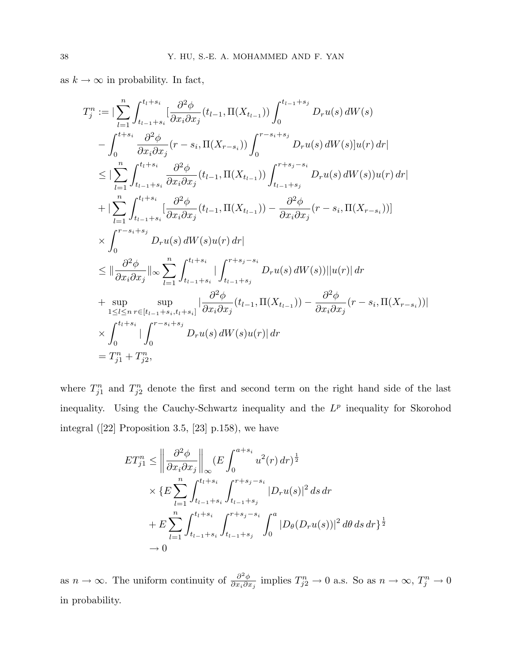as  $k\to\infty$  in probability. In fact,

$$
T_{j}^{n} := |\sum_{l=1}^{n} \int_{t_{l-1}+s_{i}}^{t_{l}+s_{i}} \left[ \frac{\partial^{2} \phi}{\partial x_{i} \partial x_{j}} (t_{l-1}, \Pi(X_{t_{l-1}})) \int_{0}^{t_{l-1}+s_{j}} D_{r}u(s) dW(s) \right]
$$
  
\n
$$
- \int_{0}^{t+s_{i}} \frac{\partial^{2} \phi}{\partial x_{i} \partial x_{j}} (r-s_{i}, \Pi(X_{r-s_{i}})) \int_{0}^{r-s_{i}+s_{j}} D_{r}u(s) dW(s) |u(r) dr|
$$
  
\n
$$
\leq |\sum_{l=1}^{n} \int_{t_{l-1}+s_{i}}^{t_{l}+s_{i}} \frac{\partial^{2} \phi}{\partial x_{i} \partial x_{j}} (t_{l-1}, \Pi(X_{t_{l-1}})) \int_{t_{l-1}+s_{j}}^{r+s_{j}-s_{i}} D_{r}u(s) dW(s) |u(r) dr|
$$
  
\n
$$
+ |\sum_{l=1}^{n} \int_{t_{l-1}+s_{i}}^{t_{l}+s_{i}} \left[ \frac{\partial^{2} \phi}{\partial x_{i} \partial x_{j}} (t_{l-1}, \Pi(X_{t_{l-1}})) - \frac{\partial^{2} \phi}{\partial x_{i} \partial x_{j}} (r-s_{i}, \Pi(X_{r-s_{i}})) \right]
$$
  
\n
$$
\times \int_{0}^{r-s_{i}+s_{j}} D_{r}u(s) dW(s) u(r) dr|
$$
  
\n
$$
\leq ||\frac{\partial^{2} \phi}{\partial x_{i} \partial x_{j}}||_{\infty} \sum_{l=1}^{n} \int_{t_{l-1}+s_{i}}^{t_{l}+s_{i}} \int_{t_{l-1}+s_{j}}^{r+s_{j}-s_{i}} D_{r}u(s) dW(s) |||u(r) || dr
$$
  
\n
$$
+ \sup_{1 \leq l \leq n} \sup_{r \in [t_{l-1}+s_{i},t_{l}+s_{i}]} |\frac{\partial^{2} \phi}{\partial x_{i} \partial x_{j}} (t_{l-1}, \Pi(X_{t_{l-1}})) - \frac{\partial^{2} \phi}{\partial x_{i} \partial x_{j}} (r-s_{i}, \Pi
$$

where  $T_{j1}^n$  and  $T_{j2}^n$  denote the first and second term on the right hand side of the last inequality. Using the Cauchy-Schwartz inequality and the  $L^p$  inequality for Skorohod integral ([22] Proposition 3.5, [23] p.158), we have

$$
ET_{j1}^{n} \leq \left\| \frac{\partial^{2} \phi}{\partial x_{i} \partial x_{j}} \right\|_{\infty} (E \int_{0}^{a+s_{i}} u^{2}(r) dr)^{\frac{1}{2}}
$$
  
 
$$
\times \left\{ E \sum_{l=1}^{n} \int_{t_{l-1}+s_{i}}^{t_{l}+s_{i}} \int_{t_{l-1}+s_{j}}^{r+s_{j}-s_{i}} |D_{r}u(s)|^{2} ds dr + E \sum_{l=1}^{n} \int_{t_{l-1}+s_{i}}^{t_{l}+s_{i}} \int_{t_{l-1}+s_{j}}^{r+s_{j}-s_{i}} \int_{0}^{a} |D_{\theta}(D_{r}u(s))|^{2} d\theta ds dr \right\}^{\frac{1}{2}}
$$
  
\n
$$
\to 0
$$

as  $n \to \infty$ . The uniform continuity of  $\frac{\partial^2 \phi}{\partial x \cdot \partial y}$  $\frac{\partial^2 \phi}{\partial x_i \partial x_j}$  implies  $T_{j2}^n \to 0$  a.s. So as  $n \to \infty$ ,  $T_j^n \to 0$ in probability.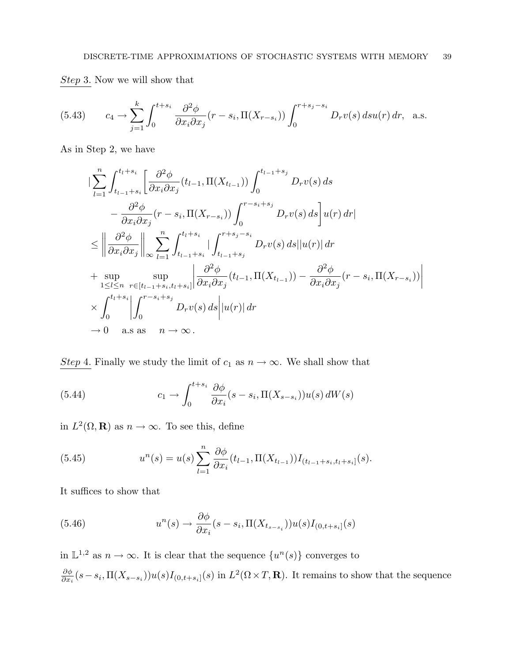Step 3. Now we will show that

(5.43) 
$$
c_4 \to \sum_{j=1}^k \int_0^{t+s_i} \frac{\partial^2 \phi}{\partial x_i \partial x_j} (r - s_i, \Pi(X_{r-s_i})) \int_0^{r+s_j-s_i} D_r v(s) ds u(r) dr, \text{ a.s.}
$$

As in Step 2, we have

$$
\begin{split}\n&\left|\sum_{l=1}^{n} \int_{t_{l-1}+s_{i}}^{t_{l}+s_{i}} \left[ \frac{\partial^{2}\phi}{\partial x_{i}\partial x_{j}}(t_{l-1}, \Pi(X_{t_{l-1}})) \int_{0}^{t_{l-1}+s_{j}} D_{r}v(s) \, ds \right. \\
&\left. - \frac{\partial^{2}\phi}{\partial x_{i}\partial x_{j}}(r-s_{i}, \Pi(X_{r-s_{i}})) \int_{0}^{r-s_{i}+s_{j}} D_{r}v(s) \, ds \right] u(r) \, dr \right| \\
&\leq \left\| \frac{\partial^{2}\phi}{\partial x_{i}\partial x_{j}} \right\|_{\infty} \sum_{l=1}^{n} \int_{t_{l-1}+s_{i}}^{t_{l}+s_{i}} \left| \int_{t_{l-1}+s_{j}}^{r+s_{j}-s_{i}} D_{r}v(s) \, ds \right| |u(r)| \, dr \\
&\quad + \sup_{1 \leq l \leq n} \sup_{r \in [t_{l-1}+s_{i},t_{l}+s_{i}]} \left| \frac{\partial^{2}\phi}{\partial x_{i}\partial x_{j}}(t_{l-1}, \Pi(X_{t_{l-1}})) - \frac{\partial^{2}\phi}{\partial x_{i}\partial x_{j}}(r-s_{i}, \Pi(X_{r-s_{i}})) \right| \\
&\quad \times \int_{0}^{t_{l}+s_{i}} \left| \int_{0}^{r-s_{i}+s_{j}} D_{r}v(s) \, ds \right| |u(r)| \, dr \\
&\rightarrow 0 \quad \text{a.s as} \quad n \rightarrow \infty \, .\n\end{split}
$$

Step 4. Finally we study the limit of  $c_1$  as  $n \to \infty$ . We shall show that

(5.44) 
$$
c_1 \to \int_0^{t+s_i} \frac{\partial \phi}{\partial x_i}(s-s_i, \Pi(X_{s-s_i}))u(s) dW(s)
$$

in  $L^2(\Omega, \mathbf{R})$  as  $n \to \infty$ . To see this, define

(5.45) 
$$
u^{n}(s) = u(s) \sum_{l=1}^{n} \frac{\partial \phi}{\partial x_{i}}(t_{l-1}, \Pi(X_{t_{l-1}})) I_{(t_{l-1}+s_{i}, t_{l}+s_{i}]}(s).
$$

It suffices to show that

(5.46) 
$$
u^{n}(s) \rightarrow \frac{\partial \phi}{\partial x_{i}}(s-s_{i}, \Pi(X_{t_{s-s_{i}}}))u(s)I_{(0,t+s_{i}]}(s)
$$

in  $\mathbb{L}^{1,2}$  as  $n \to \infty$ . It is clear that the sequence  $\{u^n(s)\}\$ converges to ∂φ  $\frac{\partial \phi}{\partial x_i}(s-s_i, \Pi(X_{s-s_i}))u(s)I_{(0,t+s_i]}(s)$  in  $L^2(\Omega \times T, \mathbf{R})$ . It remains to show that the sequence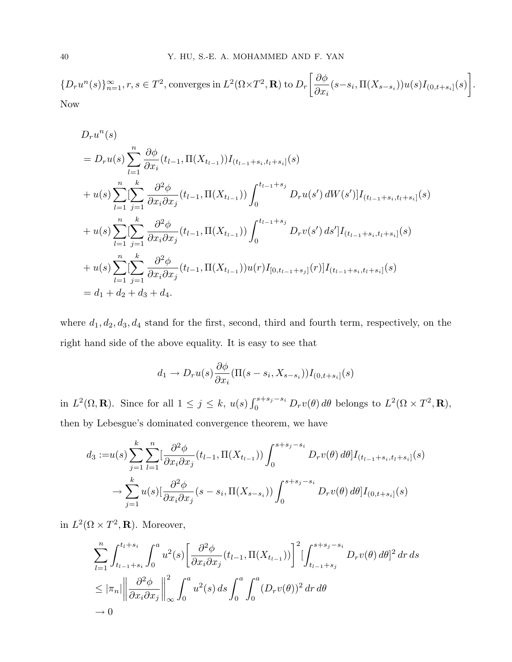$\{D_r u^n(s)\}_{n=1}^{\infty}, r, s \in T^2$ , converges in  $L^2(\Omega \times T^2, \mathbf{R})$  to  $D_r$ ·  $\partial \phi$  $\partial x_i$  $(s-s_i, \Pi(X_{s-s_i}))u(s)I_{(0,t+s_i]}(s)$  $\overline{a}$ . Now

$$
D_r u^n(s)
$$
  
\n
$$
= D_r u(s) \sum_{l=1}^n \frac{\partial \phi}{\partial x_i} (t_{l-1}, \Pi(X_{t_{l-1}})) I_{(t_{l-1}+s_i, t_l+s_i]}(s)
$$
  
\n
$$
+ u(s) \sum_{l=1}^n \sum_{j=1}^k \frac{\partial^2 \phi}{\partial x_i \partial x_j} (t_{l-1}, \Pi(X_{t_{l-1}})) \int_0^{t_{l-1}+s_j} D_r u(s') dW(s') I_{(t_{l-1}+s_i, t_l+s_i]}(s)
$$
  
\n
$$
+ u(s) \sum_{l=1}^n \sum_{j=1}^k \frac{\partial^2 \phi}{\partial x_i \partial x_j} (t_{l-1}, \Pi(X_{t_{l-1}})) \int_0^{t_{l-1}+s_j} D_r v(s') ds' I_{(t_{l-1}+s_i, t_l+s_i]}(s)
$$
  
\n
$$
+ u(s) \sum_{l=1}^n \sum_{j=1}^k \frac{\partial^2 \phi}{\partial x_i \partial x_j} (t_{l-1}, \Pi(X_{t_{l-1}})) u(r) I_{[0, t_{l-1}+s_j]}(r) I_{(t_{l-1}+s_i, t_l+s_i]}(s)
$$
  
\n
$$
= d_1 + d_2 + d_3 + d_4.
$$

where  $d_1, d_2, d_3, d_4$  stand for the first, second, third and fourth term, respectively, on the right hand side of the above equality. It is easy to see that

$$
d_1 \to D_r u(s) \frac{\partial \phi}{\partial x_i} (\Pi(s - s_i, X_{s - s_i})) I_{(0, t + s_i]}(s)
$$

in  $L^2(\Omega, \mathbf{R})$ . Since for all  $1 \leq j \leq k$ ,  $u(s) \int_0^{s+s_j-s_i}$  $L^{s+s_j-s_i} D_r v(\theta) d\theta$  belongs to  $L^2(\Omega \times T^2, \mathbf{R}),$ then by Lebesgue's dominated convergence theorem, we have

$$
d_3 := u(s) \sum_{j=1}^k \sum_{l=1}^n \left[ \frac{\partial^2 \phi}{\partial x_i \partial x_j} (t_{l-1}, \Pi(X_{t_{l-1}})) \int_0^{s+s_j - s_i} D_r v(\theta) d\theta \right] I_{(t_{l-1} + s_i, t_l + s_i]}(s)
$$
  

$$
\to \sum_{j=1}^k u(s) \left[ \frac{\partial^2 \phi}{\partial x_i \partial x_j} (s - s_i, \Pi(X_{s-s_i})) \int_0^{s+s_j - s_i} D_r v(\theta) d\theta \right] I_{(0, t+s_i]}(s)
$$

in  $L^2(\Omega \times T^2, \mathbf{R})$ . Moreover,

$$
\sum_{l=1}^{n} \int_{t_{l-1}+s_i}^{t_l+s_i} \int_0^a u^2(s) \left[ \frac{\partial^2 \phi}{\partial x_i \partial x_j} (t_{l-1}, \Pi(X_{t_{l-1}})) \right]^2 \left[ \int_{t_{l-1}+s_j}^{s+s_j-s_i} D_r v(\theta) d\theta \right]^2 dr ds
$$
  
\n
$$
\leq |\pi_n| \left\| \frac{\partial^2 \phi}{\partial x_i \partial x_j} \right\|_{\infty}^2 \int_0^a u^2(s) ds \int_0^a \int_0^a (D_r v(\theta))^2 dr d\theta
$$
  
\n
$$
\to 0
$$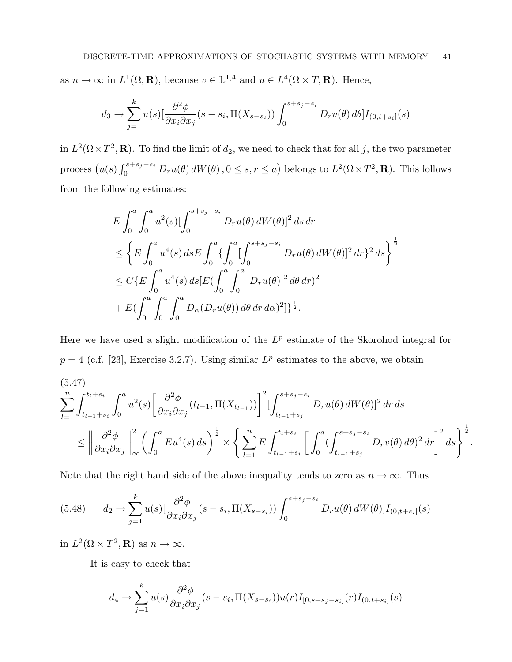as  $n \to \infty$  in  $L^1(\Omega, \mathbf{R})$ , because  $v \in \mathbb{L}^{1,4}$  and  $u \in L^4(\Omega \times T, \mathbf{R})$ . Hence,

$$
d_3 \to \sum_{j=1}^k u(s) \left[ \frac{\partial^2 \phi}{\partial x_i \partial x_j} (s - s_i, \Pi(X_{s-s_i})) \int_0^{s+s_j-s_i} D_r v(\theta) d\theta \right] I_{(0,t+s_i]}(s)
$$

in  $L^2(\Omega \times T^2, \mathbf{R})$ . To find the limit of  $d_2$ , we need to check that for all j, the two parameter process  $(u(s))_0^{s+s_j-s_i}$  $\int_0^{s+s_j-s_i} D_r u(\theta) dW(\theta)$ ,  $0 \leq s, r \leq a$ ¢ belongs to  $L^2(\Omega \times T^2, \mathbf{R})$ . This follows from the following estimates:

$$
E \int_0^a \int_0^a u^2(s) [\int_0^{s+s_j-s_i} D_r u(\theta) dW(\theta)]^2 ds dr
$$
  
\n
$$
\leq \left\{ E \int_0^a u^4(s) ds E \int_0^a {\{\int_0^a [\int_0^{s+s_j-s_i} D_r u(\theta) dW(\theta)]^2 dr}^2 ds \right\}^{\frac{1}{2}}
$$
  
\n
$$
\leq C \{ E \int_0^a u^4(s) ds [E(\int_0^a \int_0^a |D_r u(\theta)|^2 d\theta dr)^2
$$
  
\n
$$
+ E(\int_0^a \int_0^a \int_0^a D_\alpha (D_r u(\theta)) d\theta dr d\alpha)^2 ]\}^{\frac{1}{2}}.
$$

Here we have used a slight modification of the  $L^p$  estimate of the Skorohod integral for  $p = 4$  (c.f. [23], Exercise 3.2.7). Using similar  $L^p$  estimates to the above, we obtain

$$
\sum_{l=1}^{n} \int_{t_{l-1}+s_i}^{t_l+s_i} \int_0^a u^2(s) \left[ \frac{\partial^2 \phi}{\partial x_i \partial x_j} (t_{l-1}, \Pi(X_{t_{l-1}})) \right]^2 \left[ \int_{t_{l-1}+s_j}^{s+s_j-s_i} D_r u(\theta) dW(\theta) \right]^2 dr ds
$$
  

$$
\leq \left\| \frac{\partial^2 \phi}{\partial x_i \partial x_j} \right\|_{\infty}^2 \left( \int_0^a Eu^4(s) ds \right)^{\frac{1}{2}} \times \left\{ \sum_{l=1}^n E \int_{t_{l-1}+s_i}^{t_l+s_i} \left[ \int_0^a \left( \int_{t_{l-1}+s_j}^{s+s_j-s_i} D_r v(\theta) d\theta \right)^2 dr \right]^2 ds \right\}^{\frac{1}{2}}.
$$

Note that the right hand side of the above inequality tends to zero as  $n \to \infty$ . Thus

$$
(5.48) \t d_2 \to \sum_{j=1}^k u(s) \left[ \frac{\partial^2 \phi}{\partial x_i \partial x_j} (s - s_i, \Pi(X_{s - s_i})) \int_0^{s + s_j - s_i} D_r u(\theta) dW(\theta) \right] I_{(0, t + s_i]}(s)
$$

in  $L^2(\Omega \times T^2, \mathbf{R})$  as  $n \to \infty$ .

It is easy to check that

$$
d_4 \to \sum_{j=1}^k u(s) \frac{\partial^2 \phi}{\partial x_i \partial x_j}(s - s_i, \Pi(X_{s - s_i})) u(r) I_{[0, s + s_j - s_i]}(r) I_{(0, t + s_i]}(s)
$$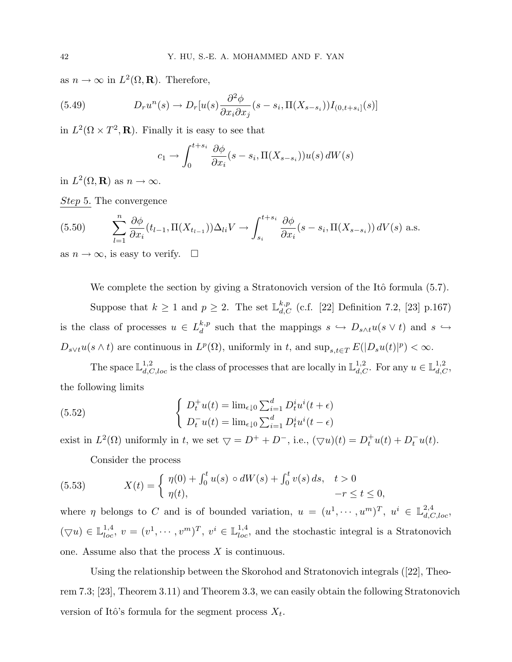as  $n \to \infty$  in  $L^2(\Omega, \mathbf{R})$ . Therefore,

(5.49) 
$$
D_r u^n(s) \to D_r[u(s)\frac{\partial^2 \phi}{\partial x_i \partial x_j}(s-s_i, \Pi(X_{s-s_i}))I_{(0,t+s_i]}(s)]
$$

in  $L^2(\Omega \times T^2, \mathbf{R})$ . Finally it is easy to see that

$$
c_1 \to \int_0^{t+s_i} \frac{\partial \phi}{\partial x_i}(s-s_i, \Pi(X_{s-s_i}))u(s) dW(s)
$$

in  $L^2(\Omega, \mathbf{R})$  as  $n \to \infty$ .

Step 5. The convergence

(5.50) 
$$
\sum_{l=1}^n \frac{\partial \phi}{\partial x_i}(t_{l-1}, \Pi(X_{t_{l-1}})) \Delta_{li} V \to \int_{s_i}^{t+s_i} \frac{\partial \phi}{\partial x_i}(s-s_i, \Pi(X_{s-s_i})) dV(s) \text{ a.s.}
$$

as  $n \to \infty$ , is easy to verify.  $\square$ 

We complete the section by giving a Stratonovich version of the Itô formula  $(5.7)$ .

Suppose that  $k \geq 1$  and  $p \geq 2$ . The set  $\mathbb{L}_{d,C}^{k,p}$  (c.f. [22] Definition 7.2, [23] p.167) is the class of processes  $u \in L^{k,p}_d$  $d_d^{k,p}$  such that the mappings  $s \hookrightarrow D_{s \wedge t} u(s \vee t)$  and  $s \hookrightarrow$  $D_{s\vee t}u(s\wedge t)$  are continuous in  $L^p(\Omega)$ , uniformly in t, and  $\sup_{s,t\in T}E(|D_su(t)|^p)<\infty$ .

The space  $\mathbb{L}_{d,C,loc}^{1,2}$  is the class of processes that are locally in  $\mathbb{L}_{d,C}^{1,2}$ . For any  $u \in \mathbb{L}_{d,C}^{1,2}$ , the following limits

(5.52) 
$$
\begin{cases} D_t^+ u(t) = \lim_{\epsilon \downarrow 0} \sum_{i=1}^d D_t^i u^i(t + \epsilon) \\ D_t^- u(t) = \lim_{\epsilon \downarrow 0} \sum_{i=1}^d D_t^i u^i(t - \epsilon) \end{cases}
$$

exist in  $L^2(\Omega)$  uniformly in t, we set  $\bigtriangledown = D^+ + D^-$ , i.e.,  $(\bigtriangledown u)(t) = D_t^+$  $t^+u(t) + D_t^ \bar{t}^u(t)$ .

Consider the process

(5.53) 
$$
X(t) = \begin{cases} \eta(0) + \int_0^t u(s) \circ dW(s) + \int_0^t v(s) \, ds, & t > 0 \\ \eta(t), & -r \le t \le 0, \end{cases}
$$

where  $\eta$  belongs to C and is of bounded variation,  $u = (u^1, \dots, u^m)^T$ ,  $u^i \in \mathbb{L}^{2,4}_{d,C,loc}$ ,  $(\nabla u) \in \mathbb{L}^{1,4}_{loc}, v = (v^1, \dots, v^m)^T, v^i \in \mathbb{L}^{1,4}_{loc}$ , and the stochastic integral is a Stratonovich one. Assume also that the process  $X$  is continuous.

Using the relationship between the Skorohod and Stratonovich integrals ([22], Theorem 7.3; [23], Theorem 3.11) and Theorem 3.3, we can easily obtain the following Stratonovich version of Itô's formula for the segment process  $X_t$ .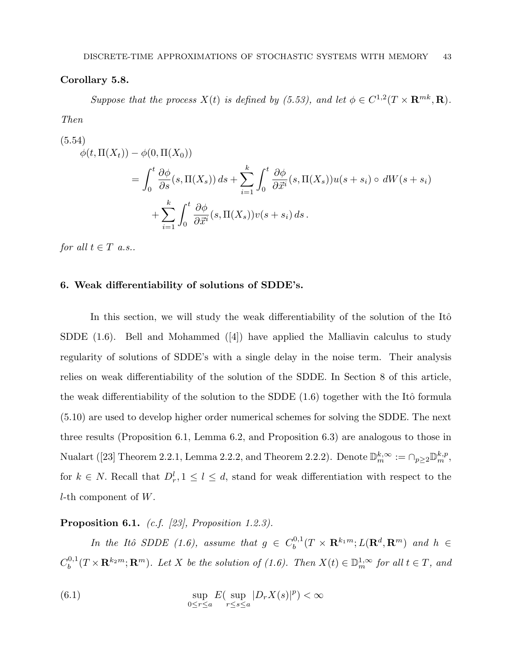#### Corollary 5.8.

Suppose that the process  $X(t)$  is defined by (5.53), and let  $\phi \in C^{1,2}(T \times \mathbf{R}^{mk}, \mathbf{R})$ . Then

(5.54)

$$
\phi(t, \Pi(X_t)) - \phi(0, \Pi(X_0))
$$
  
= 
$$
\int_0^t \frac{\partial \phi}{\partial s}(s, \Pi(X_s)) ds + \sum_{i=1}^k \int_0^t \frac{\partial \phi}{\partial \vec{x}^i}(s, \Pi(X_s)) u(s+s_i) \circ dW(s+s_i)
$$
  
+ 
$$
\sum_{i=1}^k \int_0^t \frac{\partial \phi}{\partial \vec{x}^i}(s, \Pi(X_s)) v(s+s_i) ds.
$$

for all  $t \in T$  a.s..

#### 6. Weak differentiability of solutions of SDDE's.

In this section, we will study the weak differentiability of the solution of the Itô SDDE  $(1.6)$ . Bell and Mohammed  $([4])$  have applied the Malliavin calculus to study regularity of solutions of SDDE's with a single delay in the noise term. Their analysis relies on weak differentiability of the solution of the SDDE. In Section 8 of this article, the weak differentiability of the solution to the SDDE  $(1.6)$  together with the Itô formula (5.10) are used to develop higher order numerical schemes for solving the SDDE. The next three results (Proposition 6.1, Lemma 6.2, and Proposition 6.3) are analogous to those in Nualart ([23] Theorem 2.2.1, Lemma 2.2.2, and Theorem 2.2.2). Denote  $\mathbb{D}_m^{k,\infty} := \cap_{p \ge 2} \mathbb{D}_m^{k,p}$ , for  $k \in N$ . Recall that  $D_r^l, 1 \leq l \leq d$ , stand for weak differentiation with respect to the *l*-th component of  $W$ .

# Proposition 6.1. (c.f. [23], Proposition 1.2.3).

In the Itô SDDE (1.6), assume that  $g \in C_b^{0,1}$  $\mathcal{L}_b^{0,1}(T\times \mathbf{R}^{k_1m};L(\mathbf{R}^d,\mathbf{R}^m)$  and  $h\,\in$  $C^{0,1}_b$  $b^{0,1}(T\times\mathbf{R}^{k_2m};\mathbf{R}^m)$ . Let X be the solution of (1.6). Then  $X(t)\in\mathbb{D}_m^{1,\infty}$  for all  $t\in T$ , and

(6.1) 
$$
\sup_{0 \le r \le a} E\left(\sup_{r \le s \le a} |D_r X(s)|^p\right) < \infty
$$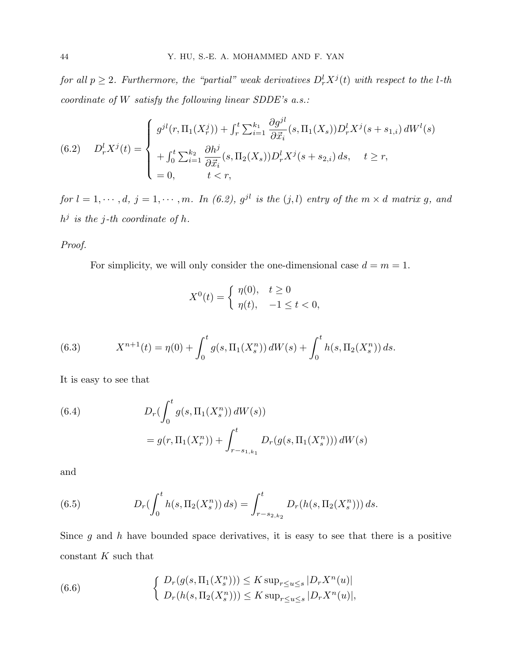for all  $p \geq 2$ . Furthermore, the "partial" weak derivatives  $D_r^l X^j(t)$  with respect to the l-th coordinate of W satisfy the following linear SDDE's a.s.:

(6.2) 
$$
D_r^l X^j(t) = \begin{cases} g^{jl}(r, \Pi_1(X_r^j)) + \int_r^t \sum_{i=1}^{k_1} \frac{\partial g^{jl}}{\partial \vec{x}_i}(s, \Pi_1(X_s)) D_r^l X^j(s+s_{1,i}) dW^l(s) \\ + \int_0^t \sum_{i=1}^{k_2} \frac{\partial h^j}{\partial \vec{x}_i}(s, \Pi_2(X_s)) D_r^l X^j(s+s_{2,i}) ds, \quad t \ge r, \\ = 0, \qquad t < r, \end{cases}
$$

for  $l = 1, \dots, d, j = 1, \dots, m$ . In (6.2),  $g^{jl}$  is the (j,l) entry of the  $m \times d$  matrix g, and  $h^j$  is the j-th coordinate of h.

## Proof.

For simplicity, we will only consider the one-dimensional case  $d = m = 1$ .

$$
X^{0}(t) = \begin{cases} \eta(0), & t \ge 0 \\ \eta(t), & -1 \le t < 0, \end{cases}
$$

(6.3) 
$$
X^{n+1}(t) = \eta(0) + \int_0^t g(s, \Pi_1(X_s^n)) dW(s) + \int_0^t h(s, \Pi_2(X_s^n)) ds.
$$

It is easy to see that

(6.4) 
$$
D_r\left(\int_0^t g(s, \Pi_1(X_s^n)) dW(s)\right)
$$

$$
= g(r, \Pi_1(X_r^n)) + \int_{r-s_{1,k_1}}^t D_r(g(s, \Pi_1(X_s^n))) dW(s)
$$

and

(6.5) 
$$
D_r\left(\int_0^t h(s,\Pi_2(X_s^n))\,ds\right)=\int_{r-s_{2,k_2}}^t D_r(h(s,\Pi_2(X_s^n)))\,ds.
$$

Since g and h have bounded space derivatives, it is easy to see that there is a positive constant  $K$  such that

(6.6) 
$$
\begin{cases} D_r(g(s, \Pi_1(X_s^n))) \leq K \sup_{r \leq u \leq s} |D_r X^n(u)| \\ D_r(h(s, \Pi_2(X_s^n))) \leq K \sup_{r \leq u \leq s} |D_r X^n(u)|, \end{cases}
$$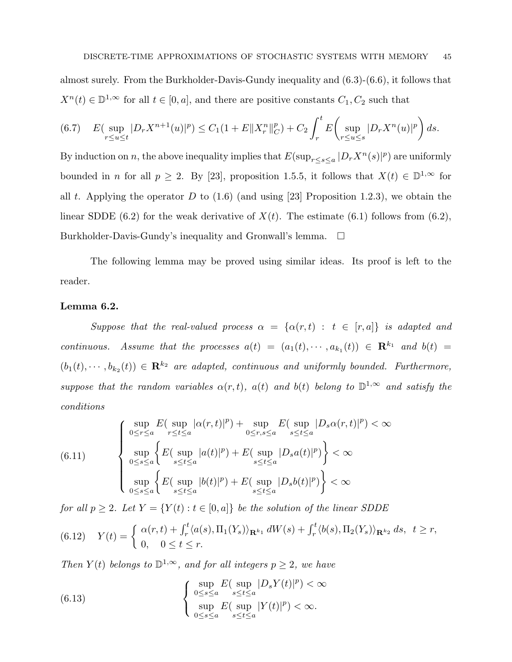almost surely. From the Burkholder-Davis-Gundy inequality and (6.3)-(6.6), it follows that  $X^{n}(t) \in \mathbb{D}^{1,\infty}$  for all  $t \in [0,a]$ , and there are positive constants  $C_1, C_2$  such that

$$
(6.7) \quad E(\sup_{r \le u \le t} |D_r X^{n+1}(u)|^p) \le C_1 (1 + E \|X_r^n\|_{C}^p) + C_2 \int_r^t E\bigg(\sup_{r \le u \le s} |D_r X^n(u)|^p\bigg) ds.
$$

By induction on n, the above inequality implies that  $E(\sup_{r\leq s\leq a}|D_rX^n(s)|^p)$  are uniformly bounded in *n* for all  $p \geq 2$ . By [23], proposition 1.5.5, it follows that  $X(t) \in \mathbb{D}^{1,\infty}$  for all t. Applying the operator  $D$  to  $(1.6)$  (and using [23] Proposition 1.2.3), we obtain the linear SDDE (6.2) for the weak derivative of  $X(t)$ . The estimate (6.1) follows from (6.2), Burkholder-Davis-Gundy's inequality and Gronwall's lemma.  $\Box$ 

The following lemma may be proved using similar ideas. Its proof is left to the reader.

#### Lemma 6.2.

Suppose that the real-valued process  $\alpha = {\alpha(r, t) : t \in [r, a]}$  is adapted and continuous. Assume that the processes  $a(t) = (a_1(t), \dots, a_{k_1}(t)) \in \mathbb{R}^{k_1}$  and  $b(t) =$  $(b_1(t), \dots, b_{k_2}(t)) \in \mathbb{R}^{k_2}$  are adapted, continuous and uniformly bounded. Furthermore, suppose that the random variables  $\alpha(r,t)$ ,  $\alpha(t)$  and  $b(t)$  belong to  $\mathbb{D}^{1,\infty}$  and satisfy the conditions

(6.11) 
$$
\begin{cases} \sup_{0 \leq r \leq a} E(\sup_{r \leq t \leq a} |\alpha(r,t)|^{p}) + \sup_{0 \leq r,s \leq a} E(\sup_{s \leq t \leq a} |D_{s}\alpha(r,t)|^{p}) < \infty \\ \sup_{0 \leq s \leq a} \Big\{ E(\sup_{s \leq t \leq a} |a(t)|^{p}) + E(\sup_{s \leq t \leq a} |D_{s}\alpha(t)|^{p}) \Big\} < \infty \\ \sup_{0 \leq s \leq a} \Big\{ E(\sup_{s \leq t \leq a} |b(t)|^{p}) + E(\sup_{s \leq t \leq a} |D_{s}b(t)|^{p}) \Big\} < \infty \end{cases}
$$

for all  $p \geq 2$ . Let  $Y = \{Y(t) : t \in [0, a]\}$  be the solution of the linear SDDE

(6.12) 
$$
Y(t) = \begin{cases} \alpha(r,t) + \int_r^t \langle a(s), \Pi_1(Y_s) \rangle_{\mathbf{R}^{k_1}} dW(s) + \int_r^t \langle b(s), \Pi_2(Y_s) \rangle_{\mathbf{R}^{k_2}} ds, & t \geq r, \\ 0, & 0 \leq t \leq r. \end{cases}
$$

Then  $Y(t)$  belongs to  $\mathbb{D}^{1,\infty}$ , and for all integers  $p \geq 2$ , we have

(6.13) 
$$
\begin{cases} \sup_{0 \le s \le a} E(\sup_{s \le t \le a} |D_s Y(t)|^p) < \infty \\ \sup_{0 \le s \le a} E(\sup_{s \le t \le a} |Y(t)|^p) < \infty. \end{cases}
$$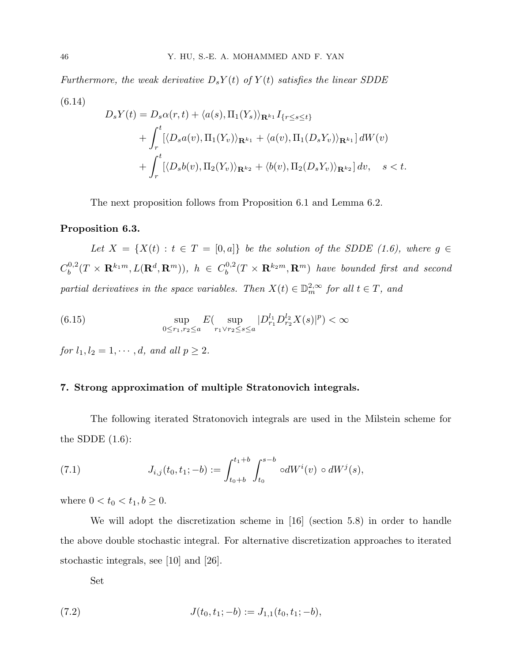Furthermore, the weak derivative  $D_s Y(t)$  of  $Y(t)$  satisfies the linear SDDE

$$
(6.14)
$$

$$
D_s Y(t) = D_s \alpha(r, t) + \langle a(s), \Pi_1(Y_s) \rangle_{\mathbf{R}^{k_1}} I_{\{r \le s \le t\}}
$$
  
+ 
$$
\int_r^t [\langle D_s a(v), \Pi_1(Y_v) \rangle_{\mathbf{R}^{k_1}} + \langle a(v), \Pi_1(D_s Y_v) \rangle_{\mathbf{R}^{k_1}}] dW(v)
$$
  
+ 
$$
\int_r^t [\langle D_s b(v), \Pi_2(Y_v) \rangle_{\mathbf{R}^{k_2}} + \langle b(v), \Pi_2(D_s Y_v) \rangle_{\mathbf{R}^{k_2}}] dv, \quad s < t.
$$

The next proposition follows from Proposition 6.1 and Lemma 6.2.

#### Proposition 6.3.

Let  $X = \{X(t) : t \in T = [0, a]\}\$  be the solution of the SDDE (1.6), where  $g \in$  $C_b^{0,2}$  $\mathbf{b}^{0,2}_b(T\times \mathbf{R}^{k_1m}, L(\mathbf{R}^d,\mathbf{R}^m)),~~h~\in~C_b^{0,2}$  $\mathcal{L}_b^{0,2}(T\times\mathbf{R}^{k_2 m},\mathbf{R}^m)$  have bounded first and second partial derivatives in the space variables. Then  $X(t) \in \mathbb{D}_{m}^{2,\infty}$  for all  $t \in T$ , and

(6.15) 
$$
\sup_{0 \le r_1, r_2 \le a} E(\sup_{r_1 \vee r_2 \le s \le a} |D_{r_1}^{l_1} D_{r_2}^{l_2} X(s)|^p) < \infty
$$

for  $l_1, l_2 = 1, \cdots, d$ , and all  $p \geq 2$ .

# 7. Strong approximation of multiple Stratonovich integrals.

The following iterated Stratonovich integrals are used in the Milstein scheme for the SDDE  $(1.6)$ :

(7.1) 
$$
J_{i,j}(t_0, t_1; -b) := \int_{t_0+b}^{t_1+b} \int_{t_0}^{s-b} \circ dW^i(v) \circ dW^j(s),
$$

where  $0 < t_0 < t_1, b \ge 0$ .

We will adopt the discretization scheme in [16] (section 5.8) in order to handle the above double stochastic integral. For alternative discretization approaches to iterated stochastic integrals, see [10] and [26].

Set

(7.2) 
$$
J(t_0, t_1; -b) := J_{1,1}(t_0, t_1; -b),
$$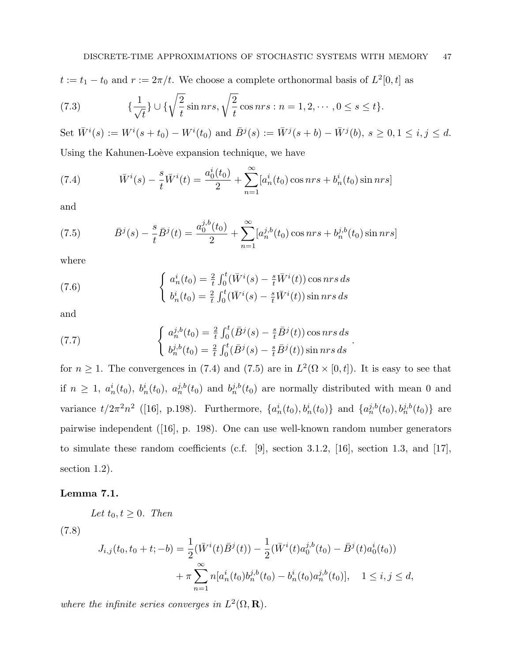$t := t_1 - t_0$  and  $r := 2\pi/t$ . We choose a complete orthonormal basis of  $L^2[0, t]$  as

(7.3) 
$$
\{\frac{1}{\sqrt{t}}\}\cup \{\sqrt{\frac{2}{t}}\sin nrs, \sqrt{\frac{2}{t}}\cos nrs : n = 1, 2, \cdots, 0 \le s \le t\}.
$$

Set  $\bar{W}^{i}(s) := W^{i}(s+t_0) - W^{i}(t_0)$  and  $\bar{B}^{j}(s) := \bar{W}^{j}(s+b) - \bar{W}^{j}(b), s \geq 0, 1 \leq i, j \leq d.$ 

Using the Kahunen-Loève expansion technique, we have

(7.4) 
$$
\bar{W}^{i}(s) - \frac{s}{t}\bar{W}^{i}(t) = \frac{a_{0}^{i}(t_{0})}{2} + \sum_{n=1}^{\infty} [a_{n}^{i}(t_{0})\cos nr s + b_{n}^{i}(t_{0})\sin nr s]
$$

and

(7.5) 
$$
\bar{B}^{j}(s) - \frac{s}{t}\bar{B}^{j}(t) = \frac{a_0^{j,b}(t_0)}{2} + \sum_{n=1}^{\infty} [a_n^{j,b}(t_0)\cos nr_s + b_n^{j,b}(t_0)\sin nr_s]
$$

where

(7.6) 
$$
\begin{cases} a_n^i(t_0) = \frac{2}{t} \int_0^t (\bar{W}^i(s) - \frac{s}{t} \bar{W}^i(t)) \cos nrs \, ds \\ b_n^i(t_0) = \frac{2}{t} \int_0^t (\bar{W}^i(s) - \frac{s}{t} \bar{W}^i(t)) \sin nrs \, ds \end{cases}
$$

and

(7.7) 
$$
\begin{cases} a_n^{j,b}(t_0) = \frac{2}{t} \int_0^t (\bar{B}^j(s) - \frac{s}{t} \bar{B}^j(t)) \cos nrs \, ds \\ b_n^{j,b}(t_0) = \frac{2}{t} \int_0^t (\bar{B}^j(s) - \frac{s}{t} \bar{B}^j(t)) \sin nrs \, ds \end{cases}.
$$

for  $n \geq 1$ . The convergences in (7.4) and (7.5) are in  $L^2(\Omega \times [0, t])$ . It is easy to see that if  $n \geq 1$ ,  $a_n^i(t_0)$ ,  $b_n^i(t_0)$ ,  $a_n^{j,b}(t_0)$  and  $b_n^{j,b}(t_0)$  are normally distributed with mean 0 and variance  $t/2\pi^2 n^2$  ([16], p.198). Furthermore,  $\{a_n^i(t_0), b_n^i(t_0)\}\$  and  $\{a_n^{j,b}(t_0), b_n^{j,b}(t_0)\}\$  are pairwise independent ([16], p. 198). One can use well-known random number generators to simulate these random coefficients (c.f. [9], section 3.1.2, [16], section 1.3, and [17], section 1.2).

#### Lemma 7.1.

Let  $t_0, t \geq 0$ . Then  $J_{i,j}(t_0, t_0 + t; -b) = \frac{1}{2}$  $(\bar{W}^i(t)\bar{B}^j(t)) -$ 1 2  $(\bar{W}^i(t)a_0^{j,b}$  $\bar{B}^{j,b}(t_0) - \bar{B}^{j}(t) a^i_0(t_0))$ (7.8)  $+ \pi$  $\approx$  $n=1$  $n[a_n^i(t_0)b_n^{j,b}(t_0) - b_n^i(t_0)a_n^{j,b}(t_0)], \quad 1 \le i, j \le d,$ 

where the infinite series converges in  $L^2(\Omega, \mathbf{R})$ .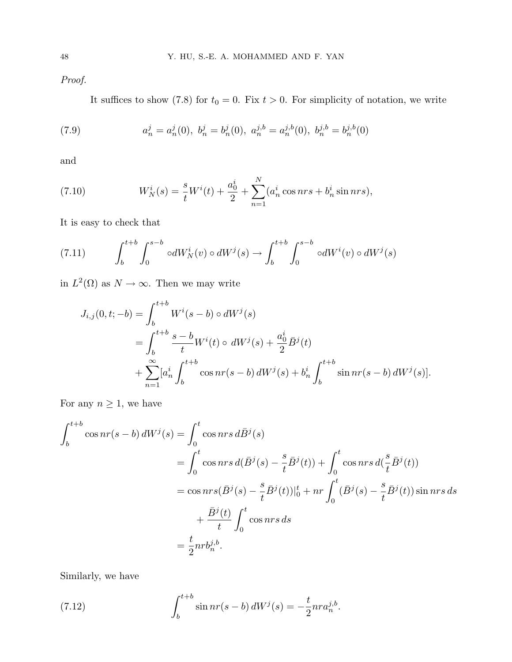Proof.

It suffices to show (7.8) for  $t_0 = 0$ . Fix  $t > 0$ . For simplicity of notation, we write

(7.9) 
$$
a_n^j = a_n^j(0), \ b_n^j = b_n^j(0), \ a_n^{j,b} = a_n^{j,b}(0), \ b_n^{j,b} = b_n^{j,b}(0)
$$

and

(7.10) 
$$
W_N^i(s) = \frac{s}{t}W^i(t) + \frac{a_0^i}{2} + \sum_{n=1}^N (a_n^i \cos nrs + b_n^i \sin nrs),
$$

It is easy to check that

(7.11) 
$$
\int_b^{t+b} \int_0^{s-b} \circ dW_N^i(v) \circ dW^j(s) \to \int_b^{t+b} \int_0^{s-b} \circ dW^i(v) \circ dW^j(s)
$$

in  $L^2(\Omega)$  as  $N \to \infty$ . Then we may write

$$
J_{i,j}(0,t; -b) = \int_b^{t+b} W^i(s-b) \circ dW^j(s)
$$
  
= 
$$
\int_b^{t+b} \frac{s-b}{t} W^i(t) \circ dW^j(s) + \frac{a_0^i}{2} \bar{B}^j(t)
$$
  
+ 
$$
\sum_{n=1}^{\infty} [a_n^i \int_b^{t+b} \cos nr(s-b) dW^j(s) + b_n^i \int_b^{t+b} \sin nr(s-b) dW^j(s)].
$$

For any  $n \geq 1$ , we have

$$
\int_{b}^{t+b} \cos nr(s-b) dW^{j}(s) = \int_{0}^{t} \cos nrs \, d\bar{B}^{j}(s)
$$
  
= 
$$
\int_{0}^{t} \cos nrs \, d(\bar{B}^{j}(s) - \frac{s}{t} \bar{B}^{j}(t)) + \int_{0}^{t} \cos nrs \, d(\frac{s}{t} \bar{B}^{j}(t))
$$
  
= 
$$
\cos nrs (\bar{B}^{j}(s) - \frac{s}{t} \bar{B}^{j}(t))|_{0}^{t} + nr \int_{0}^{t} (\bar{B}^{j}(s) - \frac{s}{t} \bar{B}^{j}(t)) \sin nrs \, ds
$$
  
+ 
$$
\frac{\bar{B}^{j}(t)}{t} \int_{0}^{t} \cos nrs \, ds
$$
  
= 
$$
\frac{t}{2} nr b_{n}^{j,b}.
$$

Similarly, we have

(7.12) 
$$
\int_{b}^{t+b} \sin nr(s-b) dW^{j}(s) = -\frac{t}{2} n r a_{n}^{j,b}.
$$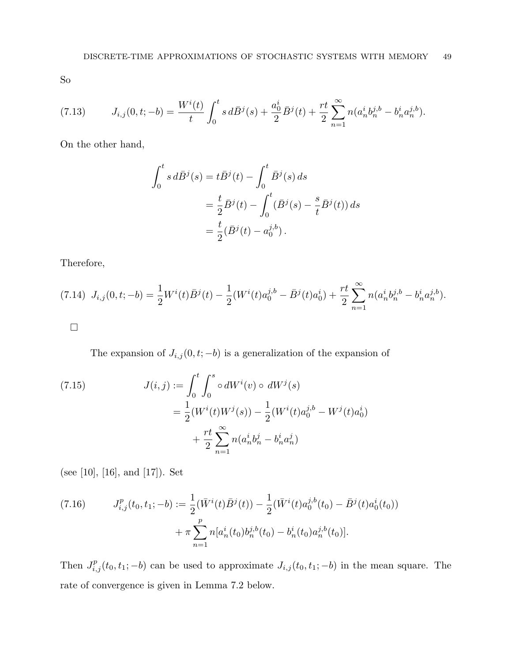So

(7.13) 
$$
J_{i,j}(0,t; -b) = \frac{W^{i}(t)}{t} \int_{0}^{t} s d\bar{B}^{j}(s) + \frac{a_0^{i}}{2} \bar{B}^{j}(t) + \frac{rt}{2} \sum_{n=1}^{\infty} n(a_n^{i} b_n^{j,b} - b_n^{i} a_n^{j,b}).
$$

On the other hand,

$$
\int_0^t s \, d\bar{B}^j(s) = t \bar{B}^j(t) - \int_0^t \bar{B}^j(s) \, ds
$$
  
=  $\frac{t}{2} \bar{B}^j(t) - \int_0^t (\bar{B}^j(s) - \frac{s}{t} \bar{B}^j(t)) \, ds$   
=  $\frac{t}{2} (\bar{B}^j(t) - a_0^{j,b}).$ 

Therefore,

$$
(7.14) \ J_{i,j}(0,t; -b) = \frac{1}{2}W^{i}(t)\overline{B}^{j}(t) - \frac{1}{2}(W^{i}(t)a_{0}^{j,b} - \overline{B}^{j}(t)a_{0}^{i}) + \frac{rt}{2}\sum_{n=1}^{\infty}n(a_{n}^{i}b_{n}^{j,b} - b_{n}^{i}a_{n}^{j,b}).
$$

 $\Box$ 

The expansion of  $J_{i,j}(0, t; -b)$  is a generalization of the expansion of

(7.15) 
$$
J(i,j) := \int_0^t \int_0^s \circ dW^i(v) \circ dW^j(s)
$$

$$
= \frac{1}{2} (W^i(t)W^j(s)) - \frac{1}{2} (W^i(t)a_0^{j,b} - W^j(t)a_0^i)
$$

$$
+ \frac{rt}{2} \sum_{n=1}^\infty n(a_n^i b_n^j - b_n^i a_n^j)
$$

(see [10], [16], and [17]). Set

(7.16) 
$$
J_{i,j}^{p}(t_0, t_1; -b) := \frac{1}{2} (\bar{W}^{i}(t)\bar{B}^{j}(t)) - \frac{1}{2} (\bar{W}^{i}(t)a_0^{j,b}(t_0) - \bar{B}^{j}(t)a_0^{i}(t_0)) + \pi \sum_{n=1}^{p} n[a_n^{i}(t_0)b_n^{j,b}(t_0) - b_n^{i}(t_0)a_n^{j,b}(t_0)].
$$

Then  $J_{i,j}^p(t_0, t_1; -b)$  can be used to approximate  $J_{i,j}(t_0, t_1; -b)$  in the mean square. The rate of convergence is given in Lemma 7.2 below.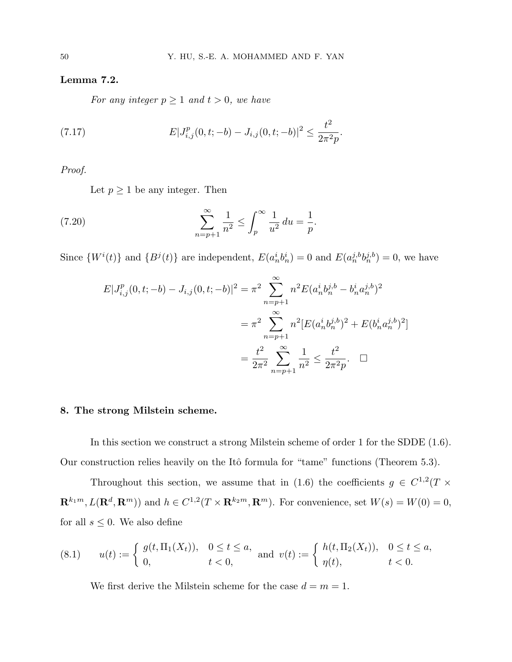# Lemma 7.2.

For any integer  $p \ge 1$  and  $t > 0$ , we have

(7.17) 
$$
E|J_{i,j}^{p}(0,t; -b) - J_{i,j}(0,t; -b)|^{2} \leq \frac{t^{2}}{2\pi^{2}p}.
$$

Proof.

Let  $p \geq 1$  be any integer. Then

(7.20) 
$$
\sum_{n=p+1}^{\infty} \frac{1}{n^2} \le \int_p^{\infty} \frac{1}{u^2} du = \frac{1}{p}.
$$

Since  $\{W^i(t)\}\$ and  $\{B^j(t)\}\$ are independent,  $E(a_n^i b_n^i) = 0$  and  $E(a_n^{j,b} b_n^{j,b}) = 0$ , we have

$$
E|J_{i,j}^{p}(0,t; -b) - J_{i,j}(0,t; -b)|^{2} = \pi^{2} \sum_{n=p+1}^{\infty} n^{2} E(a_{n}^{i} b_{n}^{j,b} - b_{n}^{i} a_{n}^{j,b})^{2}
$$

$$
= \pi^{2} \sum_{n=p+1}^{\infty} n^{2} [E(a_{n}^{i} b_{n}^{j,b})^{2} + E(b_{n}^{i} a_{n}^{j,b})^{2}]
$$

$$
= \frac{t^{2}}{2\pi^{2}} \sum_{n=p+1}^{\infty} \frac{1}{n^{2}} \leq \frac{t^{2}}{2\pi^{2} p}. \quad \Box
$$

### 8. The strong Milstein scheme.

In this section we construct a strong Milstein scheme of order 1 for the SDDE (1.6). Our construction relies heavily on the Itô formula for "tame" functions (Theorem 5.3).

Throughout this section, we assume that in (1.6) the coefficients  $g \in C^{1,2}(T \times$  $\mathbf{R}^{k_1m}, L(\mathbf{R}^d, \mathbf{R}^m)$  and  $h \in C^{1,2}(T \times \mathbf{R}^{k_2m}, \mathbf{R}^m)$ . For convenience, set  $W(s) = W(0) = 0$ , for all  $s \leq 0$ . We also define

$$
(8.1) \qquad u(t) := \begin{cases} g(t, \Pi_1(X_t)), & 0 \le t \le a, \\ 0, & t < 0, \end{cases} \text{ and } v(t) := \begin{cases} h(t, \Pi_2(X_t)), & 0 \le t \le a, \\ \eta(t), & t < 0. \end{cases}
$$

We first derive the Milstein scheme for the case  $d = m = 1$ .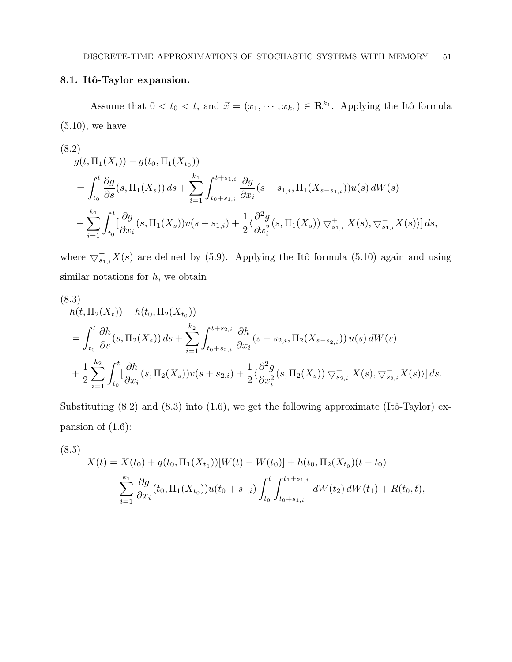# 8.1. Itô-Taylor expansion.

Assume that  $0 < t_0 < t$ , and  $\vec{x} = (x_1, \dots, x_{k_1}) \in \mathbb{R}^{k_1}$ . Applying the Itô formula  $(5.10)$ , we have

$$
(8.2)
$$
\n
$$
g(t, \Pi_1(X_t)) - g(t_0, \Pi_1(X_{t_0}))
$$
\n
$$
= \int_{t_0}^t \frac{\partial g}{\partial s}(s, \Pi_1(X_s)) ds + \sum_{i=1}^{k_1} \int_{t_0 + s_{1,i}}^{t + s_{1,i}} \frac{\partial g}{\partial x_i}(s - s_{1,i}, \Pi_1(X_{s - s_{1,i}})) u(s) dW(s)
$$
\n
$$
+ \sum_{i=1}^{k_1} \int_{t_0}^t \left[ \frac{\partial g}{\partial x_i}(s, \Pi_1(X_s)) v(s + s_{1,i}) + \frac{1}{2} \langle \frac{\partial^2 g}{\partial x_i^2}(s, \Pi_1(X_s)) \nabla_{s_{1,i}}^+ X(s), \nabla_{s_{1,i}}^- X(s) \rangle \right] ds,
$$

where  $\bigtriangledown_{s_{1,i}}^{\pm} X(s)$  are defined by (5.9). Applying the Itô formula (5.10) again and using similar notations for  $h$ , we obtain

$$
(8.3) \nh(t, \Pi_2(X_t)) - h(t_0, \Pi_2(X_{t_0})) \n= \int_{t_0}^t \frac{\partial h}{\partial s}(s, \Pi_2(X_s)) ds + \sum_{i=1}^{k_2} \int_{t_0+s_{2,i}}^{t+s_{2,i}} \frac{\partial h}{\partial x_i}(s - s_{2,i}, \Pi_2(X_{s-s_{2,i}})) u(s) dW(s) \n+ \frac{1}{2} \sum_{i=1}^{k_2} \int_{t_0}^t \left[ \frac{\partial h}{\partial x_i}(s, \Pi_2(X_s)) v(s + s_{2,i}) + \frac{1}{2} \langle \frac{\partial^2 g}{\partial x_i^2}(s, \Pi_2(X_s)) \nabla_{s_{2,i}}^+ X(s), \nabla_{s_{2,i}}^- X(s) \rangle \right] ds.
$$

Substituting  $(8.2)$  and  $(8.3)$  into  $(1.6)$ , we get the following approximate  $(Itô-Taylor)$  expansion of (1.6):

(8.5)  
\n
$$
X(t) = X(t_0) + g(t_0, \Pi_1(X_{t_0}))[W(t) - W(t_0)] + h(t_0, \Pi_2(X_{t_0})(t - t_0)
$$
\n
$$
+ \sum_{i=1}^{k_1} \frac{\partial g}{\partial x_i}(t_0, \Pi_1(X_{t_0}))u(t_0 + s_{1,i}) \int_{t_0}^t \int_{t_0 + s_{1,i}}^{t_1 + s_{1,i}} dW(t_2) dW(t_1) + R(t_0, t),
$$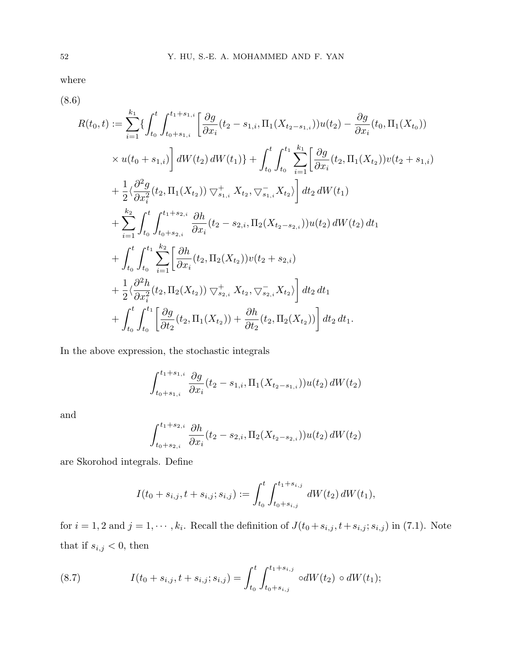where (8.6)

$$
R(t_0, t) := \sum_{i=1}^{k_1} \left\{ \int_{t_0}^t \int_{t_0 + s_{1,i}}^{t_1 + s_{1,i}} \left[ \frac{\partial g}{\partial x_i} (t_2 - s_{1,i}, \Pi_1(X_{t_2 - s_{1,i}})) u(t_2) - \frac{\partial g}{\partial x_i} (t_0, \Pi_1(X_{t_0})) \right] \times u(t_0 + s_{1,i}) \right\} dW(t_2) dW(t_1) + \int_{t_0}^t \int_{t_0}^{t_1} \sum_{i=1}^{k_1} \left[ \frac{\partial g}{\partial x_i} (t_2, \Pi_1(X_{t_2})) v(t_2 + s_{1,i}) \right] + \frac{1}{2} \left\{ \frac{\partial^2 g}{\partial x_i^2} (t_2, \Pi_1(X_{t_2})) \right\} \nabla_{s_{1,i}}^+ X_{t_2}, \nabla_{s_{1,i}}^- X_{t_2} \right\} dt_2 dW(t_1) + \sum_{i=1}^{k_2} \int_{t_0}^t \int_{t_0 + s_{2,i}}^{t_1 + s_{2,i}} \frac{\partial h}{\partial x_i} (t_2 - s_{2,i}, \Pi_2(X_{t_2 - s_{2,i}})) u(t_2) dW(t_2) dt_1 + \int_{t_0}^t \int_{t_0}^{t_1} \sum_{i=1}^{k_2} \left[ \frac{\partial h}{\partial x_i} (t_2, \Pi_2(X_{t_2})) v(t_2 + s_{2,i}) \right] dt_2 dt_1 + \frac{1}{2} \left\{ \frac{\partial^2 h}{\partial x_i^2} (t_2, \Pi_2(X_{t_2})) \right\} \nabla_{s_{2,i}}^+ X_{t_2}, \nabla_{s_{2,i}}^- X_{t_2} \right\} dt_2 dt_1 + \int_{t_0}^t \int_{t_0}^{t_1} \left[ \frac{\partial g}{\partial t_2} (t_2, \Pi_1(X_{t_2})) + \frac{\partial h}{\partial t_2} (t_2, \Pi_2(X_{t_2})) \right] dt_2 dt_1.
$$

In the above expression, the stochastic integrals

$$
\int_{t_0+s_{1,i}}^{t_1+s_{1,i}} \frac{\partial g}{\partial x_i}(t_2-s_{1,i}, \Pi_1(X_{t_2-s_{1,i}}))u(t_2) dW(t_2)
$$

and

$$
\int_{t_0+s_{2,i}}^{t_1+s_{2,i}} \frac{\partial h}{\partial x_i}(t_2-s_{2,i}, \Pi_2(X_{t_2-s_{2,i}}))u(t_2) dW(t_2)
$$

are Skorohod integrals. Define

$$
I(t_0+s_{i,j},t+s_{i,j};s_{i,j}) := \int_{t_0}^t \int_{t_0+s_{i,j}}^{t_1+s_{i,j}} dW(t_2) dW(t_1),
$$

for  $i = 1, 2$  and  $j = 1, \dots, k_i$ . Recall the definition of  $J(t_0 + s_{i,j}, t + s_{i,j}; s_{i,j})$  in (7.1). Note that if  $s_{i,j} < 0$ , then

(8.7) 
$$
I(t_0 + s_{i,j}, t + s_{i,j}; s_{i,j}) = \int_{t_0}^t \int_{t_0 + s_{i,j}}^{t_1 + s_{i,j}} \circ dW(t_2) \circ dW(t_1);
$$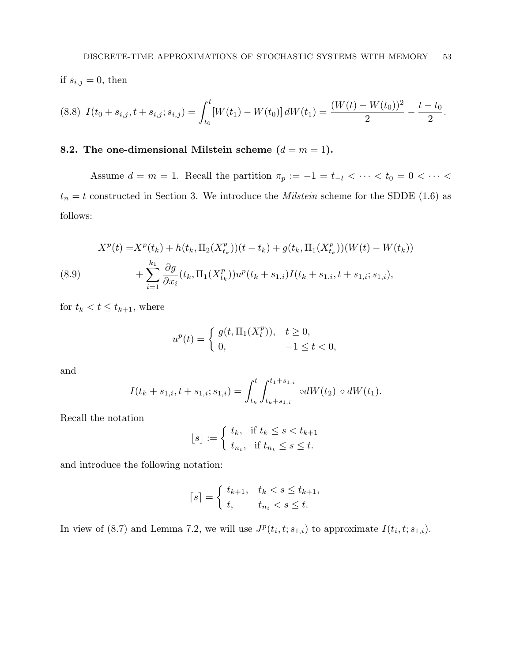if  $s_{i,j} = 0$ , then

$$
(8.8) I(t_0 + s_{i,j}, t + s_{i,j}; s_{i,j}) = \int_{t_0}^t [W(t_1) - W(t_0)] dW(t_1) = \frac{(W(t) - W(t_0))^2}{2} - \frac{t - t_0}{2}.
$$

# 8.2. The one-dimensional Milstein scheme  $(d = m = 1)$ .

Assume  $d = m = 1$ . Recall the partition  $\pi_p := -1 = t_{-l} < \cdots < t_0 = 0 < \cdots <$  $t_n = t$  constructed in Section 3. We introduce the *Milstein* scheme for the SDDE (1.6) as follows:

(8.9) 
$$
X^{p}(t) = X^{p}(t_{k}) + h(t_{k}, \Pi_{2}(X_{t_{k}}^{p}))(t - t_{k}) + g(t_{k}, \Pi_{1}(X_{t_{k}}^{p}))(W(t) - W(t_{k})) + \sum_{i=1}^{k_{1}} \frac{\partial g}{\partial x_{i}}(t_{k}, \Pi_{1}(X_{t_{k}}^{p}))u^{p}(t_{k} + s_{1,i})I(t_{k} + s_{1,i}; t + s_{1,i}; s_{1,i}),
$$

for  $t_k < t \leq t_{k+1}$ , where

$$
u^{p}(t) = \begin{cases} g(t, \Pi_{1}(X_{t}^{p})), & t \ge 0, \\ 0, & -1 \le t < 0, \end{cases}
$$

and

$$
I(t_k + s_{1,i}, t + s_{1,i}; s_{1,i}) = \int_{t_k}^t \int_{t_k + s_{1,i}}^{t_1 + s_{1,i}} \circ dW(t_2) \circ dW(t_1).
$$

Recall the notation

$$
\lfloor s \rfloor := \begin{cases} t_k, & \text{if } t_k \le s < t_{k+1} \\ t_{n_t}, & \text{if } t_{n_t} \le s \le t. \end{cases}
$$

and introduce the following notation:

$$
\lceil s \rceil = \begin{cases} t_{k+1}, & t_k < s \le t_{k+1}, \\ t, & t_{n_t} < s \le t. \end{cases}
$$

In view of (8.7) and Lemma 7.2, we will use  $J^p(t_i,t;s_{1,i})$  to approximate  $I(t_i,t;s_{1,i})$ .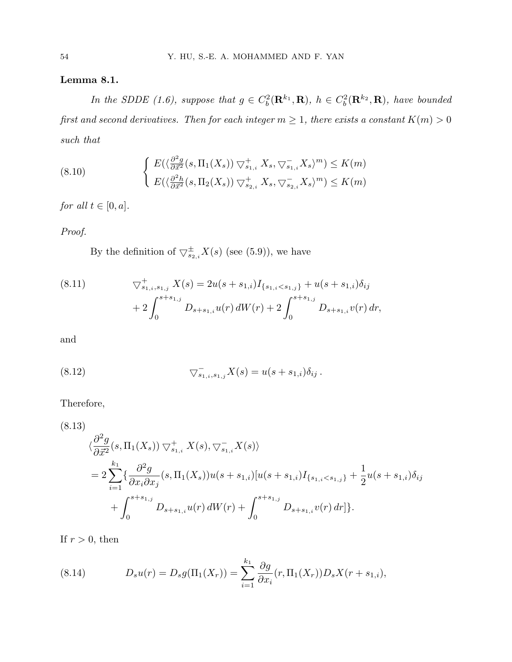# Lemma 8.1.

In the SDDE (1.6), suppose that  $g \in C_b^2(\mathbf{R}^{k_1}, \mathbf{R})$ ,  $h \in C_b^2(\mathbf{R}^{k_2}, \mathbf{R})$ , have bounded first and second derivatives. Then for each integer  $m \geq 1$ , there exists a constant  $K(m) > 0$ such that

(8.10) 
$$
\begin{cases} E(\langle \frac{\partial^2 g}{\partial \vec{x}^2}(s, \Pi_1(X_s)) \bigtriangledown_{s_{1,i}}^+ X_s, \bigtriangledown_{s_{1,i}}^- X_s \rangle^m) \le K(m) \\ E(\langle \frac{\partial^2 h}{\partial \vec{x}^2}(s, \Pi_2(X_s)) \bigtriangledown_{s_{2,i}}^+ X_s, \bigtriangledown_{s_{2,i}}^- X_s \rangle^m) \le K(m) \end{cases}
$$

for all  $t \in [0, a]$ .

# Proof.

By the definition of  $\bigtriangledown_{s_{2,i}}^{\pm} X(s)$  (see (5.9)), we have

(8.11) 
$$
\nabla_{s_{1,i},s_{1,j}}^{+} X(s) = 2u(s+s_{1,i}) I_{\{s_{1,i} < s_{1,j}\}} + u(s+s_{1,i}) \delta_{ij} + 2 \int_{0}^{s+s_{1,j}} D_{s+s_{1,i}} u(r) dW(r) + 2 \int_{0}^{s+s_{1,j}} D_{s+s_{1,i}} v(r) dr,
$$

and

(8.12) 
$$
\nabla_{s_{1,i},s_{1,j}}^{-} X(s) = u(s+s_{1,i}) \delta_{ij}.
$$

Therefore,

$$
(8.13)
$$
\n
$$
\langle \frac{\partial^2 g}{\partial \vec{x}^2}(s, \Pi_1(X_s)) \nabla_{s_{1,i}}^+ X(s), \nabla_{s_{1,i}}^- X(s) \rangle
$$
\n
$$
= 2 \sum_{i=1}^{k_1} \{ \frac{\partial^2 g}{\partial x_i \partial x_j}(s, \Pi_1(X_s)) u(s+s_{1,i}) [u(s+s_{1,i}) I_{\{s_{1,i} < s_{1,j}\}} + \frac{1}{2} u(s+s_{1,i}) \delta_{ij} + \int_0^{s+s_{1,j}} D_{s+s_{1,i}} u(r) dW(r) + \int_0^{s+s_{1,j}} D_{s+s_{1,i}} v(r) dr ] \}.
$$

If  $r > 0$ , then

(8.14) 
$$
D_s u(r) = D_s g(\Pi_1(X_r)) = \sum_{i=1}^{k_1} \frac{\partial g}{\partial x_i}(r, \Pi_1(X_r)) D_s X(r+s_{1,i}),
$$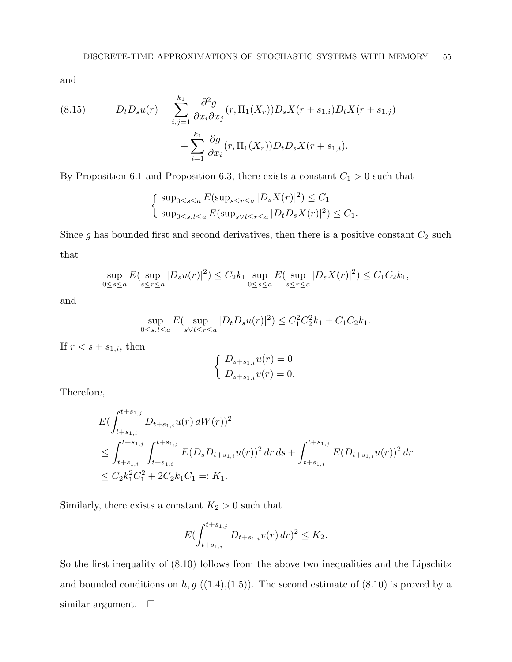and

(8.15) 
$$
D_t D_s u(r) = \sum_{i,j=1}^{k_1} \frac{\partial^2 g}{\partial x_i \partial x_j}(r, \Pi_1(X_r)) D_s X(r+s_{1,i}) D_t X(r+s_{1,j}) + \sum_{i=1}^{k_1} \frac{\partial g}{\partial x_i}(r, \Pi_1(X_r)) D_t D_s X(r+s_{1,i}).
$$

By Proposition 6.1 and Proposition 6.3, there exists a constant  $C_1 > 0$  such that

$$
\begin{cases} \sup_{0\leq s\leq a} E(\sup_{s\leq r\leq a}|D_sX(r)|^2) \leq C_1\\ \sup_{0\leq s,t\leq a} E(\sup_{s\vee t\leq r\leq a}|D_tD_sX(r)|^2) \leq C_1. \end{cases}
$$

Since  $g$  has bounded first and second derivatives, then there is a positive constant  $C_2$  such that

$$
\sup_{0 \le s \le a} E(\sup_{s \le r \le a} |D_s u(r)|^2) \le C_2 k_1 \sup_{0 \le s \le a} E(\sup_{s \le r \le a} |D_s X(r)|^2) \le C_1 C_2 k_1,
$$

and

$$
\sup_{0 \le s,t \le a} E(\sup_{s \vee t \le r \le a} |D_t D_s u(r)|^2) \le C_1^2 C_2^2 k_1 + C_1 C_2 k_1.
$$

If  $r < s + s_{1,i}$ , then

$$
\begin{cases} D_{s+s_{1,i}}u(r) = 0\\ D_{s+s_{1,i}}v(r) = 0. \end{cases}
$$

Therefore,

$$
E\left(\int_{t+s_{1,i}}^{t+s_{1,j}} D_{t+s_{1,i}} u(r) dW(r)\right)^2
$$
  
\n
$$
\leq \int_{t+s_{1,i}}^{t+s_{1,i}} \int_{t+s_{1,i}}^{t+s_{1,j}} E(D_s D_{t+s_{1,i}} u(r))^2 dr ds + \int_{t+s_{1,i}}^{t+s_{1,j}} E(D_{t+s_{1,i}} u(r))^2 dr
$$
  
\n
$$
\leq C_2 k_1^2 C_1^2 + 2C_2 k_1 C_1 =: K_1.
$$

Similarly, there exists a constant  $K_2 > 0$  such that

$$
E\bigl(\int_{t+s_{1,i}}^{t+s_{1,j}} D_{t+s_{1,i}} v(r) \, dr\bigr)^2 \le K_2.
$$

So the first inequality of (8.10) follows from the above two inequalities and the Lipschitz and bounded conditions on  $h, g((1.4),(1.5))$ . The second estimate of  $(8.10)$  is proved by a similar argument.  $\square$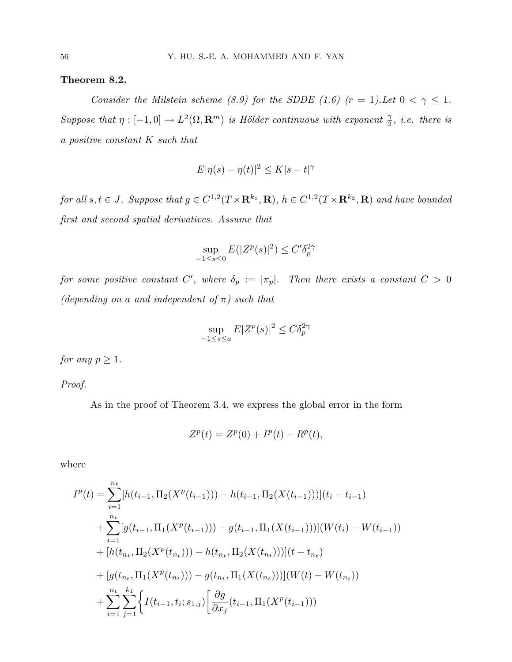# Theorem 8.2.

Consider the Milstein scheme (8.9) for the SDDE (1.6) (r = 1). Let  $0 < \gamma \leq 1$ . Suppose that  $\eta: [-1,0] \to L^2(\Omega, \mathbf{R}^m)$  is Hölder continuous with exponent  $\frac{\gamma}{2}$ , i.e. there is a positive constant K such that

$$
E|\eta(s) - \eta(t)|^2 \le K|s - t|^\gamma
$$

for all  $s,t \in J$ . Suppose that  $g \in C^{1,2}(T \times \mathbf{R}^{k_1}, \mathbf{R})$ ,  $h \in C^{1,2}(T \times \mathbf{R}^{k_2}, \mathbf{R})$  and have bounded first and second spatial derivatives. Assume that

$$
\sup_{-1 \le s \le 0} E(|Z^p(s)|^2) \le C' \delta_p^{2\gamma}
$$

for some positive constant C', where  $\delta_p := |\pi_p|$ . Then there exists a constant  $C > 0$ (depending on a and independent of  $\pi$ ) such that

$$
\sup_{-1 \le s \le a} E|Z^p(s)|^2 \le C\delta_p^{2\gamma}
$$

for any  $p \geq 1$ .

Proof.

As in the proof of Theorem 3.4, we express the global error in the form

$$
Z^p(t) = Z^p(0) + I^p(t) - R^p(t),
$$

where

$$
I^{p}(t) = \sum_{i=1}^{n_{t}} [h(t_{i-1}, \Pi_{2}(X^{p}(t_{i-1}))) - h(t_{i-1}, \Pi_{2}(X(t_{i-1})))](t_{i} - t_{i-1})
$$
  
+ 
$$
\sum_{i=1}^{n_{t}} [g(t_{i-1}, \Pi_{1}(X^{p}(t_{i-1}))) - g(t_{i-1}, \Pi_{1}(X(t_{i-1})))](W(t_{i}) - W(t_{i-1}))
$$
  
+ 
$$
[h(t_{n_{t}}, \Pi_{2}(X^{p}(t_{n_{t}}))) - h(t_{n_{t}}, \Pi_{2}(X(t_{n_{t}})))](t - t_{n_{t}})
$$
  
+ 
$$
[g(t_{n_{t}}, \Pi_{1}(X^{p}(t_{n_{t}}))) - g(t_{n_{t}}, \Pi_{1}(X(t_{n_{t}})))](W(t) - W(t_{n_{t}}))
$$
  
+ 
$$
\sum_{i=1}^{n_{t}} \sum_{j=1}^{k_{1}} \Biggl\{ I(t_{i-1}, t_{i}; s_{1,j}) \Biggl[ \frac{\partial g}{\partial x_{j}}(t_{i-1}, \Pi_{1}(X^{p}(t_{i-1})))
$$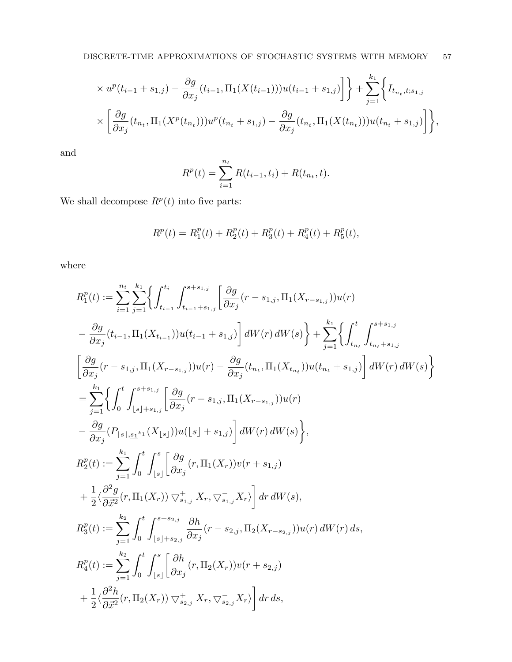$$
\times u^{p}(t_{i-1} + s_{1,j}) - \frac{\partial g}{\partial x_{j}}(t_{i-1}, \Pi_{1}(X(t_{i-1})))u(t_{i-1} + s_{1,j})\Big]\Big\} + \sum_{j=1}^{k_{1}} \Big\{I_{t_{n_{t}}, t; s_{1,j}}\Big\}
$$

$$
\times \Big[\frac{\partial g}{\partial x_{j}}(t_{n_{t}}, \Pi_{1}(X^{p}(t_{n_{t}})))u^{p}(t_{n_{t}} + s_{1,j}) - \frac{\partial g}{\partial x_{j}}(t_{n_{t}}, \Pi_{1}(X(t_{n_{t}})))u(t_{n_{t}} + s_{1,j})\Big]\Big\},\
$$

and

$$
R^{p}(t) = \sum_{i=1}^{n_t} R(t_{i-1}, t_i) + R(t_{n_t}, t).
$$

We shall decompose  $R^p(t)$  into five parts:

$$
R^{p}(t) = R_{1}^{p}(t) + R_{2}^{p}(t) + R_{3}^{p}(t) + R_{4}^{p}(t) + R_{5}^{p}(t),
$$

where

$$
R_{1}^{p}(t) := \sum_{i=1}^{n_{t}} \sum_{j=1}^{k_{1}} \left\{ \int_{t_{i-1}}^{t_{i}} \int_{t_{i-1}+s_{1,j}}^{s+s_{1,j}} \left[ \frac{\partial g}{\partial x_{j}}(r-s_{1,j}, \Pi_{1}(X_{r-s_{1,j}}))u(r) \right. \\ - \frac{\partial g}{\partial x_{j}}(t_{i-1}, \Pi_{1}(X_{t_{i-1}}))u(t_{i-1}+s_{1,j}) \right] dW(r) dW(s) \right\} + \sum_{j=1}^{k_{1}} \left\{ \int_{t_{n_{t}}}^{t} \int_{t_{n_{t}}+s_{1,j}}^{s+s_{1,j}} \left[ \frac{\partial g}{\partial x_{j}}(r-s_{1,j}, \Pi_{1}(X_{r-s_{1,j}}))u(r) - \frac{\partial g}{\partial x_{j}}(t_{n_{t}}, \Pi_{1}(X_{t_{n_{t}}}))u(t_{n_{t}}+s_{1,j}) \right] dW(r) dW(s) \right\}
$$
  
\n
$$
= \sum_{j=1}^{k_{1}} \left\{ \int_{0}^{t} \int_{\lfloor s \rfloor + s_{1,j}}^{s+s_{1,j}} \left[ \frac{\partial g}{\partial x_{j}}(r-s_{1,j}, \Pi_{1}(X_{r-s_{1,j}}))u(r) - \frac{\partial g}{\partial x_{j}}(P_{\lfloor s \rfloor, s_{\perp}^{k_{1}}}(\Lambda_{\lfloor s \rfloor}))u(\lfloor s \rfloor + s_{1,j}) \right] dW(r) dW(s) \right\},
$$
  
\n
$$
R_{2}^{p}(t) := \sum_{j=1}^{k_{1}} \int_{0}^{t} \int_{\lfloor s \rfloor}^{s} \left[ \frac{\partial g}{\partial x_{j}}(r, \Pi_{1}(X_{r}))v(r+s_{1,j}) + \frac{1}{2} \left\langle \frac{\partial^{2} g}{\partial x^{2}}(r, \Pi_{1}(X_{r})) \bigtriangledown_{s_{1,j}}^{+} X_{r}, \bigtriangledown_{s_{1,j}}^{-} X_{r} \right\rangle \right] dr dW(s),
$$
  
\n
$$
R_{3}^{p}(t) := \sum_{j=1}^{k_{2}} \int_{0}^{t} \int_{\lfloor s \rfloor}^{s+s_{2,j}} \frac{\partial h}{\partial x_{j}}(r-s_{2,j},
$$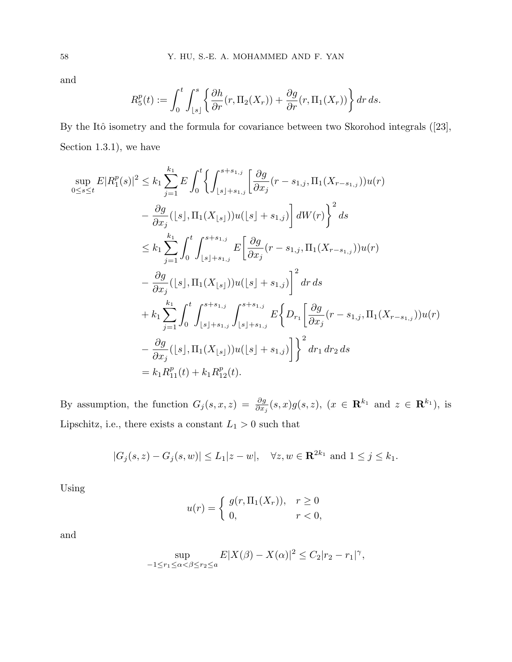and

$$
R_5^p(t) := \int_0^t \int_{\lfloor s \rfloor}^s \left\{ \frac{\partial h}{\partial r}(r, \Pi_2(X_r)) + \frac{\partial g}{\partial r}(r, \Pi_1(X_r)) \right\} dr ds.
$$

By the Itô isometry and the formula for covariance between two Skorohod integrals  $([23],$ Section 1.3.1), we have

$$
\sup_{0 \le s \le t} E|R_1^p(s)|^2 \le k_1 \sum_{j=1}^{k_1} E \int_0^t \left\{ \int_{\lfloor s \rfloor + s_{1,j}}^{s+s_{1,j}} \left[ \frac{\partial g}{\partial x_j} (r - s_{1,j}, \Pi_1(X_{r - s_{1,j}})) u(r) \right. \\ \left. - \frac{\partial g}{\partial x_j} (\lfloor s \rfloor, \Pi_1(X_{\lfloor s \rfloor})) u(\lfloor s \rfloor + s_{1,j}) \right] dW(r) \right\}^2 ds
$$
\n
$$
\le k_1 \sum_{j=1}^{k_1} \int_0^t \int_{\lfloor s \rfloor + s_{1,j}}^{s+s_{1,j}} E \left[ \frac{\partial g}{\partial x_j} (r - s_{1,j}, \Pi_1(X_{r - s_{1,j}})) u(r) \right. \\ \left. - \frac{\partial g}{\partial x_j} (\lfloor s \rfloor, \Pi_1(X_{\lfloor s \rfloor})) u(\lfloor s \rfloor + s_{1,j}) \right]^2 dr ds
$$
\n
$$
+ k_1 \sum_{j=1}^{k_1} \int_0^t \int_{\lfloor s \rfloor + s_{1,j}}^{s+s_{1,j}} \int_{\lfloor s \rfloor + s_{1,j}}^{s+s_{1,j}} E \left\{ D_{r_1} \left[ \frac{\partial g}{\partial x_j} (r - s_{1,j}, \Pi_1(X_{r - s_{1,j}})) u(r) \right. \\ \left. - \frac{\partial g}{\partial x_j} (\lfloor s \rfloor, \Pi_1(X_{\lfloor s \rfloor})) u(\lfloor s \rfloor + s_{1,j}) \right] \right\}^2 dr_1 dr_2 ds
$$
\n
$$
= k_1 R_{11}^p(t) + k_1 R_{12}^p(t).
$$

By assumption, the function  $G_j(s,x,z) = \frac{\partial g}{\partial x_j}(s,x)g(s,z)$ ,  $(x \in \mathbb{R}^{k_1}$  and  $z \in \mathbb{R}^{k_1}$ ), is Lipschitz, i.e., there exists a constant  $L_1 > 0$  such that

$$
|G_j(s, z) - G_j(s, w)| \le L_1 |z - w|, \quad \forall z, w \in \mathbf{R}^{2k_1} \text{ and } 1 \le j \le k_1.
$$

Using

$$
u(r) = \begin{cases} g(r, \Pi_1(X_r)), & r \ge 0 \\ 0, & r < 0, \end{cases}
$$

and

$$
\sup_{-1 \le r_1 \le \alpha < \beta \le r_2 \le a} E|X(\beta) - X(\alpha)|^2 \le C_2 |r_2 - r_1|^\gamma,
$$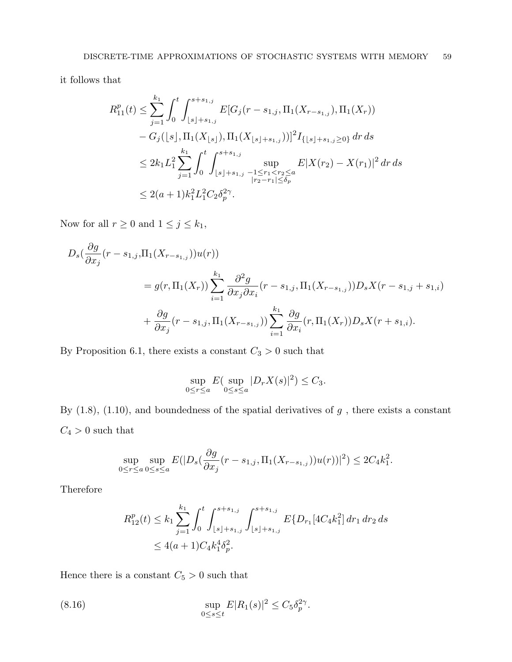it follows that

$$
R_{11}^{p}(t) \leq \sum_{j=1}^{k_{1}} \int_{0}^{t} \int_{\lfloor s \rfloor + s_{1,j}}^{s+s_{1,j}} E[G_{j}(r-s_{1,j}, \Pi_{1}(X_{r-s_{1,j}}), \Pi_{1}(X_{r}))
$$
  
\n
$$
- G_{j}(\lfloor s \rfloor, \Pi_{1}(X_{\lfloor s \rfloor}), \Pi_{1}(X_{\lfloor s \rfloor + s_{1,j}}))]^{2} I_{\{\lfloor s \rfloor + s_{1,j} \geq 0\}} dr ds
$$
  
\n
$$
\leq 2k_{1} L_{1}^{2} \sum_{j=1}^{k_{1}} \int_{0}^{t} \int_{\lfloor s \rfloor + s_{1,j}}^{s+s_{1,j}} \sup_{\substack{-1 \leq r_{1} < r_{2} \leq a \\ |r_{2}-r_{1}| \leq \delta_{p}}} E|X(r_{2}) - X(r_{1})|^{2} dr ds
$$
  
\n
$$
\leq 2(a+1)k_{1}^{2} L_{1}^{2} C_{2} \delta_{p}^{2\gamma}.
$$

Now for all  $r \ge 0$  and  $1 \le j \le k_1$ ,

$$
D_s(\frac{\partial g}{\partial x_j}(r-s_{1,j},\Pi_1(X_{r-s_{1,j}}))u(r))
$$
  
=  $g(r,\Pi_1(X_r))\sum_{i=1}^{k_1} \frac{\partial^2 g}{\partial x_j \partial x_i}(r-s_{1,j},\Pi_1(X_{r-s_{1,j}}))D_sX(r-s_{1,j}+s_{1,i})$   
+  $\frac{\partial g}{\partial x_j}(r-s_{1,j},\Pi_1(X_{r-s_{1,j}}))\sum_{i=1}^{k_1} \frac{\partial g}{\partial x_i}(r,\Pi_1(X_r))D_sX(r+s_{1,i}).$ 

By Proposition 6.1, there exists a constant  $C_3 > 0$  such that

$$
\sup_{0\leq r\leq a} E\left(\sup_{0\leq s\leq a} |D_r X(s)|^2\right) \leq C_3.
$$

By (1.8), (1.10), and boundedness of the spatial derivatives of  $g$  , there exists a constant  $C_4>0$  such that

$$
\sup_{0 \le r \le a} \sup_{0 \le s \le a} E(|D_s(\frac{\partial g}{\partial x_j}(r - s_{1,j}, \Pi_1(X_{r - s_{1,j}}))u(r))|^2) \le 2C_4k_1^2.
$$

Therefore

$$
R_{12}^p(t) \le k_1 \sum_{j=1}^{k_1} \int_0^t \int_{\lfloor s \rfloor + s_{1,j}}^{s+s_{1,j}} \int_{\lfloor s \rfloor + s_{1,j}}^{s+s_{1,j}} E\{D_{r_1}[4C_4k_1^2] \, dr_1 \, dr_2 \, ds \le 4(a+1)C_4k_1^4\delta_p^2.
$$

Hence there is a constant  $C_5>0$  such that

(8.16) 
$$
\sup_{0 \le s \le t} E|R_1(s)|^2 \le C_5 \delta_p^{2\gamma}.
$$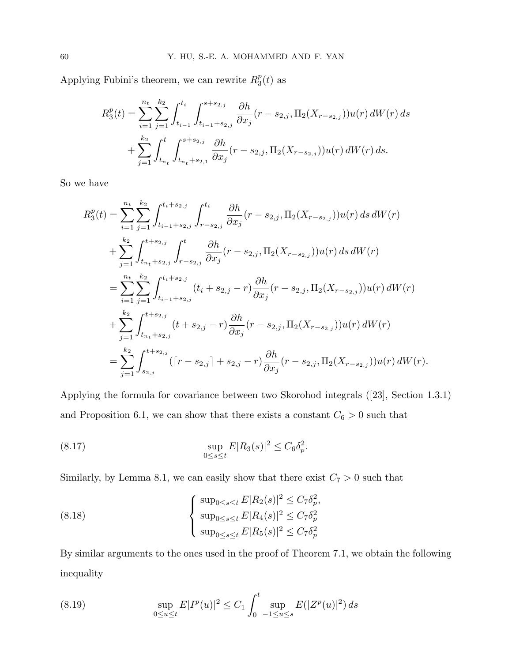Applying Fubini's theorem, we can rewrite  $R_3^p$  $\frac{p}{3}(t)$  as

$$
R_3^p(t) = \sum_{i=1}^{n_t} \sum_{j=1}^{k_2} \int_{t_{i-1}}^{t_i} \int_{t_{i-1}+s_{2,j}}^{s+s_{2,j}} \frac{\partial h}{\partial x_j} (r-s_{2,j}, \Pi_2(X_{r-s_{2,j}})) u(r) dW(r) ds
$$
  
+ 
$$
\sum_{j=1}^{k_2} \int_{t_{n_t}}^{t} \int_{t_{n_t}+s_{2,1}}^{s+s_{2,j}} \frac{\partial h}{\partial x_j} (r-s_{2,j}, \Pi_2(X_{r-s_{2,j}})) u(r) dW(r) ds.
$$

So we have

$$
R_{3}^{p}(t) = \sum_{i=1}^{n_{t}} \sum_{j=1}^{k_{2}} \int_{t_{i-1}+s_{2,j}}^{t_{i}+s_{2,j}} \int_{r-s_{2,j}}^{t_{i}} \frac{\partial h}{\partial x_{j}}(r-s_{2,j}, \Pi_{2}(X_{r-s_{2,j}}))u(r) ds dW(r) + \sum_{j=1}^{k_{2}} \int_{t_{n_{t}}+s_{2,j}}^{t+s_{2,j}} \int_{r-s_{2,j}}^{t} \frac{\partial h}{\partial x_{j}}(r-s_{2,j}, \Pi_{2}(X_{r-s_{2,j}}))u(r) ds dW(r) = \sum_{i=1}^{n_{t}} \sum_{j=1}^{k_{2}} \int_{t_{i-1}+s_{2,j}}^{t_{i}+s_{2,j}} (t_{i}+s_{2,j}-r) \frac{\partial h}{\partial x_{j}}(r-s_{2,j}, \Pi_{2}(X_{r-s_{2,j}}))u(r) dW(r) + \sum_{j=1}^{k_{2}} \int_{t_{n_{t}}+s_{2,j}}^{t+s_{2,j}} (t+s_{2,j}-r) \frac{\partial h}{\partial x_{j}}(r-s_{2,j}, \Pi_{2}(X_{r-s_{2,j}}))u(r) dW(r) = \sum_{j=1}^{k_{2}} \int_{s_{2,j}}^{t+s_{2,j}} ([r-s_{2,j}]+s_{2,j}-r) \frac{\partial h}{\partial x_{j}}(r-s_{2,j}, \Pi_{2}(X_{r-s_{2,j}}))u(r) dW(r).
$$

Applying the formula for covariance between two Skorohod integrals ([23], Section 1.3.1) and Proposition 6.1, we can show that there exists a constant  $C_6 > 0$  such that

(8.17) 
$$
\sup_{0 \le s \le t} E|R_3(s)|^2 \le C_6 \delta_p^2.
$$

Similarly, by Lemma 8.1, we can easily show that there exist  $C_7 > 0$  such that

(8.18) 
$$
\begin{cases} \sup_{0 \le s \le t} E |R_2(s)|^2 \le C_7 \delta_p^2, \\ \sup_{0 \le s \le t} E |R_4(s)|^2 \le C_7 \delta_p^2, \\ \sup_{0 \le s \le t} E |R_5(s)|^2 \le C_7 \delta_p^2 \end{cases}
$$

By similar arguments to the ones used in the proof of Theorem 7.1, we obtain the following inequality

(8.19) 
$$
\sup_{0 \le u \le t} E|I^p(u)|^2 \le C_1 \int_0^t \sup_{-1 \le u \le s} E(|Z^p(u)|^2) ds
$$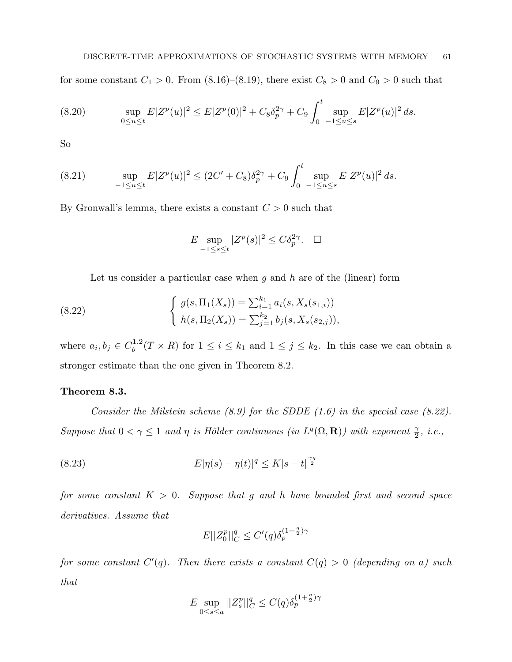for some constant  $C_1 > 0$ . From (8.16)–(8.19), there exist  $C_8 > 0$  and  $C_9 > 0$  such that

(8.20) 
$$
\sup_{0 \le u \le t} E|Z^p(u)|^2 \le E|Z^p(0)|^2 + C_8 \delta_p^{2\gamma} + C_9 \int_0^t \sup_{-1 \le u \le s} E|Z^p(u)|^2 ds.
$$

So

(8.21) 
$$
\sup_{-1 \le u \le t} E|Z^p(u)|^2 \le (2C' + C_8)\delta_p^{2\gamma} + C_9 \int_0^t \sup_{-1 \le u \le s} E|Z^p(u)|^2 ds.
$$

By Gronwall's lemma, there exists a constant  $C > 0$  such that

$$
E \sup_{-1 \le s \le t} |Z^p(s)|^2 \le C \delta_p^{2\gamma}.\quad \Box
$$

Let us consider a particular case when  $g$  and  $h$  are of the (linear) form

(8.22) 
$$
\begin{cases} g(s, \Pi_1(X_s)) = \sum_{i=1}^{k_1} a_i(s, X_s(s_{1,i})) \\ h(s, \Pi_2(X_s)) = \sum_{j=1}^{k_2} b_j(s, X_s(s_{2,j})), \end{cases}
$$

where  $a_i, b_j \in C_b^{1,2}$  $b^{(1,2)}(T \times R)$  for  $1 \leq i \leq k_1$  and  $1 \leq j \leq k_2$ . In this case we can obtain a stronger estimate than the one given in Theorem 8.2.

### Theorem 8.3.

Consider the Milstein scheme  $(8.9)$  for the SDDE  $(1.6)$  in the special case  $(8.22)$ . Suppose that  $0 < \gamma \leq 1$  and  $\eta$  is Hölder continuous (in  $L^q(\Omega, \mathbf{R})$ ) with exponent  $\frac{\gamma}{2}$ , i.e.,

(8.23) 
$$
E|\eta(s) - \eta(t)|^q \le K|s - t|^{\frac{\gamma q}{2}}
$$

for some constant  $K > 0$ . Suppose that g and h have bounded first and second space derivatives. Assume that

$$
E||Z_0^p||_C^q \leq C'(q)\delta_p^{(1+\frac{q}{2})\gamma}
$$

for some constant  $C'(q)$ . Then there exists a constant  $C(q) > 0$  (depending on a) such that

$$
E \sup_{0 \le s \le a} ||Z_s^p||_C^q \le C(q) \delta_p^{(1+\frac{q}{2})\gamma}
$$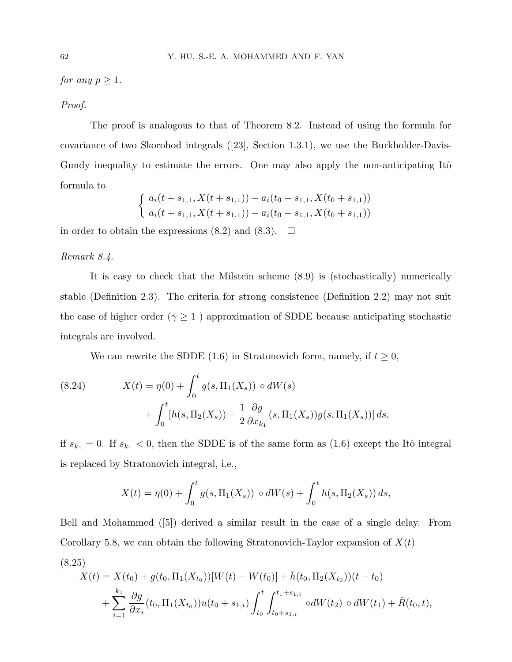for any  $p \geq 1$ .

## Proof.

The proof is analogous to that of Theorem 8.2. Instead of using the formula for covariance of two Skorohod integrals ([23], Section 1.3.1), we use the Burkholder-Davis-Gundy inequality to estimate the errors. One may also apply the non-anticipating Itô formula to ½

$$
\begin{cases} a_i(t+s_{1,1}, X(t+s_{1,1})) - a_i(t_0+s_{1,1}, X(t_0+s_{1,1})) \\ a_i(t+s_{1,1}, X(t+s_{1,1})) - a_i(t_0+s_{1,1}, X(t_0+s_{1,1})) \end{cases}
$$

in order to obtain the expressions  $(8.2)$  and  $(8.3)$ .  $\Box$ 

#### Remark 8.4.

It is easy to check that the Milstein scheme (8.9) is (stochastically) numerically stable (Definition 2.3). The criteria for strong consistence (Definition 2.2) may not suit the case of higher order ( $\gamma \geq 1$ ) approximation of SDDE because anticipating stochastic integrals are involved.

We can rewrite the SDDE (1.6) in Stratonovich form, namely, if  $t \geq 0$ ,

(8.24) 
$$
X(t) = \eta(0) + \int_0^t g(s, \Pi_1(X_s)) \circ dW(s) + \int_0^t [h(s, \Pi_2(X_s)) - \frac{1}{2} \frac{\partial g}{\partial x_{k_1}}(s, \Pi_1(X_s)) g(s, \Pi_1(X_s))] ds,
$$

if  $s_{k_1} = 0$ . If  $s_{k_1} < 0$ , then the SDDE is of the same form as (1.6) except the Itô integral is replaced by Stratonovich integral, i.e.,

$$
X(t) = \eta(0) + \int_0^t g(s, \Pi_1(X_s)) \circ dW(s) + \int_0^t h(s, \Pi_2(X_s)) ds,
$$

Bell and Mohammed ([5]) derived a similar result in the case of a single delay. From Corollary 5.8, we can obtain the following Stratonovich-Taylor expansion of  $X(t)$ 

$$
(8.25)
$$
  

$$
X(t) = X(t_0) + g(t_0, \Pi_1(X_{t_0}))[W(t) - W(t_0)] + \bar{h}(t_0, \Pi_2(X_{t_0}))(t - t_0)
$$
  

$$
+ \sum_{i=1}^{k_1} \frac{\partial g}{\partial x_i}(t_0, \Pi_1(X_{t_0}))u(t_0 + s_{1,i}) \int_{t_0}^t \int_{t_0 + s_{1,i}}^{t_1 + s_{1,i}} \circ dW(t_2) \circ dW(t_1) + \bar{R}(t_0, t),
$$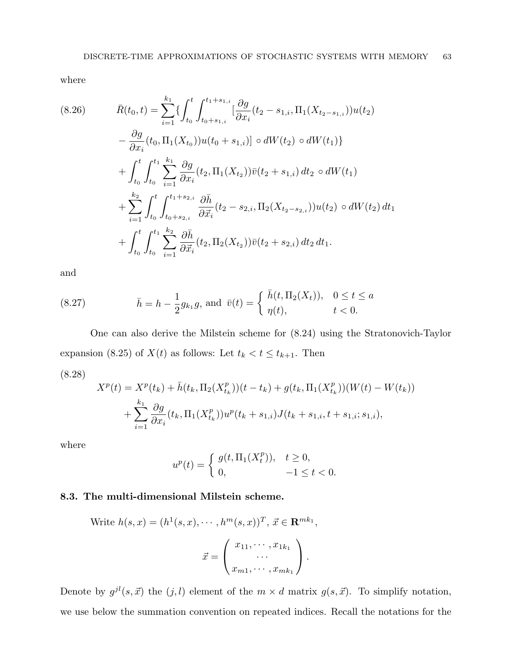where

$$
(8.26) \qquad \bar{R}(t_0, t) = \sum_{i=1}^{k_1} \{ \int_{t_0}^t \int_{t_0 + s_{1,i}}^{t_1 + s_{1,i}} [\frac{\partial g}{\partial x_i} (t_2 - s_{1,i}, \Pi_1(X_{t_2 - s_{1,i}})) u(t_2) \newline - \frac{\partial g}{\partial x_i} (t_0, \Pi_1(X_{t_0})) u(t_0 + s_{1,i})] \circ dW(t_2) \circ dW(t_1) \} \newline + \int_{t_0}^t \int_{t_0}^{t_1} \sum_{i=1}^{k_1} \frac{\partial g}{\partial x_i} (t_2, \Pi_1(X_{t_2})) \bar{v}(t_2 + s_{1,i}) dt_2 \circ dW(t_1) \newline + \sum_{i=1}^{k_2} \int_{t_0}^t \int_{t_0 + s_{2,i}}^{t_1 + s_{2,i}} \frac{\partial \bar{h}}{\partial \bar{x}_i} (t_2 - s_{2,i}, \Pi_2(X_{t_2 - s_{2,i}})) u(t_2) \circ dW(t_2) dt_1 \newline + \int_{t_0}^t \int_{t_0}^{t_1} \sum_{i=1}^{k_2} \frac{\partial \bar{h}}{\partial \bar{x}_i} (t_2, \Pi_2(X_{t_2})) \bar{v}(t_2 + s_{2,i}) dt_2 dt_1.
$$

and

(8.27) 
$$
\bar{h} = h - \frac{1}{2} g_{k_1} g, \text{ and } \bar{v}(t) = \begin{cases} \bar{h}(t, \Pi_2(X_t)), & 0 \le t \le a \\ \eta(t), & t < 0. \end{cases}
$$

One can also derive the Milstein scheme for (8.24) using the Stratonovich-Taylor expansion (8.25) of  $X(t)$  as follows: Let  $t_k < t \leq t_{k+1}$ . Then

(8.28)

$$
X^{p}(t) = X^{p}(t_{k}) + \bar{h}(t_{k}, \Pi_{2}(X_{t_{k}}^{p})) (t - t_{k}) + g(t_{k}, \Pi_{1}(X_{t_{k}}^{p})) (W(t) - W(t_{k}))
$$
  
+ 
$$
\sum_{i=1}^{k_{1}} \frac{\partial g}{\partial x_{i}}(t_{k}, \Pi_{1}(X_{t_{k}}^{p})) u^{p}(t_{k} + s_{1,i}) J(t_{k} + s_{1,i}; t + s_{1,i}; s_{1,i}),
$$

where

$$
u^{p}(t) = \begin{cases} g(t, \Pi_{1}(X_{t}^{p})), & t \ge 0, \\ 0, & -1 \le t < 0. \end{cases}
$$

### 8.3. The multi-dimensional Milstein scheme.

Write 
$$
h(s, x) = (h^1(s, x), \dots, h^m(s, x))^T
$$
,  $\vec{x} \in \mathbb{R}^{mk_1}$ ,  

$$
\vec{x} = \begin{pmatrix} x_{11}, \dots, x_{1k_1} \\ \dots \\ x_{m1}, \dots, x_{mk_1} \end{pmatrix}.
$$

Denote by  $g^{jl}(s, \vec{x})$  the  $(j, l)$  element of the  $m \times d$  matrix  $g(s, \vec{x})$ . To simplify notation, we use below the summation convention on repeated indices. Recall the notations for the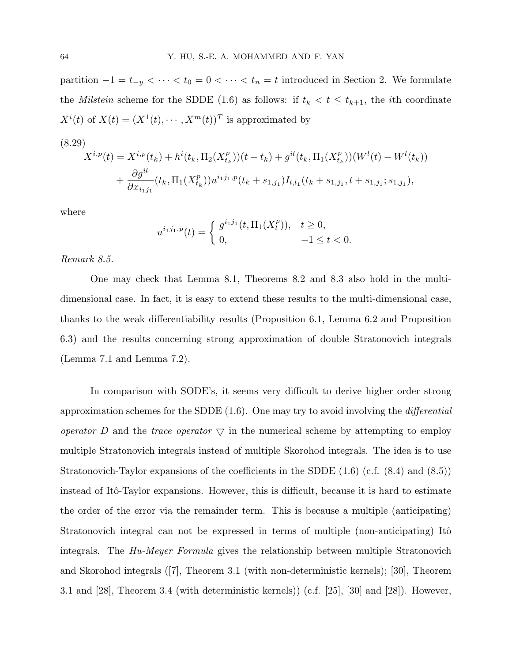partition  $-1 = t_{-y} < \cdots < t_0 = 0 < \cdots < t_n = t$  introduced in Section 2. We formulate the *Milstein* scheme for the SDDE (1.6) as follows: if  $t_k < t \leq t_{k+1}$ , the *i*th coordinate  $X^{i}(t)$  of  $X(t) = (X^{1}(t), \cdots, X^{m}(t))^{T}$  is approximated by

$$
(8.29)
$$
  

$$
X^{i,p}(t) = X^{i,p}(t_k) + h^i(t_k, \Pi_2(X_{t_k}^p))(t - t_k) + g^{i}(t_k, \Pi_1(X_{t_k}^p))(W^l(t) - W^l(t_k))
$$
  

$$
+ \frac{\partial g^{il}}{\partial x_{i_1 j_1}}(t_k, \Pi_1(X_{t_k}^p))u^{i_1 j_1, p}(t_k + s_{1,j_1})I_{l,l_1}(t_k + s_{1,j_1}, t + s_{1,j_1}; s_{1,j_1}),
$$

where

$$
u^{i_1j_1,p}(t) = \begin{cases} g^{i_1j_1}(t, \Pi_1(X_t^p)), & t \ge 0, \\ 0, & -1 \le t < 0. \end{cases}
$$

#### Remark 8.5.

One may check that Lemma 8.1, Theorems 8.2 and 8.3 also hold in the multidimensional case. In fact, it is easy to extend these results to the multi-dimensional case, thanks to the weak differentiability results (Proposition 6.1, Lemma 6.2 and Proposition 6.3) and the results concerning strong approximation of double Stratonovich integrals (Lemma 7.1 and Lemma 7.2).

In comparison with SODE's, it seems very difficult to derive higher order strong approximation schemes for the SDDE  $(1.6)$ . One may try to avoid involving the *differential* operator D and the trace operator  $\bigtriangledown$  in the numerical scheme by attempting to employ multiple Stratonovich integrals instead of multiple Skorohod integrals. The idea is to use Stratonovich-Taylor expansions of the coefficients in the SDDE (1.6) (c.f. (8.4) and (8.5)) instead of Itô-Taylor expansions. However, this is difficult, because it is hard to estimate the order of the error via the remainder term. This is because a multiple (anticipating) Stratonovich integral can not be expressed in terms of multiple (non-anticipating) Itô integrals. The Hu-Meyer Formula gives the relationship between multiple Stratonovich and Skorohod integrals ([7], Theorem 3.1 (with non-deterministic kernels); [30], Theorem 3.1 and  $[28]$ , Theorem 3.4 (with deterministic kernels)) (c.f.  $[25]$ ,  $[30]$  and  $[28]$ ). However,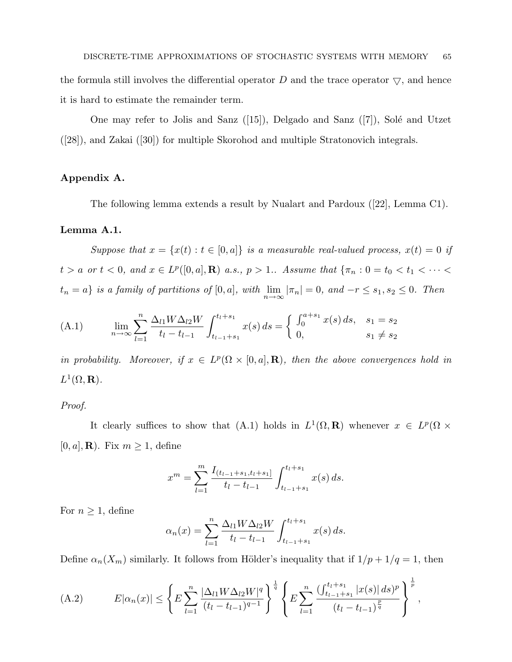the formula still involves the differential operator D and the trace operator  $\nabla$ , and hence it is hard to estimate the remainder term.

One may refer to Jolis and Sanz  $([15])$ , Delgado and Sanz  $([7])$ , Solé and Utzet ([28]), and Zakai ([30]) for multiple Skorohod and multiple Stratonovich integrals.

### Appendix A.

The following lemma extends a result by Nualart and Pardoux ([22], Lemma C1).

#### Lemma A.1.

Suppose that  $x = \{x(t) : t \in [0, a]\}$  is a measurable real-valued process,  $x(t) = 0$  if  $t > a \text{ or } t < 0, \text{ and } x \in L^p([0, a], \mathbf{R}) \text{ a.s., } p > 1...$  Assume that  $\{\pi_n : 0 = t_0 < t_1 < \cdots < t_m\}$  $t_n = a$  is a family of partitions of  $[0, a]$ , with  $\lim_{n \to \infty} |\pi_n| = 0$ , and  $-r \le s_1, s_2 \le 0$ . Then

(A.1) 
$$
\lim_{n \to \infty} \sum_{l=1}^{n} \frac{\Delta_{l1} W \Delta_{l2} W}{t_l - t_{l-1}} \int_{t_{l-1} + s_1}^{t_l + s_1} x(s) ds = \begin{cases} \int_0^{a+s_1} x(s) ds, & s_1 = s_2 \\ 0, & s_1 \neq s_2 \end{cases}
$$

in probability. Moreover, if  $x \in L^p(\Omega \times [0,a],\mathbf{R})$ , then the above convergences hold in  $L^1(\Omega, \mathbf{R}).$ 

Proof.

It clearly suffices to show that (A.1) holds in  $L^1(\Omega, \mathbf{R})$  whenever  $x \in L^p(\Omega) \times$  $[0, a], \mathbf{R}$ . Fix  $m \geq 1$ , define

$$
x^{m} = \sum_{l=1}^{m} \frac{I_{(t_{l-1}+s_1,t_l+s_1]}}{t_l-t_{l-1}} \int_{t_{l-1}+s_1}^{t_l+s_1} x(s) ds.
$$

For  $n \geq 1$ , define

$$
\alpha_n(x) = \sum_{l=1}^n \frac{\Delta_{l1} W \Delta_{l2} W}{t_l - t_{l-1}} \int_{t_{l-1} + s_1}^{t_l + s_1} x(s) ds.
$$

Define  $\alpha_n(X_m)$  similarly. It follows from Hölder's inequality that if  $1/p + 1/q = 1$ , then

(A.2) 
$$
E|\alpha_n(x)| \leq \left\{ E \sum_{l=1}^n \frac{|\Delta_{l1} W \Delta_{l2} W|^q}{(t_l - t_{l-1})^{q-1}} \right\}^{\frac{1}{q}} \left\{ E \sum_{l=1}^n \frac{(\int_{t_{l-1}+s_1}^{t_l+s_1} |x(s)| ds)^p}{(t_l - t_{l-1})^{\frac{p}{q}}} \right\}^{\frac{1}{p}},
$$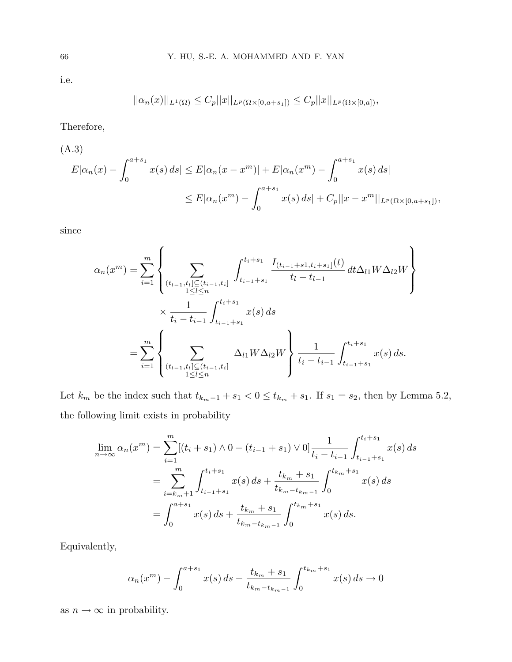i.e.

$$
||\alpha_n(x)||_{L^1(\Omega)} \leq C_p ||x||_{L^p(\Omega \times [0,a+s_1])} \leq C_p ||x||_{L^p(\Omega \times [0,a])},
$$

Therefore,

(A.3)  
\n
$$
E|\alpha_n(x) - \int_0^{a+s_1} x(s) ds| \le E|\alpha_n(x - x^m)| + E|\alpha_n(x^m) - \int_0^{a+s_1} x(s) ds|
$$
\n
$$
\le E|\alpha_n(x^m) - \int_0^{a+s_1} x(s) ds| + C_p ||x - x^m||_{L^p(\Omega \times [0, a+s_1])},
$$

since

$$
\alpha_n(x^m) = \sum_{i=1}^m \left\{ \sum_{\substack{(t_{l-1}, t_l] \subseteq (t_{i-1}, t_i] \\ 1 \le l \le n}} \int_{t_{i-1} + s_1}^{t_i + s_1} \frac{I_{(t_{i-1} + s_1, t_i + s_1]}(t)}{t_l - t_{l-1}} dt \Delta_{l1} W \Delta_{l2} W \right\}
$$

$$
\times \frac{1}{t_i - t_{i-1}} \int_{t_{i-1} + s_1}^{t_i + s_1} x(s) ds
$$

$$
= \sum_{i=1}^m \left\{ \sum_{\substack{(t_{l-1}, t_l] \subseteq (t_{i-1}, t_i] \\ 1 \le l \le n}} \Delta_{l1} W \Delta_{l2} W \right\} \frac{1}{t_i - t_{i-1}} \int_{t_{i-1} + s_1}^{t_i + s_1} x(s) ds.
$$

Let  $k_m$  be the index such that  $t_{k_m-1} + s_1 < 0 \le t_{k_m} + s_1$ . If  $s_1 = s_2$ , then by Lemma 5.2, the following limit exists in probability

$$
\lim_{n \to \infty} \alpha_n(x^m) = \sum_{i=1}^m [(t_i + s_1) \wedge 0 - (t_{i-1} + s_1) \vee 0] \frac{1}{t_i - t_{i-1}} \int_{t_{i-1} + s_1}^{t_i + s_1} x(s) ds
$$
  
\n
$$
= \sum_{i=k_m+1}^m \int_{t_{i-1} + s_1}^{t_i + s_1} x(s) ds + \frac{t_{k_m} + s_1}{t_{k_m - t_{k_m - 1}}} \int_0^{t_{k_m} + s_1} x(s) ds
$$
  
\n
$$
= \int_0^{a + s_1} x(s) ds + \frac{t_{k_m} + s_1}{t_{k_m - t_{k_m - 1}}} \int_0^{t_{k_m} + s_1} x(s) ds.
$$

Equivalently,

$$
\alpha_n(x^m) - \int_0^{a+s_1} x(s) \, ds - \frac{t_{k_m} + s_1}{t_{k_m - t_{k_m - 1}}} \int_0^{t_{k_m} + s_1} x(s) \, ds \to 0
$$

as  $n\to\infty$  in probability.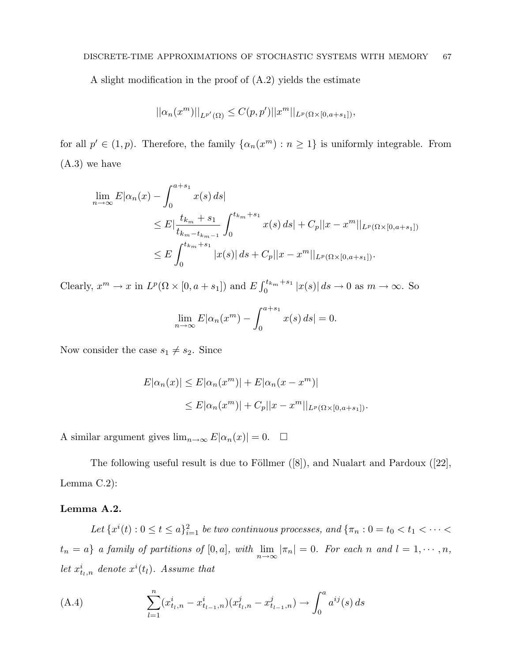A slight modification in the proof of (A.2) yields the estimate

$$
||\alpha_n(x^m)||_{L^{p'}(\Omega)} \leq C(p,p')||x^m||_{L^p(\Omega \times [0,a+s_1])},
$$

for all  $p' \in (1, p)$ . Therefore, the family  $\{\alpha_n(x^m) : n \geq 1\}$  is uniformly integrable. From (A.3) we have

$$
\lim_{n \to \infty} E|\alpha_n(x) - \int_0^{a+s_1} x(s) ds|
$$
\n
$$
\leq E \Big| \frac{t_{k_m} + s_1}{t_{k_m - t_{k_m - 1}}} \int_0^{t_{k_m} + s_1} x(s) ds + C_p ||x - x^m||_{L^p(\Omega \times [0, a+s_1])}
$$
\n
$$
\leq E \int_0^{t_{k_m} + s_1} |x(s)| ds + C_p ||x - x^m||_{L^p(\Omega \times [0, a+s_1])}.
$$

Clearly,  $x^m \to x$  in  $L^p(\Omega \times [0, a + s_1])$  and  $E \int_0^{t_{k_m} + s_1}$  $\int_0^{\tau_{k_m}+s_1} |x(s)| ds \to 0$  as  $m \to \infty$ . So

$$
\lim_{n \to \infty} E|\alpha_n(x^m) - \int_0^{a+s_1} x(s) ds| = 0.
$$

Now consider the case  $s_1 \neq s_2$ . Since

$$
E|\alpha_n(x)| \le E|\alpha_n(x^m)| + E|\alpha_n(x - x^m)|
$$
  
\n
$$
\le E|\alpha_n(x^m)| + C_p||x - x^m||_{L^p(\Omega \times [0, a + s_1])}.
$$

A similar argument gives  $\lim_{n\to\infty} E|\alpha_n(x)| = 0.$  □

The following useful result is due to Föllmer  $([8])$ , and Nualart and Pardoux  $([22],$ Lemma C.2):

### Lemma A.2.

Let  $\{x^i(t): 0 \le t \le a\}_{i=1}^2$  be two continuous processes, and  $\{\pi_n: 0 = t_0 < t_1 < \cdots <$  $t_n = a$  a family of partitions of  $[0, a]$ , with  $\lim_{n \to \infty} |\pi_n| = 0$ . For each n and  $l = 1, \dots, n$ , let  $x_{t_l,n}$  denote  $x^i(t_l)$ . Assume that

(A.4) 
$$
\sum_{l=1}^{n} (x_{t_l,n}^i - x_{t_{l-1},n}^i)(x_{t_l,n}^j - x_{t_{l-1},n}^j) \to \int_0^a a^{ij}(s) ds
$$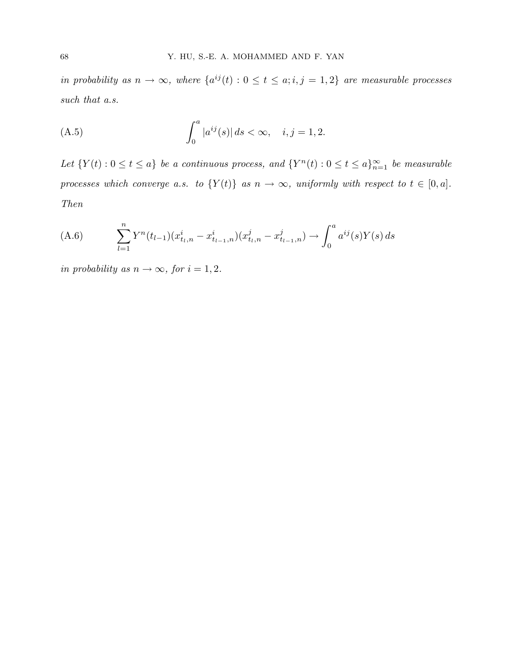in probability as  $n \to \infty$ , where  $\{a^{ij}(t): 0 \le t \le a; i, j = 1, 2\}$  are measurable processes such that a.s.

(A.5) 
$$
\int_0^a |a^{ij}(s)| ds < \infty, \quad i, j = 1, 2.
$$

Let  $\{Y(t): 0 \le t \le a\}$  be a continuous process, and  $\{Y^n(t): 0 \le t \le a\}_{n=1}^{\infty}$  be measurable processes which converge a.s. to  $\{Y(t)\}\$ as  $n \to \infty$ , uniformly with respect to  $t \in [0, a]$ . Then

(A.6) 
$$
\sum_{l=1}^{n} Y^{n}(t_{l-1})(x_{t_l,n}^i - x_{t_{l-1},n}^i)(x_{t_l,n}^j - x_{t_{l-1},n}^j) \rightarrow \int_0^a a^{ij}(s)Y(s) ds
$$

in probability as  $n \to \infty$ , for  $i = 1, 2$ .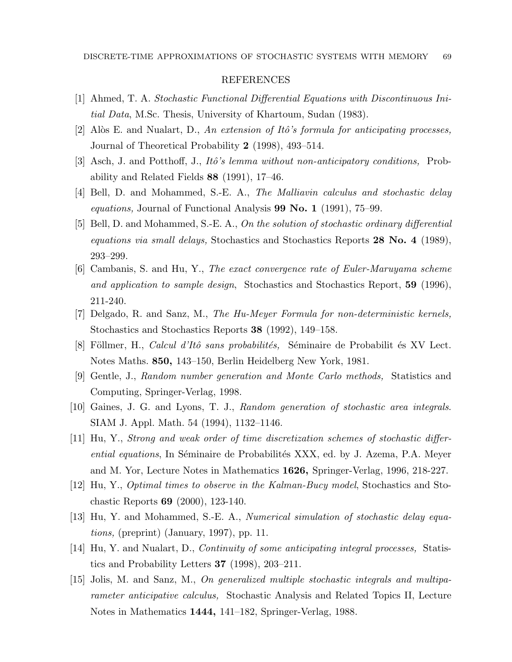### REFERENCES

- [1] Ahmed, T. A. Stochastic Functional Differential Equations with Discontinuous Initial Data, M.Sc. Thesis, University of Khartoum, Sudan (1983).
- [2] Alòs E. and Nualart, D., An extension of Itô's formula for anticipating processes, Journal of Theoretical Probability 2 (1998), 493–514.
- [3] Asch, J. and Potthoff, J., Itô's lemma without non-anticipatory conditions, Probability and Related Fields 88 (1991), 17–46.
- [4] Bell, D. and Mohammed, S.-E. A., The Malliavin calculus and stochastic delay equations, Journal of Functional Analysis 99 No. 1 (1991), 75–99.
- [5] Bell, D. and Mohammed, S.-E. A., On the solution of stochastic ordinary differential equations via small delays, Stochastics and Stochastics Reports 28 No. 4 (1989), 293–299.
- [6] Cambanis, S. and Hu, Y., The exact convergence rate of Euler-Maruyama scheme and application to sample design, Stochastics and Stochastics Report, 59 (1996), 211-240.
- [7] Delgado, R. and Sanz, M., The Hu-Meyer Formula for non-deterministic kernels, Stochastics and Stochastics Reports 38 (1992), 149–158.
- [8] Föllmer, H., *Calcul d'Itô sans probabilités*, Séminaire de Probabilit és XV Lect. Notes Maths. 850, 143–150, Berlin Heidelberg New York, 1981.
- [9] Gentle, J., Random number generation and Monte Carlo methods, Statistics and Computing, Springer-Verlag, 1998.
- [10] Gaines, J. G. and Lyons, T. J., Random generation of stochastic area integrals. SIAM J. Appl. Math. 54 (1994), 1132–1146.
- [11] Hu, Y., Strong and weak order of time discretization schemes of stochastic differential equations, In Séminaire de Probabilités XXX, ed. by J. Azema, P.A. Meyer and M. Yor, Lecture Notes in Mathematics 1626, Springer-Verlag, 1996, 218-227.
- [12] Hu, Y., Optimal times to observe in the Kalman-Bucy model, Stochastics and Stochastic Reports 69 (2000), 123-140.
- [13] Hu, Y. and Mohammed, S.-E. A., Numerical simulation of stochastic delay equations, (preprint) (January, 1997), pp. 11.
- [14] Hu, Y. and Nualart, D., Continuity of some anticipating integral processes, Statistics and Probability Letters 37 (1998), 203–211.
- [15] Jolis, M. and Sanz, M., On generalized multiple stochastic integrals and multiparameter anticipative calculus, Stochastic Analysis and Related Topics II, Lecture Notes in Mathematics 1444, 141–182, Springer-Verlag, 1988.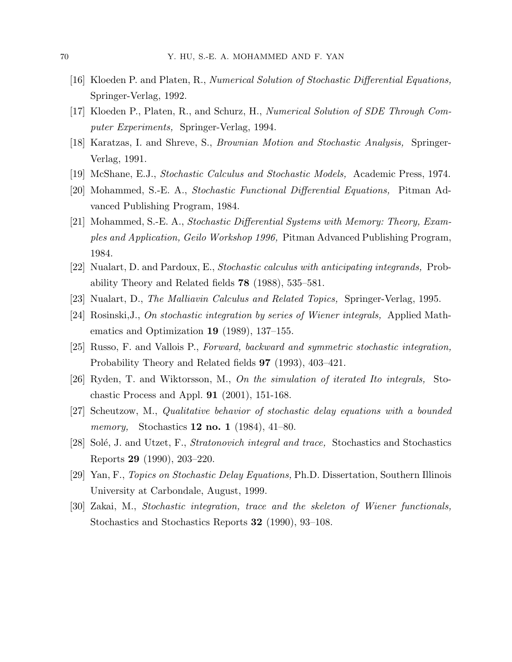- [16] Kloeden P. and Platen, R., Numerical Solution of Stochastic Differential Equations, Springer-Verlag, 1992.
- [17] Kloeden P., Platen, R., and Schurz, H., Numerical Solution of SDE Through Computer Experiments, Springer-Verlag, 1994.
- [18] Karatzas, I. and Shreve, S., Brownian Motion and Stochastic Analysis, Springer-Verlag, 1991.
- [19] McShane, E.J., Stochastic Calculus and Stochastic Models, Academic Press, 1974.
- [20] Mohammed, S.-E. A., Stochastic Functional Differential Equations, Pitman Advanced Publishing Program, 1984.
- [21] Mohammed, S.-E. A., Stochastic Differential Systems with Memory: Theory, Examples and Application, Geilo Workshop 1996, Pitman Advanced Publishing Program, 1984.
- [22] Nualart, D. and Pardoux, E., Stochastic calculus with anticipating integrands, Probability Theory and Related fields 78 (1988), 535–581.
- [23] Nualart, D., The Malliavin Calculus and Related Topics, Springer-Verlag, 1995.
- [24] Rosinski,J., On stochastic integration by series of Wiener integrals, Applied Mathematics and Optimization 19 (1989), 137–155.
- [25] Russo, F. and Vallois P., Forward, backward and symmetric stochastic integration, Probability Theory and Related fields 97 (1993), 403–421.
- [26] Ryden, T. and Wiktorsson, M., On the simulation of iterated Ito integrals, Stochastic Process and Appl. 91 (2001), 151-168.
- [27] Scheutzow, M., Qualitative behavior of stochastic delay equations with a bounded *memory*, Stochastics **12 no. 1** (1984), 41–80.
- [28] Solé, J. and Utzet, F., Stratonovich integral and trace, Stochastics and Stochastics Reports 29 (1990), 203–220.
- [29] Yan, F., Topics on Stochastic Delay Equations, Ph.D. Dissertation, Southern Illinois University at Carbondale, August, 1999.
- [30] Zakai, M., Stochastic integration, trace and the skeleton of Wiener functionals, Stochastics and Stochastics Reports 32 (1990), 93–108.